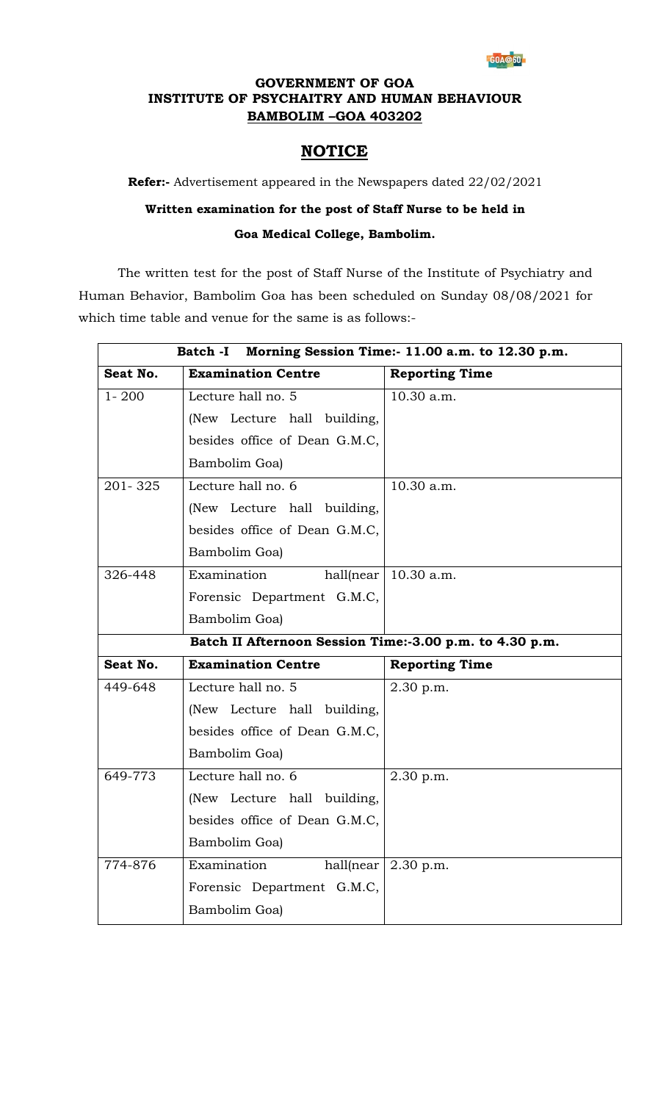

### **GOVERNMENT OF GOA INSTITUTE OF PSYCHAITRY AND HUMAN BEHAVIOUR BAMBOLIM –GOA 403202**

### **NOTICE**

**Refer:-** Advertisement appeared in the Newspapers dated 22/02/2021

## **Written examination for the post of Staff Nurse to be held in Goa Medical College, Bambolim.**

The written test for the post of Staff Nurse of the Institute of Psychiatry and Human Behavior, Bambolim Goa has been scheduled on Sunday 08/08/2021 for which time table and venue for the same is as follows:-

| Morning Session Time:- 11.00 a.m. to 12.30 p.m.         |
|---------------------------------------------------------|
|                                                         |
|                                                         |
|                                                         |
|                                                         |
|                                                         |
|                                                         |
|                                                         |
|                                                         |
|                                                         |
|                                                         |
|                                                         |
|                                                         |
| Batch II Afternoon Session Time:-3.00 p.m. to 4.30 p.m. |
|                                                         |
|                                                         |
|                                                         |
|                                                         |
|                                                         |
|                                                         |
|                                                         |
|                                                         |
|                                                         |
|                                                         |
|                                                         |
|                                                         |
|                                                         |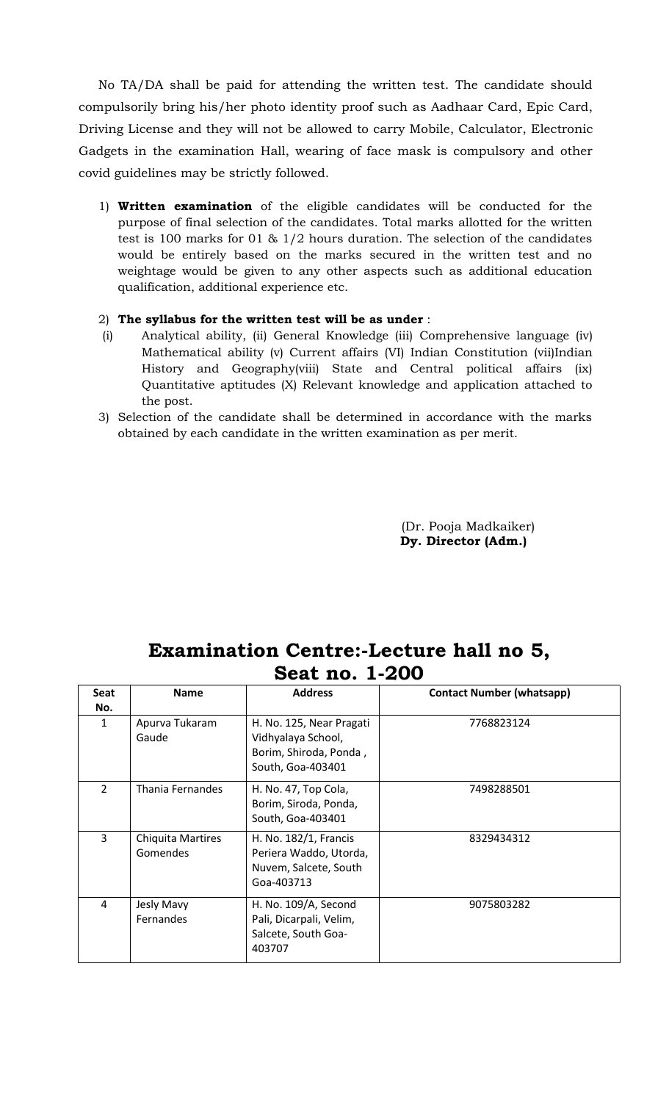No TA/DA shall be paid for attending the written test. The candidate should compulsorily bring his/her photo identity proof such as Aadhaar Card, Epic Card, Driving License and they will not be allowed to carry Mobile, Calculator, Electronic Gadgets in the examination Hall, wearing of face mask is compulsory and other covid guidelines may be strictly followed.

1) **Written examination** of the eligible candidates will be conducted for the purpose of final selection of the candidates. Total marks allotted for the written test is 100 marks for 01 & 1/2 hours duration. The selection of the candidates would be entirely based on the marks secured in the written test and no weightage would be given to any other aspects such as additional education qualification, additional experience etc.

#### 2) **The syllabus for the written test will be as under** :

- (i) Analytical ability, (ii) General Knowledge (iii) Comprehensive language (iv) Mathematical ability (v) Current affairs (VI) Indian Constitution (vii)Indian History and Geography(viii) State and Central political affairs (ix) Quantitative aptitudes (X) Relevant knowledge and application attached to the post.
- 3) Selection of the candidate shall be determined in accordance with the marks obtained by each candidate in the written examination as per merit.

(Dr. Pooja Madkaiker) **Dy. Director (Adm.)**

# **Examination Centre:-Lecture hall no 5, Seat no. 1-200**

| <b>Seat</b>    | <b>Name</b>                          | <b>Address</b>                                                                                | <b>Contact Number (whatsapp)</b> |
|----------------|--------------------------------------|-----------------------------------------------------------------------------------------------|----------------------------------|
| No.            |                                      |                                                                                               |                                  |
| $\mathbf{1}$   | Apurva Tukaram<br>Gaude              | H. No. 125, Near Pragati<br>Vidhyalaya School,<br>Borim, Shiroda, Ponda,<br>South, Goa-403401 | 7768823124                       |
| $\overline{2}$ | Thania Fernandes                     | H. No. 47, Top Cola,<br>Borim, Siroda, Ponda,<br>South, Goa-403401                            | 7498288501                       |
| 3              | <b>Chiquita Martires</b><br>Gomendes | H. No. 182/1, Francis<br>Periera Waddo, Utorda,<br>Nuvem, Salcete, South<br>Goa-403713        | 8329434312                       |
| 4              | Jesly Mavy<br>Fernandes              | H. No. 109/A, Second<br>Pali, Dicarpali, Velim,<br>Salcete, South Goa-<br>403707              | 9075803282                       |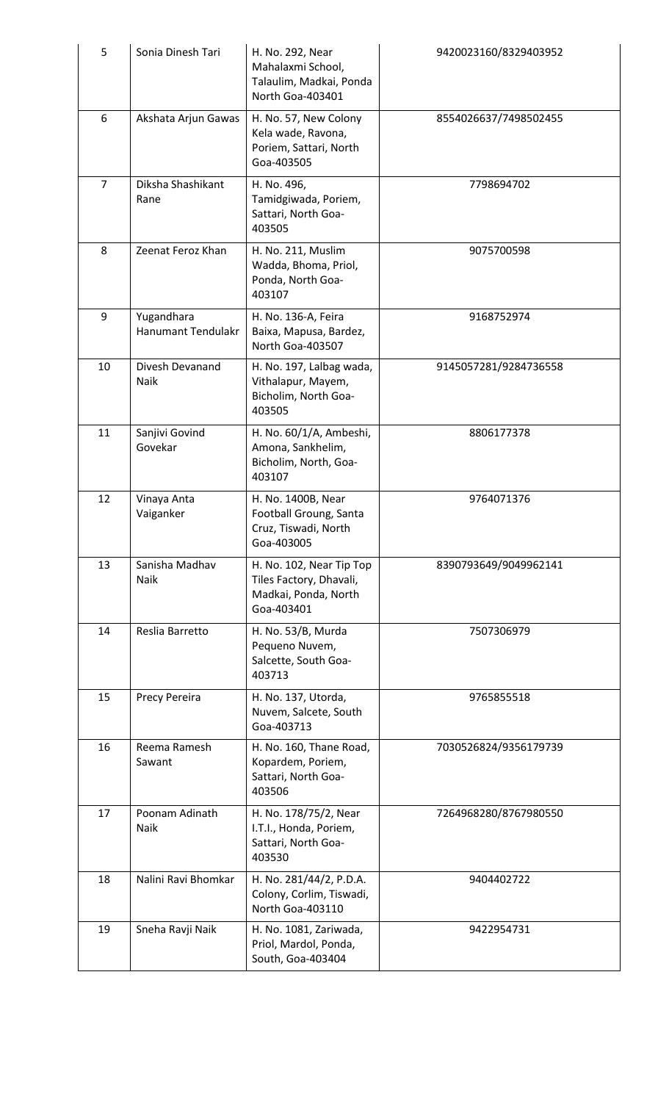| 5              | Sonia Dinesh Tari                       | H. No. 292, Near<br>Mahalaxmi School,<br>Talaulim, Madkai, Ponda<br>North Goa-403401      | 9420023160/8329403952 |
|----------------|-----------------------------------------|-------------------------------------------------------------------------------------------|-----------------------|
| $6\,$          | Akshata Arjun Gawas                     | H. No. 57, New Colony<br>Kela wade, Ravona,<br>Poriem, Sattari, North<br>Goa-403505       | 8554026637/7498502455 |
| $\overline{7}$ | Diksha Shashikant<br>Rane               | H. No. 496,<br>Tamidgiwada, Poriem,<br>Sattari, North Goa-<br>403505                      | 7798694702            |
| 8              | Zeenat Feroz Khan                       | H. No. 211, Muslim<br>Wadda, Bhoma, Priol,<br>Ponda, North Goa-<br>403107                 | 9075700598            |
| 9              | Yugandhara<br><b>Hanumant Tendulakr</b> | H. No. 136-A, Feira<br>Baixa, Mapusa, Bardez,<br>North Goa-403507                         | 9168752974            |
| 10             | Divesh Devanand<br>Naik                 | H. No. 197, Lalbag wada,<br>Vithalapur, Mayem,<br>Bicholim, North Goa-<br>403505          | 9145057281/9284736558 |
| 11             | Sanjivi Govind<br>Govekar               | H. No. 60/1/A, Ambeshi,<br>Amona, Sankhelim,<br>Bicholim, North, Goa-<br>403107           | 8806177378            |
| 12             | Vinaya Anta<br>Vaiganker                | H. No. 1400B, Near<br>Football Groung, Santa<br>Cruz, Tiswadi, North<br>Goa-403005        | 9764071376            |
| 13             | Sanisha Madhav<br>Naik                  | H. No. 102, Near Tip Top<br>Tiles Factory, Dhavali,<br>Madkai, Ponda, North<br>Goa-403401 | 8390793649/9049962141 |
| 14             | Reslia Barretto                         | H. No. 53/B, Murda<br>Pequeno Nuvem,<br>Salcette, South Goa-<br>403713                    | 7507306979            |
| 15             | Precy Pereira                           | H. No. 137, Utorda,<br>Nuvem, Salcete, South<br>Goa-403713                                | 9765855518            |
| 16             | Reema Ramesh<br>Sawant                  | H. No. 160, Thane Road,<br>Kopardem, Poriem,<br>Sattari, North Goa-<br>403506             | 7030526824/9356179739 |
| 17             | Poonam Adinath<br>Naik                  | H. No. 178/75/2, Near<br>I.T.I., Honda, Poriem,<br>Sattari, North Goa-<br>403530          | 7264968280/8767980550 |
| 18             | Nalini Ravi Bhomkar                     | H. No. 281/44/2, P.D.A.<br>Colony, Corlim, Tiswadi,<br>North Goa-403110                   | 9404402722            |
| 19             | Sneha Ravji Naik                        | H. No. 1081, Zariwada,<br>Priol, Mardol, Ponda,<br>South, Goa-403404                      | 9422954731            |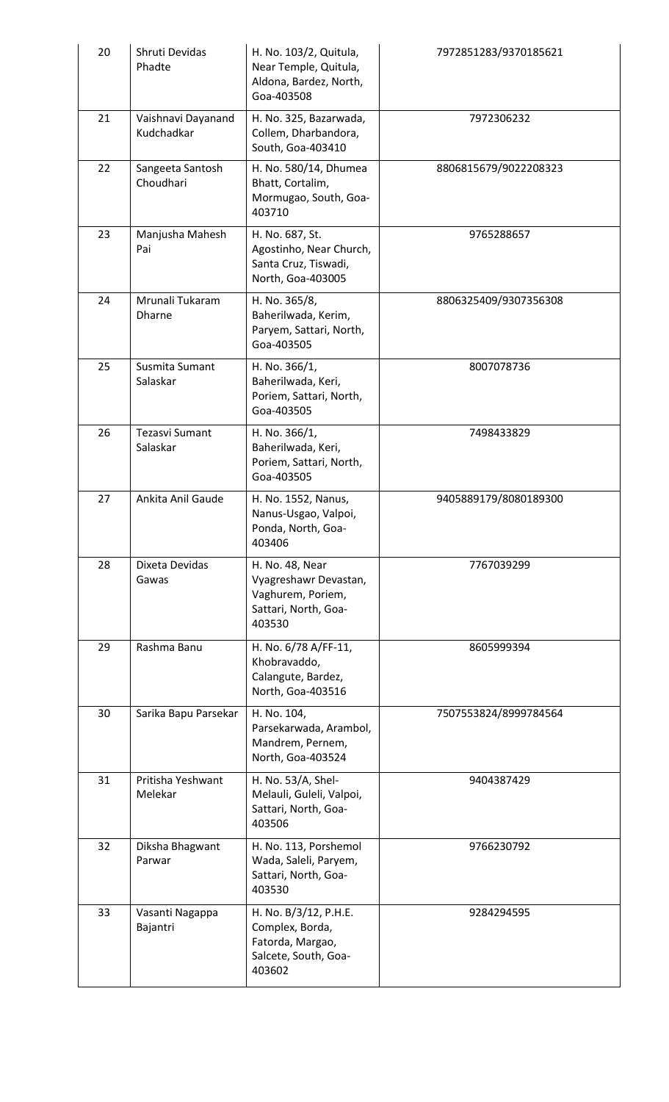| 20 | Shruti Devidas<br>Phadte          | H. No. 103/2, Quitula,<br>Near Temple, Quitula,<br>Aldona, Bardez, North,<br>Goa-403508         | 7972851283/9370185621 |
|----|-----------------------------------|-------------------------------------------------------------------------------------------------|-----------------------|
| 21 | Vaishnavi Dayanand<br>Kudchadkar  | H. No. 325, Bazarwada,<br>Collem, Dharbandora,<br>South, Goa-403410                             | 7972306232            |
| 22 | Sangeeta Santosh<br>Choudhari     | H. No. 580/14, Dhumea<br>Bhatt, Cortalim,<br>Mormugao, South, Goa-<br>403710                    | 8806815679/9022208323 |
| 23 | Manjusha Mahesh<br>Pai            | H. No. 687, St.<br>Agostinho, Near Church,<br>Santa Cruz, Tiswadi,<br>North, Goa-403005         | 9765288657            |
| 24 | Mrunali Tukaram<br><b>Dharne</b>  | H. No. 365/8,<br>Baherilwada, Kerim,<br>Paryem, Sattari, North,<br>Goa-403505                   | 8806325409/9307356308 |
| 25 | Susmita Sumant<br>Salaskar        | H. No. 366/1,<br>Baherilwada, Keri,<br>Poriem, Sattari, North,<br>Goa-403505                    | 8007078736            |
| 26 | <b>Tezasvi Sumant</b><br>Salaskar | H. No. 366/1,<br>Baherilwada, Keri,<br>Poriem, Sattari, North,<br>Goa-403505                    | 7498433829            |
| 27 | Ankita Anil Gaude                 | H. No. 1552, Nanus,<br>Nanus-Usgao, Valpoi,<br>Ponda, North, Goa-<br>403406                     | 9405889179/8080189300 |
| 28 | Dixeta Devidas<br>Gawas           | H. No. 48, Near<br>Vyagreshawr Devastan,<br>Vaghurem, Poriem,<br>Sattari, North, Goa-<br>403530 | 7767039299            |
| 29 | Rashma Banu                       | H. No. 6/78 A/FF-11,<br>Khobravaddo,<br>Calangute, Bardez,<br>North, Goa-403516                 | 8605999394            |
| 30 | Sarika Bapu Parsekar              | H. No. 104,<br>Parsekarwada, Arambol,<br>Mandrem, Pernem,<br>North, Goa-403524                  | 7507553824/8999784564 |
| 31 | Pritisha Yeshwant<br>Melekar      | H. No. 53/A, Shel-<br>Melauli, Guleli, Valpoi,<br>Sattari, North, Goa-<br>403506                | 9404387429            |
| 32 | Diksha Bhagwant<br>Parwar         | H. No. 113, Porshemol<br>Wada, Saleli, Paryem,<br>Sattari, North, Goa-<br>403530                | 9766230792            |
| 33 | Vasanti Nagappa<br>Bajantri       | H. No. B/3/12, P.H.E.<br>Complex, Borda,<br>Fatorda, Margao,<br>Salcete, South, Goa-<br>403602  | 9284294595            |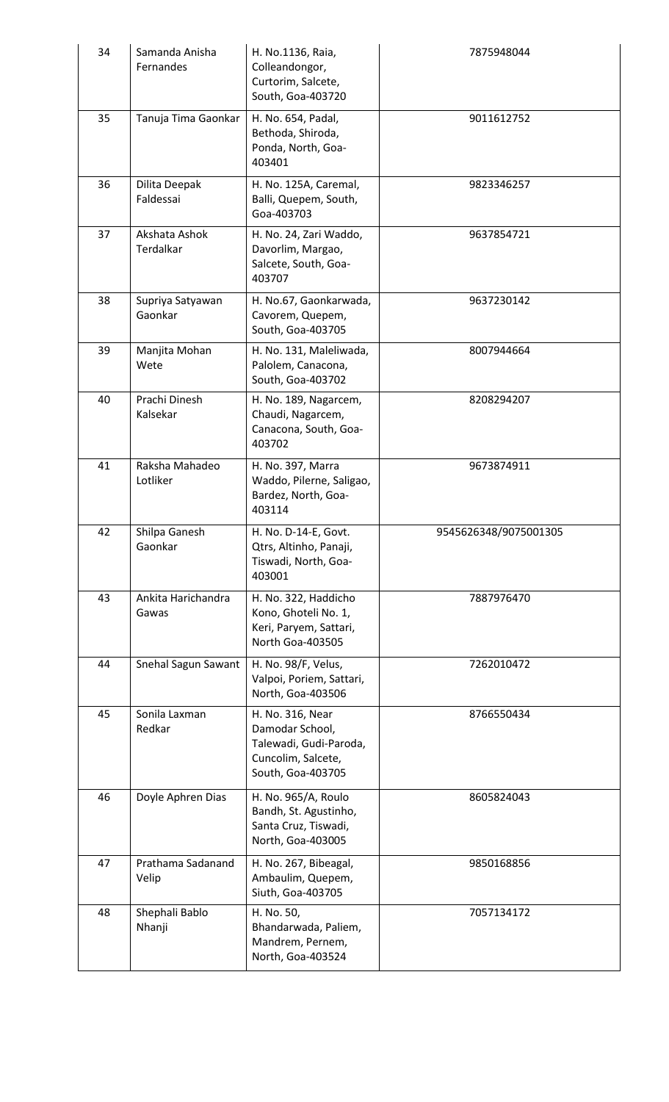| 34 | Samanda Anisha<br>Fernandes | H. No.1136, Raia,<br>Colleandongor,<br>Curtorim, Salcete,<br>South, Goa-403720                           | 7875948044            |
|----|-----------------------------|----------------------------------------------------------------------------------------------------------|-----------------------|
| 35 | Tanuja Tima Gaonkar         | H. No. 654, Padal,<br>Bethoda, Shiroda,<br>Ponda, North, Goa-<br>403401                                  | 9011612752            |
| 36 | Dilita Deepak<br>Faldessai  | H. No. 125A, Caremal,<br>Balli, Quepem, South,<br>Goa-403703                                             | 9823346257            |
| 37 | Akshata Ashok<br>Terdalkar  | H. No. 24, Zari Waddo,<br>Davorlim, Margao,<br>Salcete, South, Goa-<br>403707                            | 9637854721            |
| 38 | Supriya Satyawan<br>Gaonkar | H. No.67, Gaonkarwada,<br>Cavorem, Quepem,<br>South, Goa-403705                                          | 9637230142            |
| 39 | Manjita Mohan<br>Wete       | H. No. 131, Maleliwada,<br>Palolem, Canacona,<br>South, Goa-403702                                       | 8007944664            |
| 40 | Prachi Dinesh<br>Kalsekar   | H. No. 189, Nagarcem,<br>Chaudi, Nagarcem,<br>Canacona, South, Goa-<br>403702                            | 8208294207            |
| 41 | Raksha Mahadeo<br>Lotliker  | H. No. 397, Marra<br>Waddo, Pilerne, Saligao,<br>Bardez, North, Goa-<br>403114                           | 9673874911            |
| 42 | Shilpa Ganesh<br>Gaonkar    | H. No. D-14-E. Govt.<br>Qtrs, Altinho, Panaji,<br>Tiswadi, North, Goa-<br>403001                         | 9545626348/9075001305 |
| 43 | Ankita Harichandra<br>Gawas | H. No. 322, Haddicho<br>Kono, Ghoteli No. 1,<br>Keri, Paryem, Sattari,<br>North Goa-403505               | 7887976470            |
| 44 | Snehal Sagun Sawant         | H. No. 98/F, Velus,<br>Valpoi, Poriem, Sattari,<br>North, Goa-403506                                     | 7262010472            |
| 45 | Sonila Laxman<br>Redkar     | H. No. 316, Near<br>Damodar School,<br>Talewadi, Gudi-Paroda,<br>Cuncolim, Salcete,<br>South, Goa-403705 | 8766550434            |
| 46 | Doyle Aphren Dias           | H. No. 965/A, Roulo<br>Bandh, St. Agustinho,<br>Santa Cruz, Tiswadi,<br>North, Goa-403005                | 8605824043            |
| 47 | Prathama Sadanand<br>Velip  | H. No. 267, Bibeagal,<br>Ambaulim, Quepem,<br>Siuth, Goa-403705                                          | 9850168856            |
| 48 | Shephali Bablo<br>Nhanji    | H. No. 50,<br>Bhandarwada, Paliem,<br>Mandrem, Pernem,<br>North, Goa-403524                              | 7057134172            |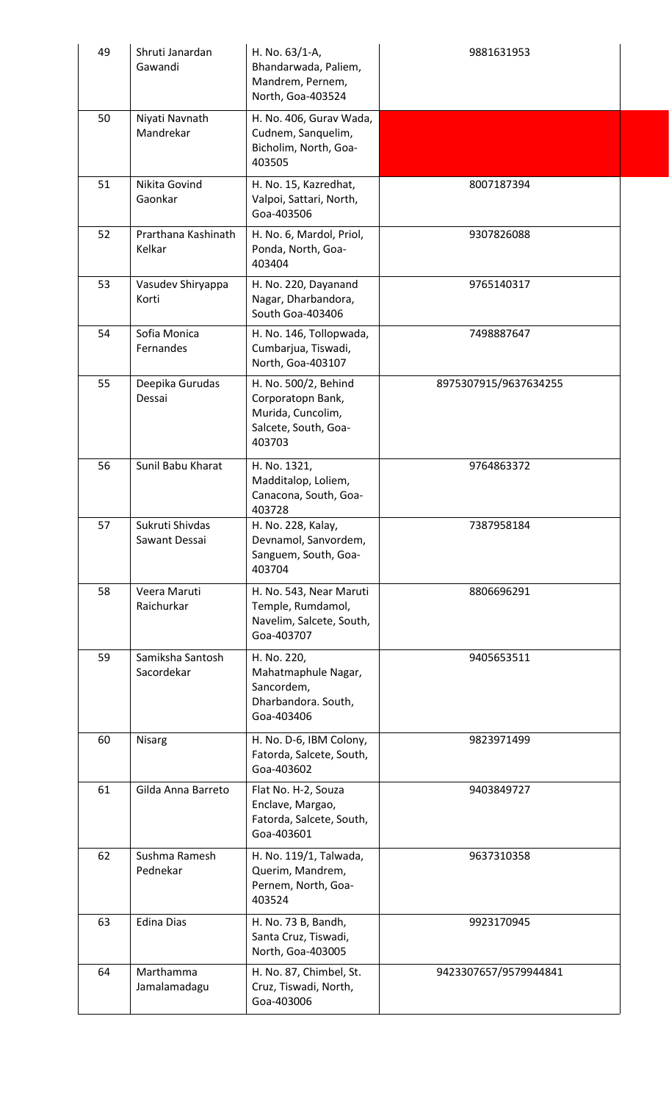| 49 | Shruti Janardan<br>Gawandi       | H. No. 63/1-A,<br>Bhandarwada, Paliem,<br>Mandrem, Pernem,<br>North, Goa-403524                  | 9881631953            |
|----|----------------------------------|--------------------------------------------------------------------------------------------------|-----------------------|
| 50 | Niyati Navnath<br>Mandrekar      | H. No. 406, Gurav Wada,<br>Cudnem, Sanquelim,<br>Bicholim, North, Goa-<br>403505                 |                       |
| 51 | Nikita Govind<br>Gaonkar         | H. No. 15, Kazredhat,<br>Valpoi, Sattari, North,<br>Goa-403506                                   | 8007187394            |
| 52 | Prarthana Kashinath<br>Kelkar    | H. No. 6, Mardol, Priol,<br>Ponda, North, Goa-<br>403404                                         | 9307826088            |
| 53 | Vasudev Shiryappa<br>Korti       | H. No. 220, Dayanand<br>Nagar, Dharbandora,<br>South Goa-403406                                  | 9765140317            |
| 54 | Sofia Monica<br>Fernandes        | H. No. 146, Tollopwada,<br>Cumbarjua, Tiswadi,<br>North, Goa-403107                              | 7498887647            |
| 55 | Deepika Gurudas<br>Dessai        | H. No. 500/2, Behind<br>Corporatopn Bank,<br>Murida, Cuncolim,<br>Salcete, South, Goa-<br>403703 | 8975307915/9637634255 |
| 56 | Sunil Babu Kharat                | H. No. 1321,<br>Madditalop, Loliem,<br>Canacona, South, Goa-<br>403728                           | 9764863372            |
| 57 | Sukruti Shivdas<br>Sawant Dessai | H. No. 228, Kalay,<br>Devnamol, Sanvordem,<br>Sanguem, South, Goa-<br>403704                     | 7387958184            |
| 58 | Veera Maruti<br>Raichurkar       | H. No. 543, Near Maruti<br>Temple, Rumdamol,<br>Navelim, Salcete, South,<br>Goa-403707           | 8806696291            |
| 59 | Samiksha Santosh<br>Sacordekar   | H. No. 220,<br>Mahatmaphule Nagar,<br>Sancordem,<br>Dharbandora. South,<br>Goa-403406            | 9405653511            |
| 60 | <b>Nisarg</b>                    | H. No. D-6, IBM Colony,<br>Fatorda, Salcete, South,<br>Goa-403602                                | 9823971499            |
| 61 | Gilda Anna Barreto               | Flat No. H-2, Souza<br>Enclave, Margao,<br>Fatorda, Salcete, South,<br>Goa-403601                | 9403849727            |
| 62 | Sushma Ramesh<br>Pednekar        | H. No. 119/1, Talwada,<br>Querim, Mandrem,<br>Pernem, North, Goa-<br>403524                      | 9637310358            |
| 63 | <b>Edina Dias</b>                | H. No. 73 B, Bandh,<br>Santa Cruz, Tiswadi,<br>North, Goa-403005                                 | 9923170945            |
| 64 | Marthamma<br>Jamalamadagu        | H. No. 87, Chimbel, St.<br>Cruz, Tiswadi, North,<br>Goa-403006                                   | 9423307657/9579944841 |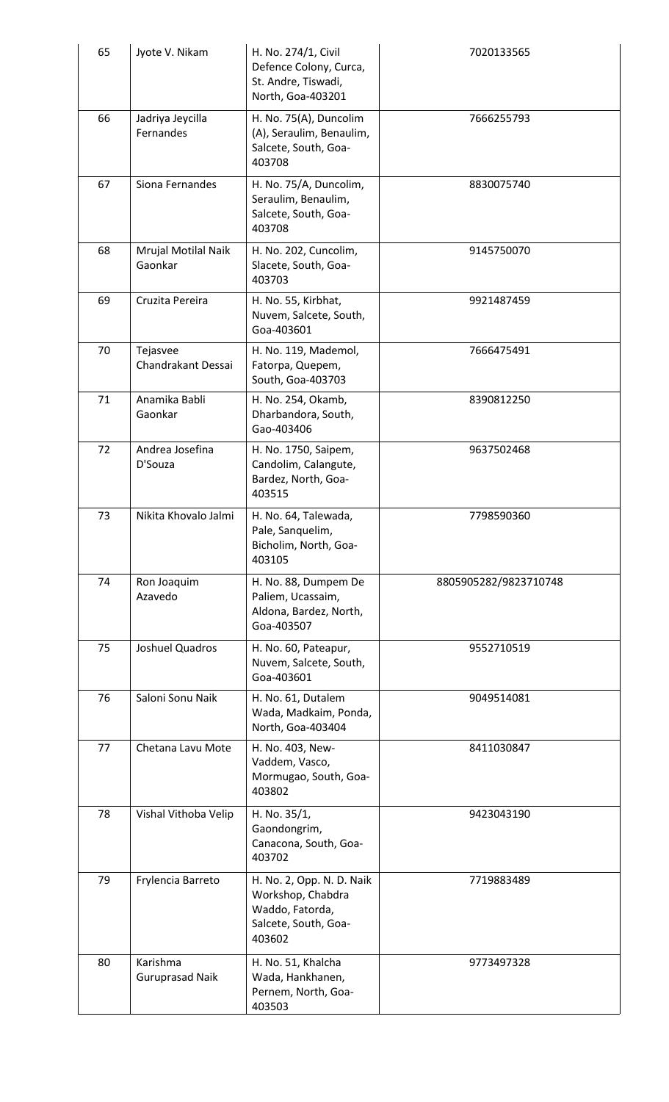| 65 | Jyote V. Nikam                     | H. No. 274/1, Civil<br>Defence Colony, Curca,<br>St. Andre, Tiswadi,<br>North, Goa-403201           | 7020133565            |
|----|------------------------------------|-----------------------------------------------------------------------------------------------------|-----------------------|
| 66 | Jadriya Jeycilla<br>Fernandes      | H. No. 75(A), Duncolim<br>(A), Seraulim, Benaulim,<br>Salcete, South, Goa-<br>403708                | 7666255793            |
| 67 | Siona Fernandes                    | H. No. 75/A, Duncolim,<br>Seraulim, Benaulim,<br>Salcete, South, Goa-<br>403708                     | 8830075740            |
| 68 | Mrujal Motilal Naik<br>Gaonkar     | H. No. 202, Cuncolim,<br>Slacete, South, Goa-<br>403703                                             | 9145750070            |
| 69 | Cruzita Pereira                    | H. No. 55, Kirbhat,<br>Nuvem, Salcete, South,<br>Goa-403601                                         | 9921487459            |
| 70 | Tejasvee<br>Chandrakant Dessai     | H. No. 119, Mademol,<br>Fatorpa, Quepem,<br>South, Goa-403703                                       | 7666475491            |
| 71 | Anamika Babli<br>Gaonkar           | H. No. 254, Okamb,<br>Dharbandora, South,<br>Gao-403406                                             | 8390812250            |
| 72 | Andrea Josefina<br>D'Souza         | H. No. 1750, Saipem,<br>Candolim, Calangute,<br>Bardez, North, Goa-<br>403515                       | 9637502468            |
| 73 | Nikita Khovalo Jalmi               | H. No. 64, Talewada,<br>Pale, Sanquelim,<br>Bicholim, North, Goa-<br>403105                         | 7798590360            |
| 74 | Ron Joaquim<br>Azavedo             | H. No. 88, Dumpem De<br>Paliem, Ucassaim,<br>Aldona, Bardez, North,<br>Goa-403507                   | 8805905282/9823710748 |
| 75 | Joshuel Quadros                    | H. No. 60, Pateapur,<br>Nuvem, Salcete, South,<br>Goa-403601                                        | 9552710519            |
| 76 | Saloni Sonu Naik                   | H. No. 61, Dutalem<br>Wada, Madkaim, Ponda,<br>North, Goa-403404                                    | 9049514081            |
| 77 | Chetana Lavu Mote                  | H. No. 403, New-<br>Vaddem, Vasco,<br>Mormugao, South, Goa-<br>403802                               | 8411030847            |
| 78 | Vishal Vithoba Velip               | H. No. 35/1,<br>Gaondongrim,<br>Canacona, South, Goa-<br>403702                                     | 9423043190            |
| 79 | Frylencia Barreto                  | H. No. 2, Opp. N. D. Naik<br>Workshop, Chabdra<br>Waddo, Fatorda,<br>Salcete, South, Goa-<br>403602 | 7719883489            |
| 80 | Karishma<br><b>Guruprasad Naik</b> | H. No. 51, Khalcha<br>Wada, Hankhanen,<br>Pernem, North, Goa-<br>403503                             | 9773497328            |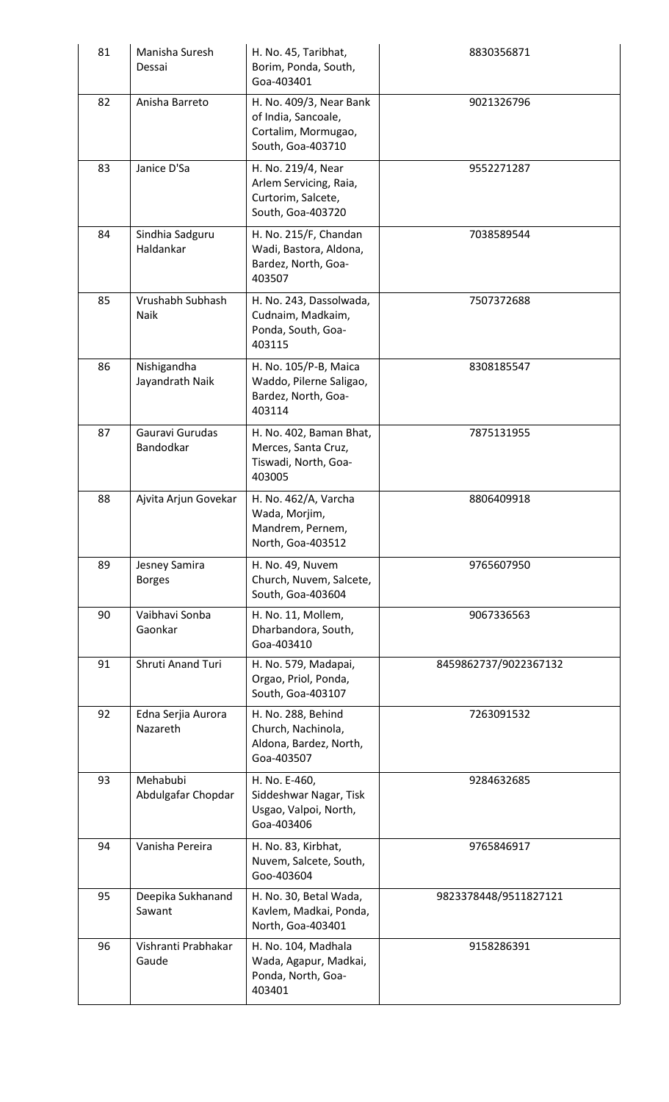| Manisha Suresh<br>Dessai       | H. No. 45, Taribhat,<br>Borim, Ponda, South,<br>Goa-403401                                 | 8830356871            |
|--------------------------------|--------------------------------------------------------------------------------------------|-----------------------|
| Anisha Barreto                 | H. No. 409/3, Near Bank<br>of India, Sancoale,<br>Cortalim, Mormugao,<br>South, Goa-403710 | 9021326796            |
| Janice D'Sa                    | H. No. 219/4, Near<br>Arlem Servicing, Raia,<br>Curtorim, Salcete,<br>South, Goa-403720    | 9552271287            |
| Sindhia Sadguru<br>Haldankar   | H. No. 215/F, Chandan<br>Wadi, Bastora, Aldona,<br>Bardez, North, Goa-<br>403507           | 7038589544            |
| Vrushabh Subhash<br>Naik       | H. No. 243, Dassolwada,<br>Cudnaim, Madkaim,<br>Ponda, South, Goa-<br>403115               | 7507372688            |
| Nishigandha<br>Jayandrath Naik | H. No. 105/P-B, Maica<br>Waddo, Pilerne Saligao,<br>Bardez, North, Goa-<br>403114          | 8308185547            |
| Gauravi Gurudas<br>Bandodkar   | H. No. 402, Baman Bhat,<br>Merces, Santa Cruz,<br>Tiswadi, North, Goa-<br>403005           | 7875131955            |
| Ajvita Arjun Govekar           | H. No. 462/A, Varcha<br>Wada, Morjim,<br>Mandrem, Pernem,<br>North, Goa-403512             | 8806409918            |
| Jesney Samira<br><b>Borges</b> | H. No. 49, Nuvem<br>Church, Nuvem, Salcete,<br>South, Goa-403604                           | 9765607950            |
| Vaibhavi Sonba<br>Gaonkar      | H. No. 11, Mollem,<br>Dharbandora, South,<br>Goa-403410                                    | 9067336563            |
| Shruti Anand Turi              | H. No. 579, Madapai,<br>Orgao, Priol, Ponda,<br>South, Goa-403107                          | 8459862737/9022367132 |
| Edna Serjia Aurora<br>Nazareth | H. No. 288, Behind<br>Church, Nachinola,<br>Aldona, Bardez, North,<br>Goa-403507           | 7263091532            |
| Mehabubi<br>Abdulgafar Chopdar | H. No. E-460,<br>Siddeshwar Nagar, Tisk<br>Usgao, Valpoi, North,<br>Goa-403406             | 9284632685            |
| Vanisha Pereira                | H. No. 83, Kirbhat,<br>Nuvem, Salcete, South,<br>Goo-403604                                | 9765846917            |
| Deepika Sukhanand<br>Sawant    | H. No. 30, Betal Wada,<br>Kavlem, Madkai, Ponda,<br>North, Goa-403401                      | 9823378448/9511827121 |
| Vishranti Prabhakar<br>Gaude   | H. No. 104, Madhala<br>Wada, Agapur, Madkai,<br>Ponda, North, Goa-<br>403401               | 9158286391            |
|                                |                                                                                            |                       |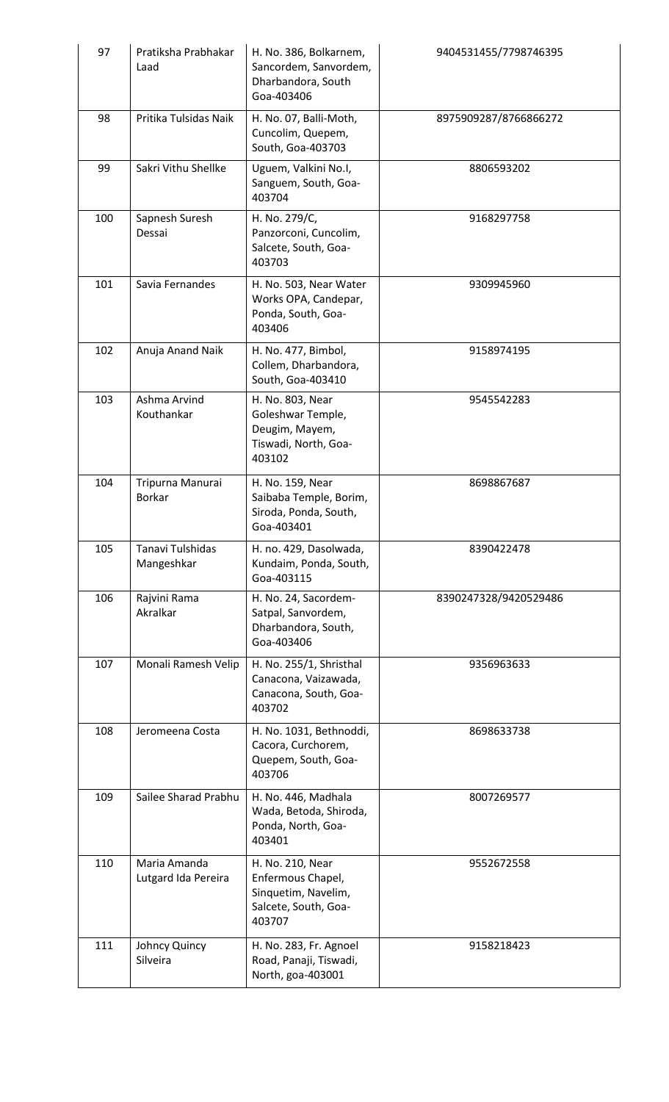| 97  | Pratiksha Prabhakar<br>Laad           | H. No. 386, Bolkarnem,<br>Sancordem, Sanvordem,<br>Dharbandora, South<br>Goa-403406            | 9404531455/7798746395 |
|-----|---------------------------------------|------------------------------------------------------------------------------------------------|-----------------------|
| 98  | Pritika Tulsidas Naik                 | H. No. 07, Balli-Moth,<br>Cuncolim, Quepem,<br>South, Goa-403703                               | 8975909287/8766866272 |
| 99  | Sakri Vithu Shellke                   | Uguem, Valkini No.I,<br>Sanguem, South, Goa-<br>403704                                         | 8806593202            |
| 100 | Sapnesh Suresh<br>Dessai              | H. No. 279/C,<br>Panzorconi, Cuncolim,<br>Salcete, South, Goa-<br>403703                       | 9168297758            |
| 101 | Savia Fernandes                       | H. No. 503, Near Water<br>Works OPA, Candepar,<br>Ponda, South, Goa-<br>403406                 | 9309945960            |
| 102 | Anuja Anand Naik                      | H. No. 477, Bimbol,<br>Collem, Dharbandora,<br>South, Goa-403410                               | 9158974195            |
| 103 | Ashma Arvind<br>Kouthankar            | H. No. 803, Near<br>Goleshwar Temple,<br>Deugim, Mayem,<br>Tiswadi, North, Goa-<br>403102      | 9545542283            |
| 104 | Tripurna Manurai<br>Borkar            | H. No. 159, Near<br>Saibaba Temple, Borim,<br>Siroda, Ponda, South,<br>Goa-403401              | 8698867687            |
| 105 | <b>Tanavi Tulshidas</b><br>Mangeshkar | H. no. 429, Dasolwada,<br>Kundaim, Ponda, South,<br>Goa-403115                                 | 8390422478            |
| 106 | Rajvini Rama<br>Akralkar              | H. No. 24, Sacordem-<br>Satpal, Sanvordem,<br>Dharbandora, South,<br>Goa-403406                | 8390247328/9420529486 |
| 107 | Monali Ramesh Velip                   | H. No. 255/1, Shristhal<br>Canacona, Vaizawada,<br>Canacona, South, Goa-<br>403702             | 9356963633            |
| 108 | Jeromeena Costa                       | H. No. 1031, Bethnoddi,<br>Cacora, Curchorem,<br>Quepem, South, Goa-<br>403706                 | 8698633738            |
| 109 | Sailee Sharad Prabhu                  | H. No. 446, Madhala<br>Wada, Betoda, Shiroda,<br>Ponda, North, Goa-<br>403401                  | 8007269577            |
| 110 | Maria Amanda<br>Lutgard Ida Pereira   | H. No. 210, Near<br>Enfermous Chapel,<br>Sinquetim, Navelim,<br>Salcete, South, Goa-<br>403707 | 9552672558            |
| 111 | Johncy Quincy<br>Silveira             | H. No. 283, Fr. Agnoel<br>Road, Panaji, Tiswadi,<br>North, goa-403001                          | 9158218423            |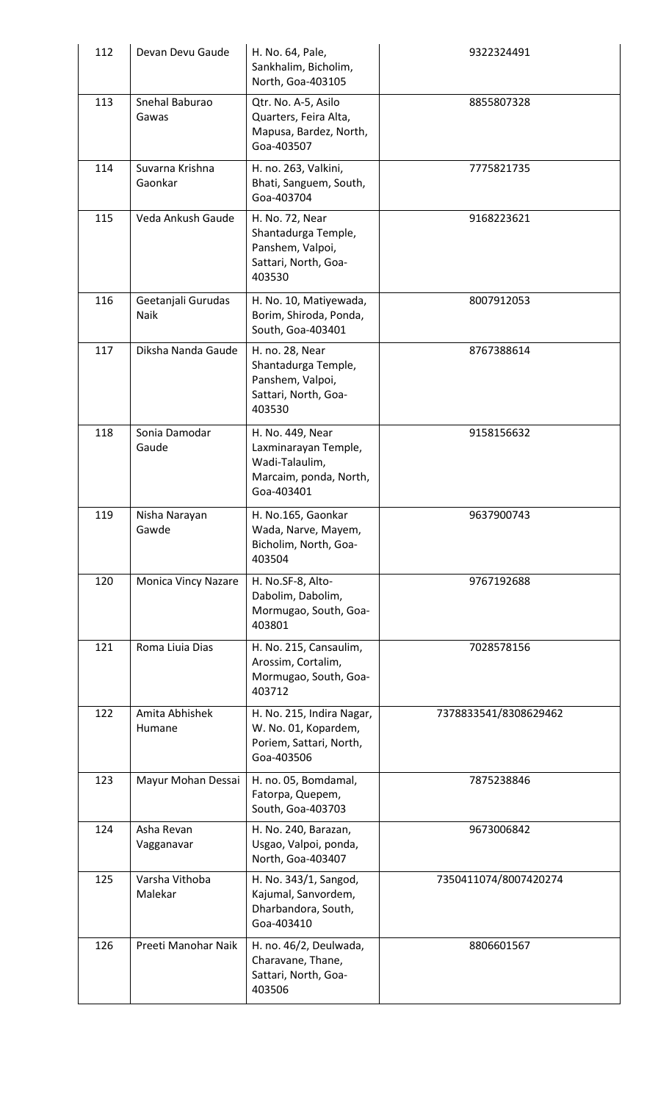| 112 | Devan Devu Gaude           | H. No. 64, Pale,<br>Sankhalim, Bicholim,<br>North, Goa-403105                                      | 9322324491            |
|-----|----------------------------|----------------------------------------------------------------------------------------------------|-----------------------|
| 113 | Snehal Baburao<br>Gawas    | Qtr. No. A-5, Asilo<br>Quarters, Feira Alta,<br>Mapusa, Bardez, North,<br>Goa-403507               | 8855807328            |
| 114 | Suvarna Krishna<br>Gaonkar | H. no. 263, Valkini,<br>Bhati, Sanguem, South,<br>Goa-403704                                       | 7775821735            |
| 115 | Veda Ankush Gaude          | H. No. 72, Near<br>Shantadurga Temple,<br>Panshem, Valpoi,<br>Sattari, North, Goa-<br>403530       | 9168223621            |
| 116 | Geetanjali Gurudas<br>Naik | H. No. 10, Matiyewada,<br>Borim, Shiroda, Ponda,<br>South, Goa-403401                              | 8007912053            |
| 117 | Diksha Nanda Gaude         | H. no. 28, Near<br>Shantadurga Temple,<br>Panshem, Valpoi,<br>Sattari, North, Goa-<br>403530       | 8767388614            |
| 118 | Sonia Damodar<br>Gaude     | H. No. 449, Near<br>Laxminarayan Temple,<br>Wadi-Talaulim,<br>Marcaim, ponda, North,<br>Goa-403401 | 9158156632            |
| 119 | Nisha Narayan<br>Gawde     | H. No.165, Gaonkar<br>Wada, Narve, Mayem,<br>Bicholim, North, Goa-<br>403504                       | 9637900743            |
| 120 | <b>Monica Vincy Nazare</b> | H. No.SF-8, Alto-<br>Dabolim, Dabolim,<br>Mormugao, South, Goa-<br>403801                          | 9767192688            |
| 121 | Roma Liuia Dias            | H. No. 215, Cansaulim,<br>Arossim, Cortalim,<br>Mormugao, South, Goa-<br>403712                    | 7028578156            |
| 122 | Amita Abhishek<br>Humane   | H. No. 215, Indira Nagar,<br>W. No. 01, Kopardem,<br>Poriem, Sattari, North,<br>Goa-403506         | 7378833541/8308629462 |
| 123 | Mayur Mohan Dessai         | H. no. 05, Bomdamal,<br>Fatorpa, Quepem,<br>South, Goa-403703                                      | 7875238846            |
| 124 | Asha Revan<br>Vagganavar   | H. No. 240, Barazan,<br>Usgao, Valpoi, ponda,<br>North, Goa-403407                                 | 9673006842            |
| 125 | Varsha Vithoba<br>Malekar  | H. No. 343/1, Sangod,<br>Kajumal, Sanvordem,<br>Dharbandora, South,<br>Goa-403410                  | 7350411074/8007420274 |
| 126 | Preeti Manohar Naik        | H. no. 46/2, Deulwada,<br>Charavane, Thane,<br>Sattari, North, Goa-<br>403506                      | 8806601567            |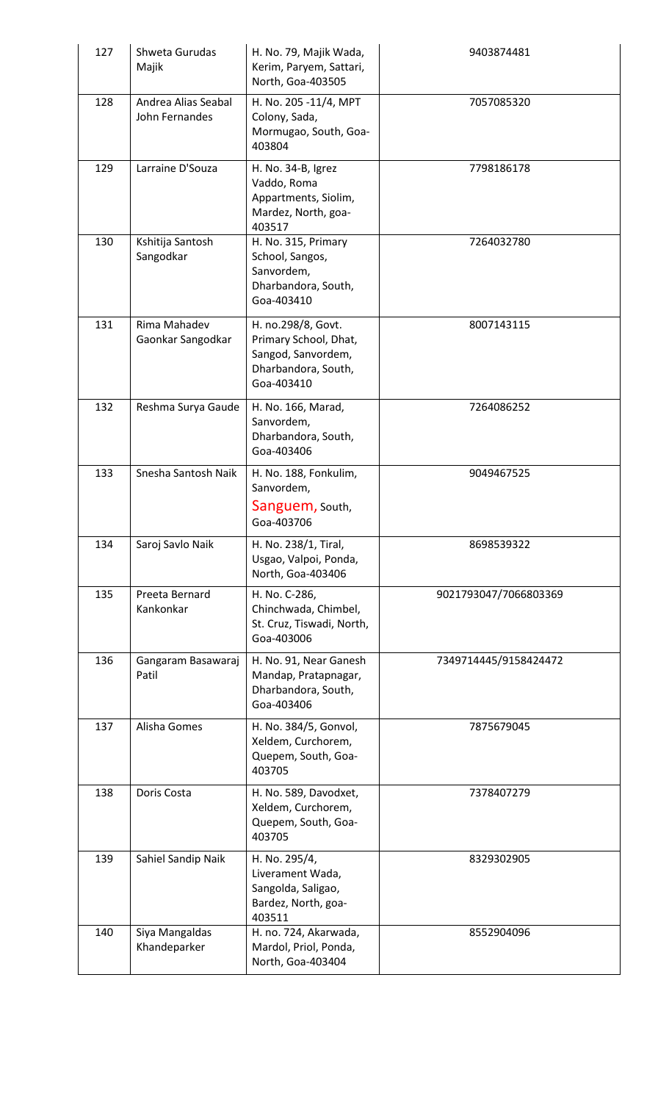| 127 | Shweta Gurudas<br>Majik               | H. No. 79, Majik Wada,<br>Kerim, Paryem, Sattari,<br>North, Goa-403505                                 | 9403874481            |
|-----|---------------------------------------|--------------------------------------------------------------------------------------------------------|-----------------------|
| 128 | Andrea Alias Seabal<br>John Fernandes | H. No. 205 -11/4, MPT<br>Colony, Sada,<br>Mormugao, South, Goa-<br>403804                              | 7057085320            |
| 129 | Larraine D'Souza                      | H. No. 34-B, Igrez<br>Vaddo, Roma<br>Appartments, Siolim,<br>Mardez, North, goa-<br>403517             | 7798186178            |
| 130 | Kshitija Santosh<br>Sangodkar         | H. No. 315, Primary<br>School, Sangos,<br>Sanvordem,<br>Dharbandora, South,<br>Goa-403410              | 7264032780            |
| 131 | Rima Mahadev<br>Gaonkar Sangodkar     | H. no.298/8, Govt.<br>Primary School, Dhat,<br>Sangod, Sanvordem,<br>Dharbandora, South,<br>Goa-403410 | 8007143115            |
| 132 | Reshma Surya Gaude                    | H. No. 166, Marad,<br>Sanvordem,<br>Dharbandora, South,<br>Goa-403406                                  | 7264086252            |
| 133 | Snesha Santosh Naik                   | H. No. 188, Fonkulim,<br>Sanvordem,<br>Sanguem, South,<br>Goa-403706                                   | 9049467525            |
| 134 | Saroj Savlo Naik                      | H. No. 238/1, Tiral,<br>Usgao, Valpoi, Ponda,<br>North, Goa-403406                                     | 8698539322            |
| 135 | Preeta Bernard<br>Kankonkar           | H. No. C-286,<br>Chinchwada, Chimbel,<br>St. Cruz, Tiswadi, North,<br>Goa-403006                       | 9021793047/7066803369 |
| 136 | Gangaram Basawaraj<br>Patil           | H. No. 91, Near Ganesh<br>Mandap, Pratapnagar,<br>Dharbandora, South,<br>Goa-403406                    | 7349714445/9158424472 |
| 137 | Alisha Gomes                          | H. No. 384/5, Gonvol,<br>Xeldem, Curchorem,<br>Quepem, South, Goa-<br>403705                           | 7875679045            |
| 138 | Doris Costa                           | H. No. 589, Davodxet,<br>Xeldem, Curchorem,<br>Quepem, South, Goa-<br>403705                           | 7378407279            |
| 139 | Sahiel Sandip Naik                    | H. No. 295/4,<br>Liverament Wada,<br>Sangolda, Saligao,<br>Bardez, North, goa-<br>403511               | 8329302905            |
| 140 | Siya Mangaldas<br>Khandeparker        | H. no. 724, Akarwada,<br>Mardol, Priol, Ponda,<br>North, Goa-403404                                    | 8552904096            |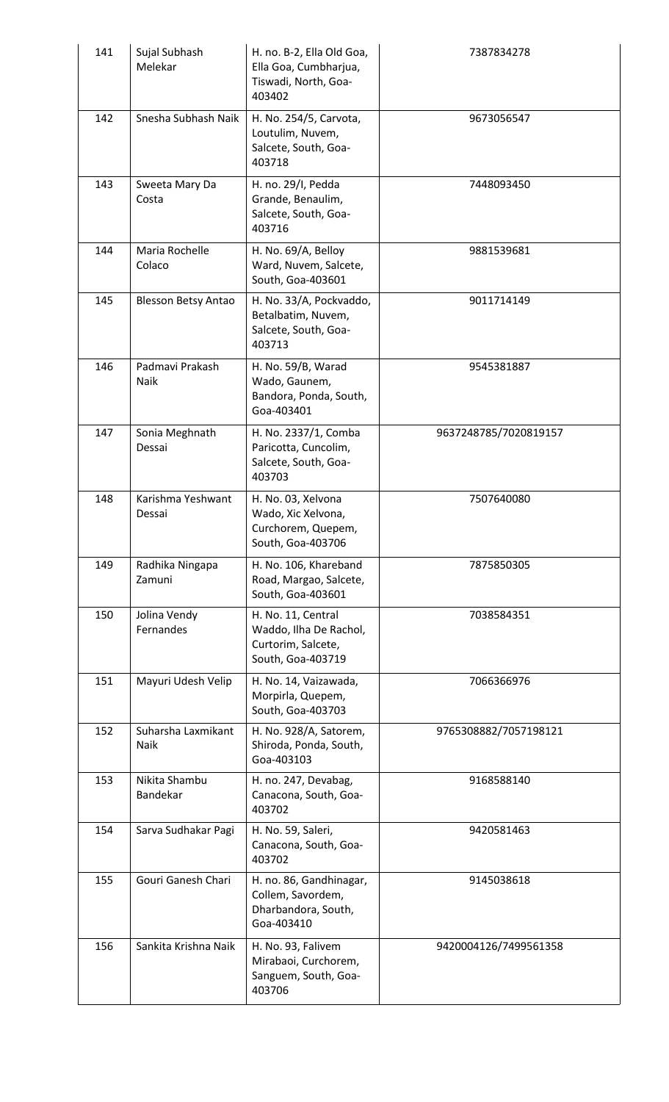| 141 | Sujal Subhash<br>Melekar    | H. no. B-2, Ella Old Goa,<br>Ella Goa, Cumbharjua,<br>Tiswadi, North, Goa-<br>403402    | 7387834278            |
|-----|-----------------------------|-----------------------------------------------------------------------------------------|-----------------------|
| 142 | Snesha Subhash Naik         | H. No. 254/5, Carvota,<br>Loutulim, Nuvem,<br>Salcete, South, Goa-<br>403718            | 9673056547            |
| 143 | Sweeta Mary Da<br>Costa     | H. no. 29/I, Pedda<br>Grande, Benaulim,<br>Salcete, South, Goa-<br>403716               | 7448093450            |
| 144 | Maria Rochelle<br>Colaco    | H. No. 69/A, Belloy<br>Ward, Nuvem, Salcete,<br>South, Goa-403601                       | 9881539681            |
| 145 | <b>Blesson Betsy Antao</b>  | H. No. 33/A, Pockvaddo,<br>Betalbatim, Nuvem,<br>Salcete, South, Goa-<br>403713         | 9011714149            |
| 146 | Padmavi Prakash<br>Naik     | H. No. 59/B, Warad<br>Wado, Gaunem,<br>Bandora, Ponda, South,<br>Goa-403401             | 9545381887            |
| 147 | Sonia Meghnath<br>Dessai    | H. No. 2337/1, Comba<br>Paricotta, Cuncolim,<br>Salcete, South, Goa-<br>403703          | 9637248785/7020819157 |
| 148 | Karishma Yeshwant<br>Dessai | H. No. 03, Xelvona<br>Wado, Xic Xelvona,<br>Curchorem, Quepem,<br>South, Goa-403706     | 7507640080            |
| 149 | Radhika Ningapa<br>Zamuni   | H. No. 106, Khareband<br>Road, Margao, Salcete,<br>South, Goa-403601                    | 7875850305            |
| 150 | Jolina Vendy<br>Fernandes   | H. No. 11, Central<br>Waddo, Ilha De Rachol,<br>Curtorim, Salcete,<br>South, Goa-403719 | 7038584351            |
| 151 | Mayuri Udesh Velip          | H. No. 14, Vaizawada,<br>Morpirla, Quepem,<br>South, Goa-403703                         | 7066366976            |
| 152 | Suharsha Laxmikant<br>Naik  | H. No. 928/A, Satorem,<br>Shiroda, Ponda, South,<br>Goa-403103                          | 9765308882/7057198121 |
| 153 | Nikita Shambu<br>Bandekar   | H. no. 247, Devabag,<br>Canacona, South, Goa-<br>403702                                 | 9168588140            |
| 154 | Sarva Sudhakar Pagi         | H. No. 59, Saleri,<br>Canacona, South, Goa-<br>403702                                   | 9420581463            |
| 155 | Gouri Ganesh Chari          | H. no. 86, Gandhinagar,<br>Collem, Savordem,<br>Dharbandora, South,<br>Goa-403410       | 9145038618            |
| 156 | Sankita Krishna Naik        | H. No. 93, Falivem<br>Mirabaoi, Curchorem,<br>Sanguem, South, Goa-<br>403706            | 9420004126/7499561358 |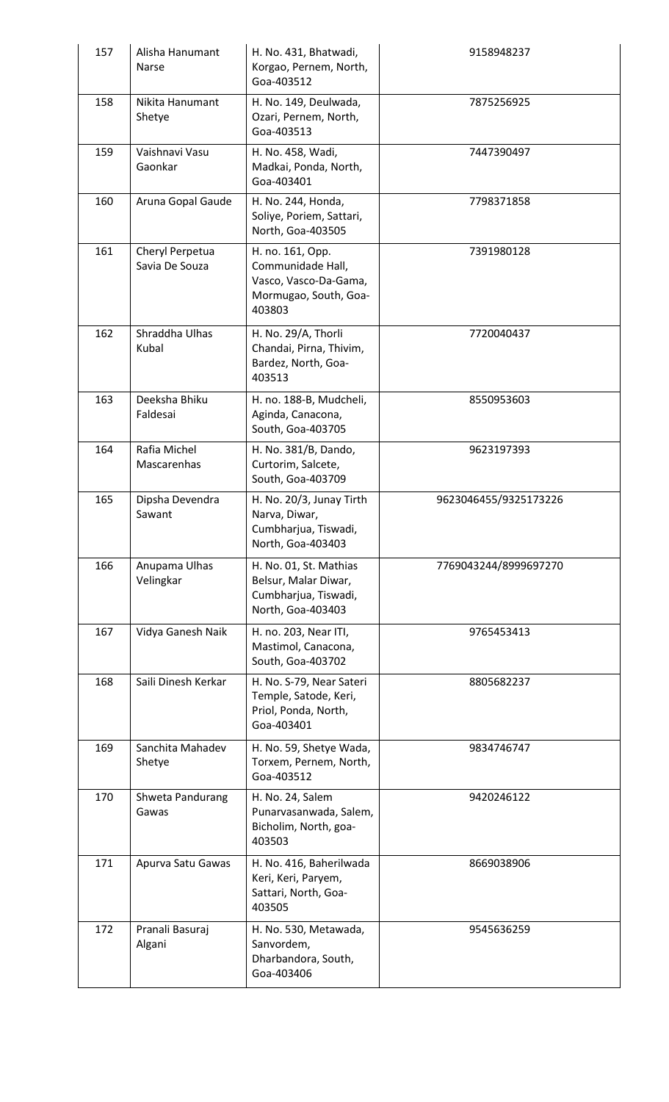| 157 | Alisha Hanumant<br>Narse          | H. No. 431, Bhatwadi,<br>Korgao, Pernem, North,<br>Goa-403512                                     | 9158948237            |
|-----|-----------------------------------|---------------------------------------------------------------------------------------------------|-----------------------|
| 158 | Nikita Hanumant<br>Shetye         | H. No. 149, Deulwada,<br>Ozari, Pernem, North,<br>Goa-403513                                      | 7875256925            |
| 159 | Vaishnavi Vasu<br>Gaonkar         | H. No. 458, Wadi,<br>Madkai, Ponda, North,<br>Goa-403401                                          | 7447390497            |
| 160 | Aruna Gopal Gaude                 | H. No. 244, Honda,<br>Soliye, Poriem, Sattari,<br>North, Goa-403505                               | 7798371858            |
| 161 | Cheryl Perpetua<br>Savia De Souza | H. no. 161, Opp.<br>Communidade Hall,<br>Vasco, Vasco-Da-Gama,<br>Mormugao, South, Goa-<br>403803 | 7391980128            |
| 162 | Shraddha Ulhas<br>Kubal           | H. No. 29/A, Thorli<br>Chandai, Pirna, Thivim,<br>Bardez, North, Goa-<br>403513                   | 7720040437            |
| 163 | Deeksha Bhiku<br>Faldesai         | H. no. 188-B, Mudcheli,<br>Aginda, Canacona,<br>South, Goa-403705                                 | 8550953603            |
| 164 | Rafia Michel<br>Mascarenhas       | H. No. 381/B, Dando,<br>Curtorim, Salcete,<br>South, Goa-403709                                   | 9623197393            |
| 165 | Dipsha Devendra<br>Sawant         | H. No. 20/3, Junay Tirth<br>Narva, Diwar,<br>Cumbharjua, Tiswadi,<br>North, Goa-403403            | 9623046455/9325173226 |
| 166 | Anupama Ulhas<br>Velingkar        | H. No. 01, St. Mathias<br>Belsur, Malar Diwar,<br>Cumbharjua, Tiswadi,<br>North, Goa-403403       | 7769043244/8999697270 |
| 167 | Vidya Ganesh Naik                 | H. no. 203, Near ITI,<br>Mastimol, Canacona,<br>South, Goa-403702                                 | 9765453413            |
| 168 | Saili Dinesh Kerkar               | H. No. S-79, Near Sateri<br>Temple, Satode, Keri,<br>Priol, Ponda, North,<br>Goa-403401           | 8805682237            |
| 169 | Sanchita Mahadev<br>Shetye        | H. No. 59, Shetye Wada,<br>Torxem, Pernem, North,<br>Goa-403512                                   | 9834746747            |
| 170 | Shweta Pandurang<br>Gawas         | H. No. 24, Salem<br>Punarvasanwada, Salem,<br>Bicholim, North, goa-<br>403503                     | 9420246122            |
| 171 | Apurva Satu Gawas                 | H. No. 416, Baherilwada<br>Keri, Keri, Paryem,<br>Sattari, North, Goa-<br>403505                  | 8669038906            |
| 172 | Pranali Basuraj<br>Algani         | H. No. 530, Metawada,<br>Sanvordem,<br>Dharbandora, South,<br>Goa-403406                          | 9545636259            |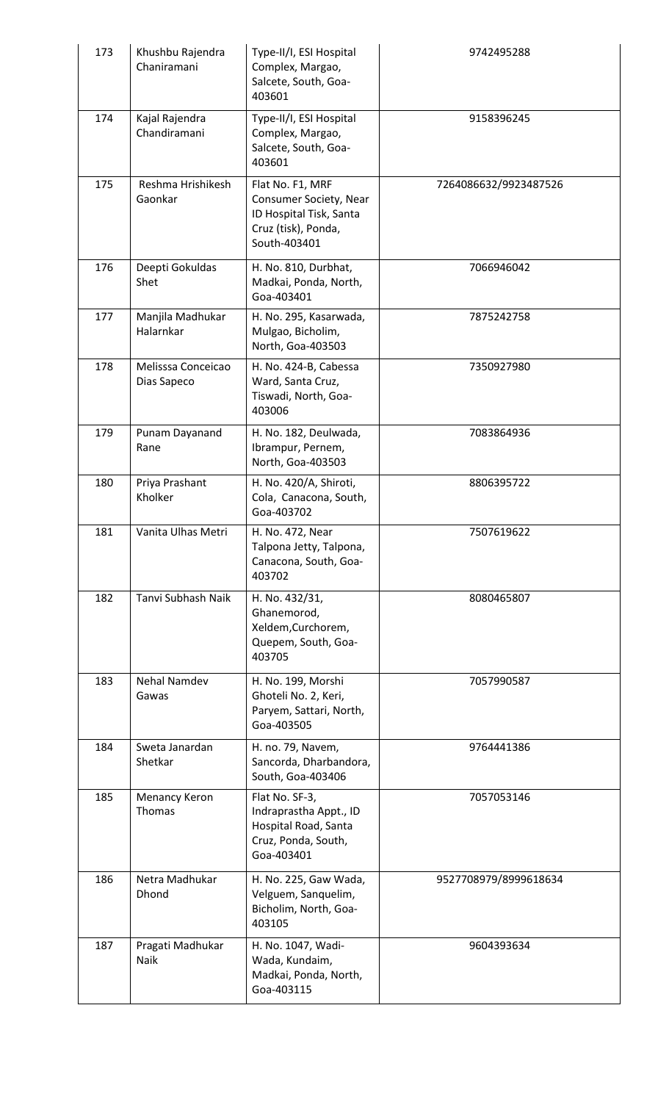| 173 | Khushbu Rajendra<br>Chaniramani   | Type-II/I, ESI Hospital<br>Complex, Margao,<br>Salcete, South, Goa-<br>403601                                | 9742495288            |
|-----|-----------------------------------|--------------------------------------------------------------------------------------------------------------|-----------------------|
| 174 | Kajal Rajendra<br>Chandiramani    | Type-II/I, ESI Hospital<br>Complex, Margao,<br>Salcete, South, Goa-<br>403601                                | 9158396245            |
| 175 | Reshma Hrishikesh<br>Gaonkar      | Flat No. F1, MRF<br>Consumer Society, Near<br>ID Hospital Tisk, Santa<br>Cruz (tisk), Ponda,<br>South-403401 | 7264086632/9923487526 |
| 176 | Deepti Gokuldas<br>Shet           | H. No. 810, Durbhat,<br>Madkai, Ponda, North,<br>Goa-403401                                                  | 7066946042            |
| 177 | Manjila Madhukar<br>Halarnkar     | H. No. 295, Kasarwada,<br>Mulgao, Bicholim,<br>North, Goa-403503                                             | 7875242758            |
| 178 | Melisssa Conceicao<br>Dias Sapeco | H. No. 424-B, Cabessa<br>Ward, Santa Cruz,<br>Tiswadi, North, Goa-<br>403006                                 | 7350927980            |
| 179 | Punam Dayanand<br>Rane            | H. No. 182, Deulwada,<br>Ibrampur, Pernem,<br>North, Goa-403503                                              | 7083864936            |
| 180 | Priya Prashant<br>Kholker         | H. No. 420/A, Shiroti,<br>Cola, Canacona, South,<br>Goa-403702                                               | 8806395722            |
| 181 | Vanita Ulhas Metri                | H. No. 472, Near<br>Talpona Jetty, Talpona,<br>Canacona, South, Goa-<br>403702                               | 7507619622            |
| 182 | Tanvi Subhash Naik                | H. No. 432/31,<br>Ghanemorod,<br>Xeldem, Curchorem,<br>Quepem, South, Goa-<br>403705                         | 8080465807            |
| 183 | Nehal Namdev<br>Gawas             | H. No. 199, Morshi<br>Ghoteli No. 2, Keri,<br>Paryem, Sattari, North,<br>Goa-403505                          | 7057990587            |
| 184 | Sweta Janardan<br>Shetkar         | H. no. 79, Navem,<br>Sancorda, Dharbandora,<br>South, Goa-403406                                             | 9764441386            |
| 185 | Menancy Keron<br>Thomas           | Flat No. SF-3,<br>Indraprastha Appt., ID<br>Hospital Road, Santa<br>Cruz, Ponda, South,<br>Goa-403401        | 7057053146            |
| 186 | Netra Madhukar<br>Dhond           | H. No. 225, Gaw Wada,<br>Velguem, Sanquelim,<br>Bicholim, North, Goa-<br>403105                              | 9527708979/8999618634 |
| 187 | Pragati Madhukar<br>Naik          | H. No. 1047, Wadi-<br>Wada, Kundaim,<br>Madkai, Ponda, North,<br>Goa-403115                                  | 9604393634            |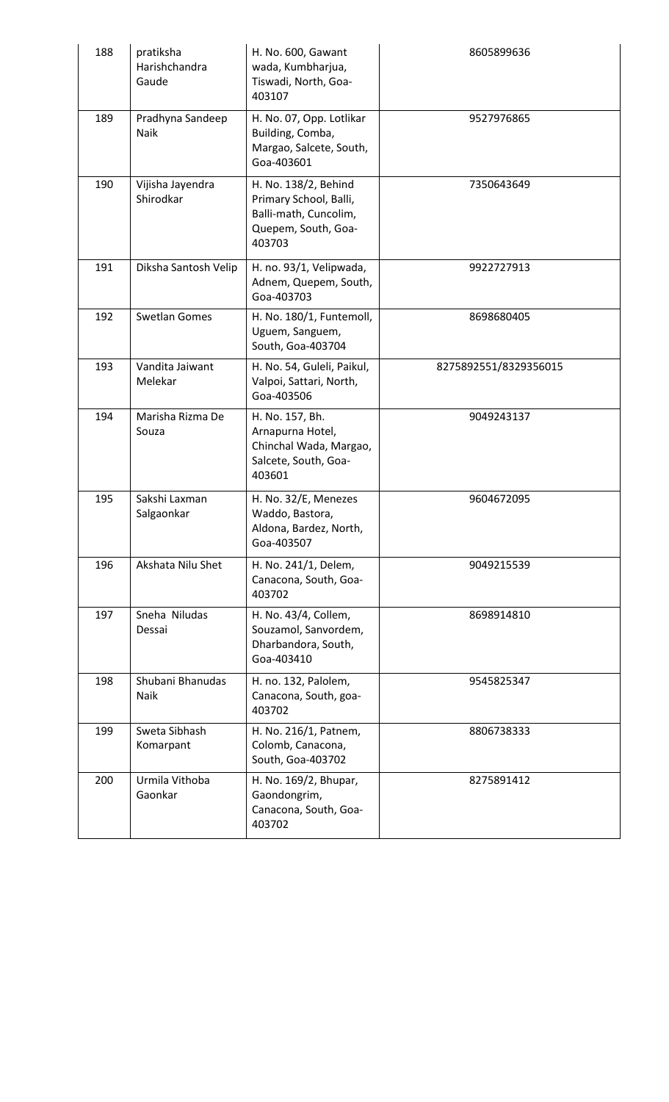| 188 | pratiksha<br>Harishchandra<br>Gaude | H. No. 600, Gawant<br>wada, Kumbharjua,<br>Tiswadi, North, Goa-<br>403107                                | 8605899636            |
|-----|-------------------------------------|----------------------------------------------------------------------------------------------------------|-----------------------|
| 189 | Pradhyna Sandeep<br>Naik            | H. No. 07, Opp. Lotlikar<br>Building, Comba,<br>Margao, Salcete, South,<br>Goa-403601                    | 9527976865            |
| 190 | Vijisha Jayendra<br>Shirodkar       | H. No. 138/2, Behind<br>Primary School, Balli,<br>Balli-math, Cuncolim,<br>Quepem, South, Goa-<br>403703 | 7350643649            |
| 191 | Diksha Santosh Velip                | H. no. 93/1, Velipwada,<br>Adnem, Quepem, South,<br>Goa-403703                                           | 9922727913            |
| 192 | <b>Swetlan Gomes</b>                | H. No. 180/1, Funtemoll,<br>Uguem, Sanguem,<br>South, Goa-403704                                         | 8698680405            |
| 193 | Vandita Jaiwant<br>Melekar          | H. No. 54, Guleli, Paikul,<br>Valpoi, Sattari, North,<br>Goa-403506                                      | 8275892551/8329356015 |
| 194 | Marisha Rizma De<br>Souza           | H. No. 157, Bh.<br>Arnapurna Hotel,<br>Chinchal Wada, Margao,<br>Salcete, South, Goa-<br>403601          | 9049243137            |
| 195 | Sakshi Laxman<br>Salgaonkar         | H. No. 32/E, Menezes<br>Waddo, Bastora,<br>Aldona, Bardez, North,<br>Goa-403507                          | 9604672095            |
| 196 | Akshata Nilu Shet                   | H. No. 241/1, Delem,<br>Canacona, South, Goa-<br>403702                                                  | 9049215539            |
| 197 | Sneha Niludas<br>Dessai             | H. No. 43/4, Collem,<br>Souzamol, Sanvordem,<br>Dharbandora, South,<br>Goa-403410                        | 8698914810            |
| 198 | Shubani Bhanudas<br>Naik            | H. no. 132, Palolem,<br>Canacona, South, goa-<br>403702                                                  | 9545825347            |
| 199 | Sweta Sibhash<br>Komarpant          | H. No. 216/1, Patnem,<br>Colomb, Canacona,<br>South, Goa-403702                                          | 8806738333            |
| 200 | Urmila Vithoba<br>Gaonkar           | H. No. 169/2, Bhupar,<br>Gaondongrim,<br>Canacona, South, Goa-<br>403702                                 | 8275891412            |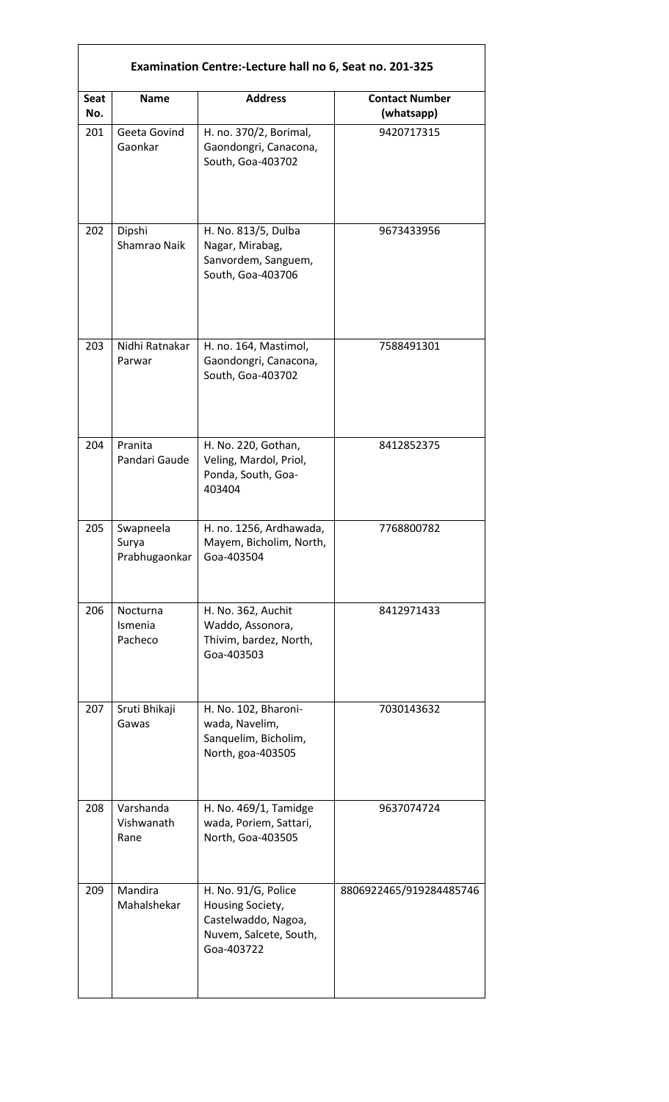|             |                                     | Examination Centre:-Lecture hall no 6, Seat no. 201-325                                                |                                     |
|-------------|-------------------------------------|--------------------------------------------------------------------------------------------------------|-------------------------------------|
| Seat<br>No. | <b>Name</b>                         | <b>Address</b>                                                                                         | <b>Contact Number</b><br>(whatsapp) |
| 201         | Geeta Govind<br>Gaonkar             | H. no. 370/2, Borimal,<br>Gaondongri, Canacona,<br>South, Goa-403702                                   | 9420717315                          |
| 202         | Dipshi<br>Shamrao Naik              | H. No. 813/5, Dulba<br>Nagar, Mirabag,<br>Sanvordem, Sanguem,<br>South, Goa-403706                     | 9673433956                          |
| 203         | Nidhi Ratnakar<br>Parwar            | H. no. 164, Mastimol,<br>Gaondongri, Canacona,<br>South, Goa-403702                                    | 7588491301                          |
| 204         | Pranita<br>Pandari Gaude            | H. No. 220, Gothan,<br>Veling, Mardol, Priol,<br>Ponda, South, Goa-<br>403404                          | 8412852375                          |
| 205         | Swapneela<br>Surya<br>Prabhugaonkar | H. no. 1256, Ardhawada,<br>Mayem, Bicholim, North,<br>Goa-403504                                       | 7768800782                          |
| 206         | Nocturna<br>Ismenia<br>Pacheco      | H. No. 362, Auchit<br>Waddo, Assonora,<br>Thivim, bardez, North,<br>Goa-403503                         | 8412971433                          |
| 207         | Sruti Bhikaji<br>Gawas              | H. No. 102, Bharoni-<br>wada, Navelim,<br>Sanquelim, Bicholim,<br>North, goa-403505                    | 7030143632                          |
| 208         | Varshanda<br>Vishwanath<br>Rane     | H. No. 469/1, Tamidge<br>wada, Poriem, Sattari,<br>North, Goa-403505                                   | 9637074724                          |
| 209         | Mandira<br>Mahalshekar              | H. No. 91/G, Police<br>Housing Society,<br>Castelwaddo, Nagoa,<br>Nuvem, Salcete, South,<br>Goa-403722 | 8806922465/919284485746             |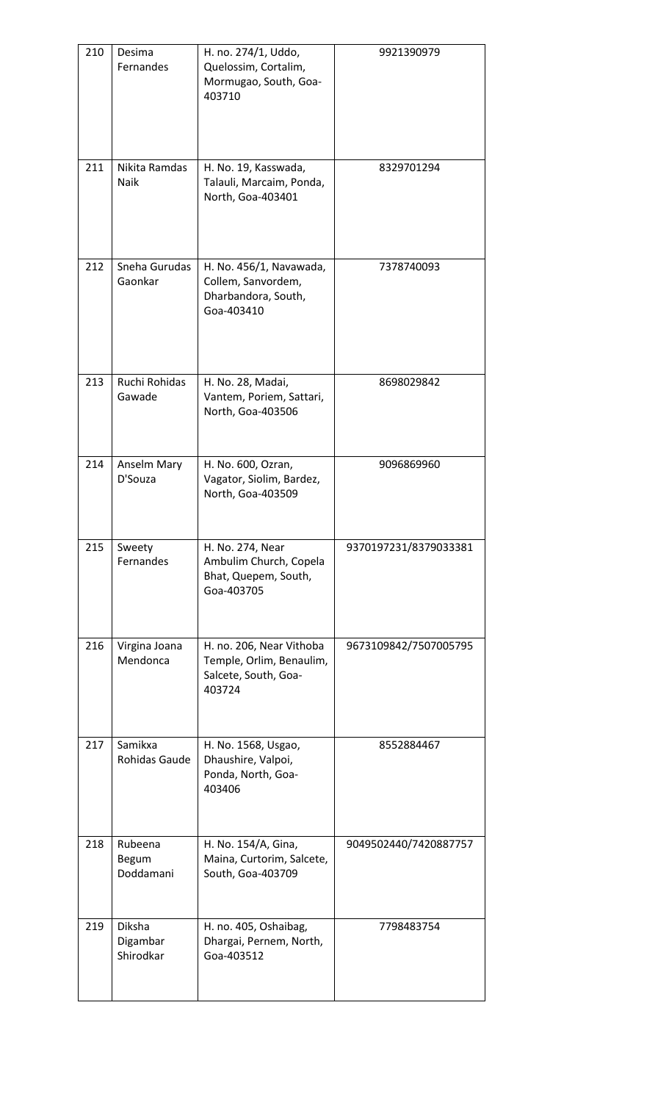| 210 | Desima<br>Fernandes             | H. no. 274/1, Uddo,<br>Quelossim, Cortalim,<br>Mormugao, South, Goa-<br>403710         | 9921390979            |
|-----|---------------------------------|----------------------------------------------------------------------------------------|-----------------------|
| 211 | Nikita Ramdas<br>Naik           | H. No. 19, Kasswada,<br>Talauli, Marcaim, Ponda,<br>North, Goa-403401                  | 8329701294            |
| 212 | Sneha Gurudas<br>Gaonkar        | H. No. 456/1, Navawada,<br>Collem, Sanvordem,<br>Dharbandora, South,<br>Goa-403410     | 7378740093            |
| 213 | Ruchi Rohidas<br>Gawade         | H. No. 28, Madai,<br>Vantem, Poriem, Sattari,<br>North, Goa-403506                     | 8698029842            |
| 214 | Anselm Mary<br>D'Souza          | H. No. 600, Ozran,<br>Vagator, Siolim, Bardez,<br>North, Goa-403509                    | 9096869960            |
| 215 | Sweety<br>Fernandes             | H. No. 274, Near<br>Ambulim Church, Copela<br>Bhat, Quepem, South,<br>Goa-403705       | 9370197231/8379033381 |
| 216 | Virgina Joana<br>Mendonca       | H. no. 206, Near Vithoba<br>Temple, Orlim, Benaulim,<br>Salcete, South, Goa-<br>403724 | 9673109842/7507005795 |
| 217 | Samikxa<br>Rohidas Gaude        | H. No. 1568, Usgao,<br>Dhaushire, Valpoi,<br>Ponda, North, Goa-<br>403406              | 8552884467            |
| 218 | Rubeena<br>Begum<br>Doddamani   | H. No. 154/A, Gina,<br>Maina, Curtorim, Salcete,<br>South, Goa-403709                  | 9049502440/7420887757 |
| 219 | Diksha<br>Digambar<br>Shirodkar | H. no. 405, Oshaibag,<br>Dhargai, Pernem, North,<br>Goa-403512                         | 7798483754            |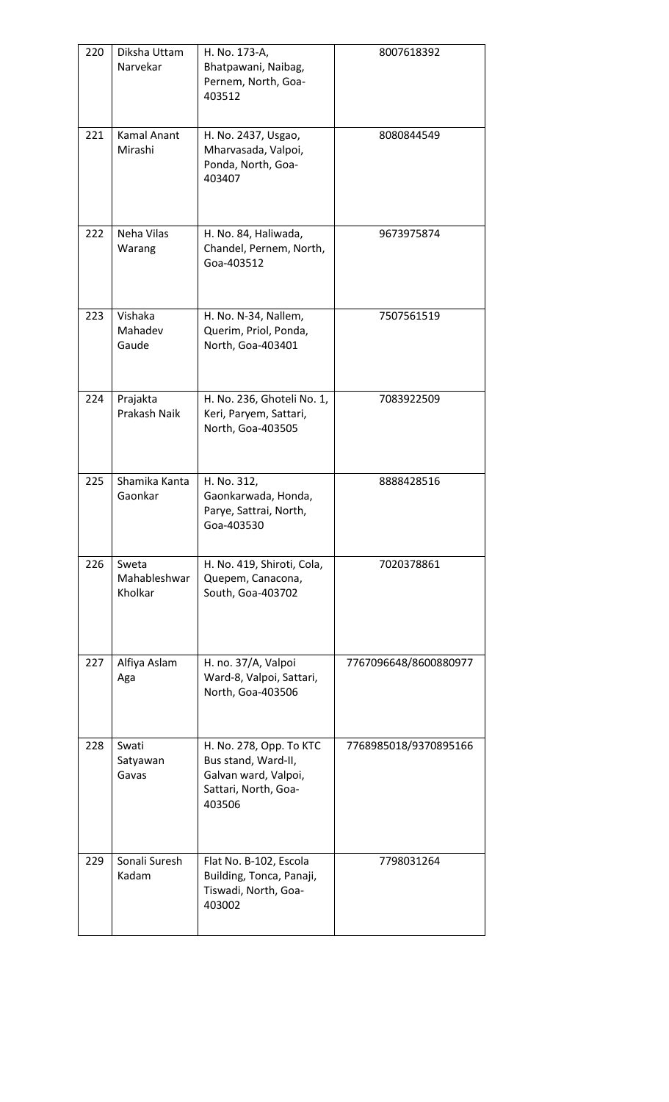| 220 | Diksha Uttam<br>Narvekar         | H. No. 173-A,<br>Bhatpawani, Naibag,<br>Pernem, North, Goa-<br>403512                                    | 8007618392            |
|-----|----------------------------------|----------------------------------------------------------------------------------------------------------|-----------------------|
| 221 | <b>Kamal Anant</b><br>Mirashi    | H. No. 2437, Usgao,<br>Mharvasada, Valpoi,<br>Ponda, North, Goa-<br>403407                               | 8080844549            |
| 222 | Neha Vilas<br>Warang             | H. No. 84, Haliwada,<br>Chandel, Pernem, North,<br>Goa-403512                                            | 9673975874            |
| 223 | Vishaka<br>Mahadev<br>Gaude      | H. No. N-34, Nallem,<br>Querim, Priol, Ponda,<br>North, Goa-403401                                       | 7507561519            |
| 224 | Prajakta<br>Prakash Naik         | H. No. 236, Ghoteli No. 1,<br>Keri, Paryem, Sattari,<br>North, Goa-403505                                | 7083922509            |
| 225 | Shamika Kanta<br>Gaonkar         | H. No. 312,<br>Gaonkarwada, Honda,<br>Parye, Sattrai, North,<br>Goa-403530                               | 8888428516            |
| 226 | Sweta<br>Mahableshwar<br>Kholkar | H. No. 419, Shiroti, Cola,<br>Quepem, Canacona,<br>South, Goa-403702                                     | 7020378861            |
| 227 | Alfiya Aslam<br>Aga              | H. no. 37/A, Valpoi<br>Ward-8, Valpoi, Sattari,<br>North, Goa-403506                                     | 7767096648/8600880977 |
| 228 | Swati<br>Satyawan<br>Gavas       | H. No. 278, Opp. To KTC<br>Bus stand, Ward-II,<br>Galvan ward, Valpoi,<br>Sattari, North, Goa-<br>403506 | 7768985018/9370895166 |
| 229 | Sonali Suresh<br>Kadam           | Flat No. B-102, Escola<br>Building, Tonca, Panaji,<br>Tiswadi, North, Goa-<br>403002                     | 7798031264            |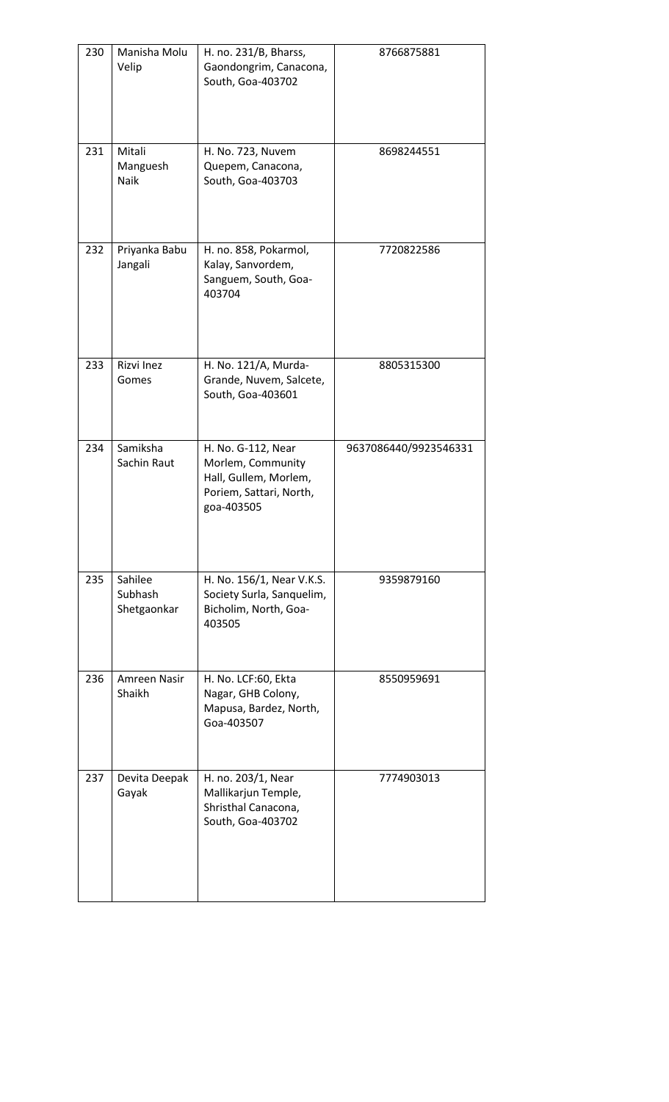| 230 | Manisha Molu<br>Velip             | H. no. 231/B, Bharss,<br>Gaondongrim, Canacona,<br>South, Goa-403702                                      | 8766875881            |
|-----|-----------------------------------|-----------------------------------------------------------------------------------------------------------|-----------------------|
| 231 | Mitali<br>Manguesh<br>Naik        | H. No. 723, Nuvem<br>Quepem, Canacona,<br>South, Goa-403703                                               | 8698244551            |
| 232 | Priyanka Babu<br>Jangali          | H. no. 858, Pokarmol,<br>Kalay, Sanvordem,<br>Sanguem, South, Goa-<br>403704                              | 7720822586            |
| 233 | Rizvi Inez<br>Gomes               | H. No. 121/A, Murda-<br>Grande, Nuvem, Salcete,<br>South, Goa-403601                                      | 8805315300            |
| 234 | Samiksha<br>Sachin Raut           | H. No. G-112, Near<br>Morlem, Community<br>Hall, Gullem, Morlem,<br>Poriem, Sattari, North,<br>goa-403505 | 9637086440/9923546331 |
| 235 | Sahilee<br>Subhash<br>Shetgaonkar | H. No. 156/1, Near V.K.S.<br>Society Surla, Sanquelim,<br>Bicholim, North, Goa-<br>403505                 | 9359879160            |
| 236 | Amreen Nasir<br>Shaikh            | H. No. LCF:60, Ekta<br>Nagar, GHB Colony,<br>Mapusa, Bardez, North,<br>Goa-403507                         | 8550959691            |
| 237 | Devita Deepak<br>Gayak            | H. no. 203/1, Near<br>Mallikarjun Temple,<br>Shristhal Canacona,<br>South, Goa-403702                     | 7774903013            |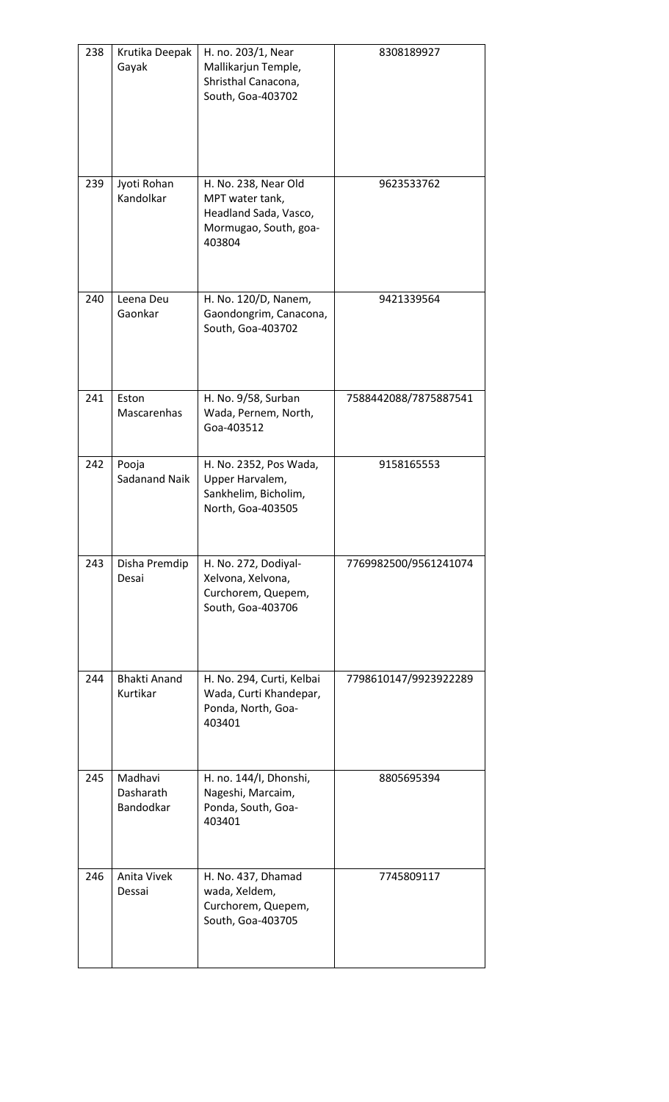| 238 | Krutika Deepak<br>Gayak           | H. no. 203/1, Near<br>Mallikarjun Temple,<br>Shristhal Canacona,<br>South, Goa-403702               | 8308189927            |
|-----|-----------------------------------|-----------------------------------------------------------------------------------------------------|-----------------------|
| 239 | Jyoti Rohan<br>Kandolkar          | H. No. 238, Near Old<br>MPT water tank,<br>Headland Sada, Vasco,<br>Mormugao, South, goa-<br>403804 | 9623533762            |
| 240 | Leena Deu<br>Gaonkar              | H. No. 120/D, Nanem,<br>Gaondongrim, Canacona,<br>South, Goa-403702                                 | 9421339564            |
| 241 | Eston<br>Mascarenhas              | H. No. 9/58, Surban<br>Wada, Pernem, North,<br>Goa-403512                                           | 7588442088/7875887541 |
| 242 | Pooja<br>Sadanand Naik            | H. No. 2352, Pos Wada,<br>Upper Harvalem,<br>Sankhelim, Bicholim,<br>North, Goa-403505              | 9158165553            |
| 243 | Disha Premdip<br>Desai            | H. No. 272, Dodiyal-<br>Xelvona, Xelvona,<br>Curchorem, Quepem,<br>South, Goa-403706                | 7769982500/9561241074 |
| 244 | <b>Bhakti Anand</b><br>Kurtikar   | H. No. 294, Curti, Kelbai<br>Wada, Curti Khandepar,<br>Ponda, North, Goa-<br>403401                 | 7798610147/9923922289 |
| 245 | Madhavi<br>Dasharath<br>Bandodkar | H. no. 144/I, Dhonshi,<br>Nageshi, Marcaim,<br>Ponda, South, Goa-<br>403401                         | 8805695394            |
| 246 | Anita Vivek<br>Dessai             | H. No. 437, Dhamad<br>wada, Xeldem,<br>Curchorem, Quepem,<br>South, Goa-403705                      | 7745809117            |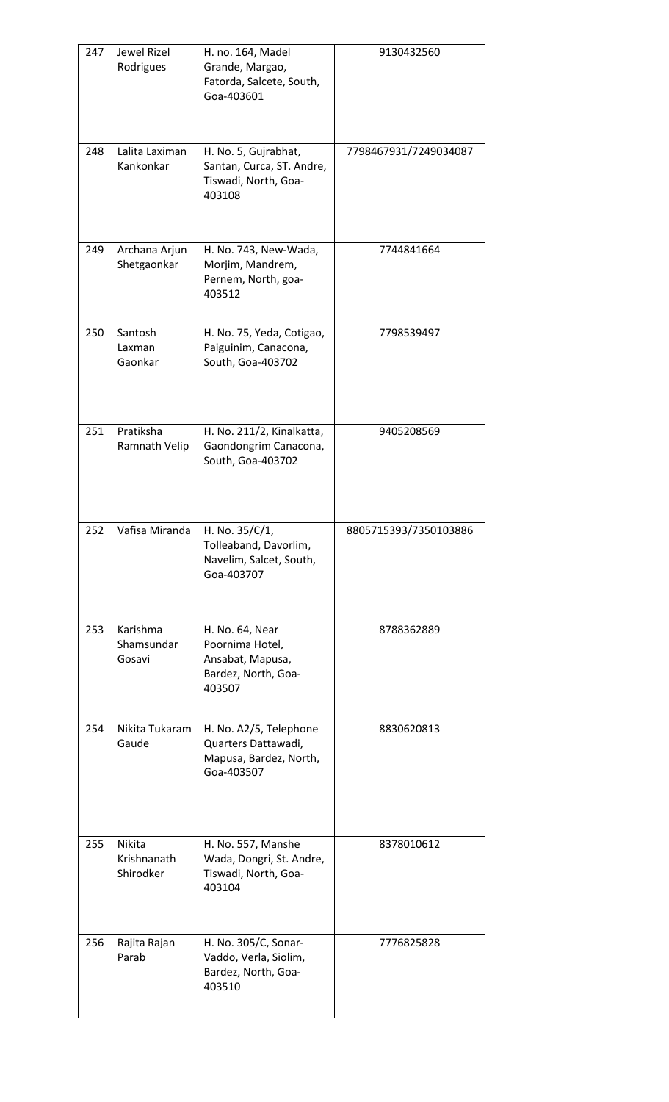| 247 | Jewel Rizel<br>Rodrigues           | H. no. 164, Madel<br>Grande, Margao,<br>Fatorda, Salcete, South,<br>Goa-403601          | 9130432560            |  |
|-----|------------------------------------|-----------------------------------------------------------------------------------------|-----------------------|--|
| 248 | Lalita Laximan<br>Kankonkar        | H. No. 5, Gujrabhat,<br>Santan, Curca, ST. Andre,<br>Tiswadi, North, Goa-<br>403108     | 7798467931/7249034087 |  |
| 249 | Archana Arjun<br>Shetgaonkar       | H. No. 743, New-Wada,<br>Morjim, Mandrem,<br>Pernem, North, goa-<br>403512              | 7744841664            |  |
| 250 | Santosh<br>Laxman<br>Gaonkar       | H. No. 75, Yeda, Cotigao,<br>Paiguinim, Canacona,<br>South, Goa-403702                  | 7798539497            |  |
| 251 | Pratiksha<br>Ramnath Velip         | H. No. 211/2, Kinalkatta,<br>Gaondongrim Canacona,<br>South, Goa-403702                 | 9405208569            |  |
| 252 | Vafisa Miranda                     | H. No. 35/C/1,<br>Tolleaband, Davorlim,<br>Navelim, Salcet, South,<br>Goa-403707        | 8805715393/7350103886 |  |
| 253 | Karishma<br>Shamsundar<br>Gosavi   | H. No. 64, Near<br>Poornima Hotel,<br>Ansabat, Mapusa,<br>Bardez, North, Goa-<br>403507 | 8788362889            |  |
| 254 | Nikita Tukaram<br>Gaude            | H. No. A2/5, Telephone<br>Quarters Dattawadi,<br>Mapusa, Bardez, North,<br>Goa-403507   | 8830620813            |  |
| 255 | Nikita<br>Krishnanath<br>Shirodker | H. No. 557, Manshe<br>Wada, Dongri, St. Andre,<br>Tiswadi, North, Goa-<br>403104        | 8378010612            |  |
| 256 | Rajita Rajan<br>Parab              | H. No. 305/C, Sonar-<br>Vaddo, Verla, Siolim,<br>Bardez, North, Goa-<br>403510          | 7776825828            |  |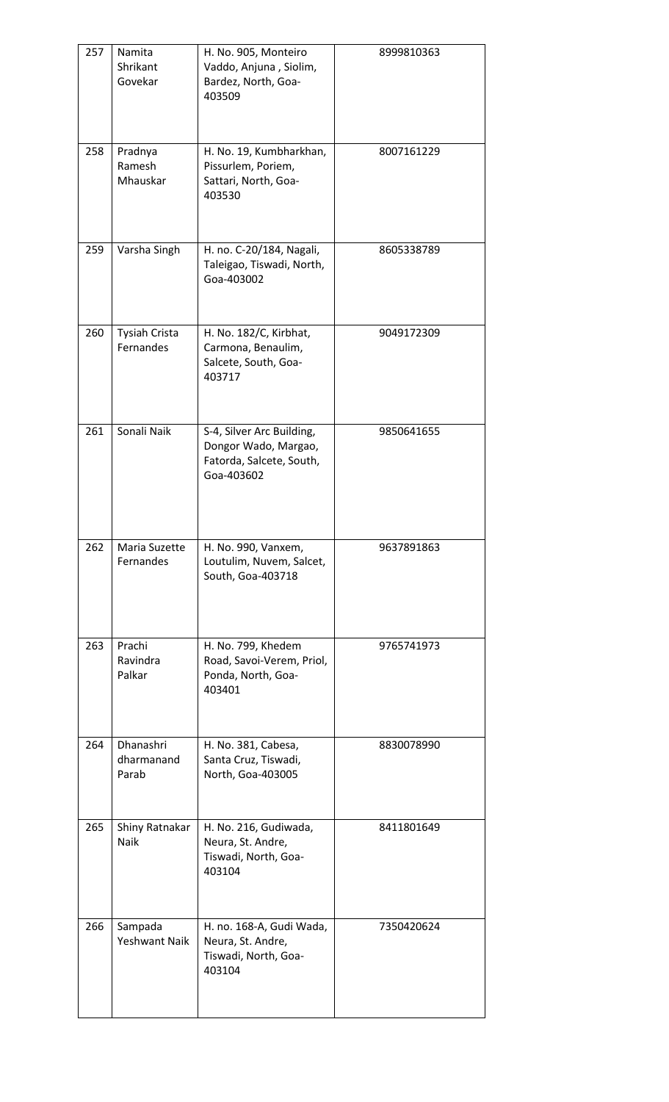| 257 | Namita<br>Shrikant<br>Govekar     | H. No. 905, Monteiro<br>Vaddo, Anjuna, Siolim,<br>Bardez, North, Goa-<br>403509             | 8999810363 |
|-----|-----------------------------------|---------------------------------------------------------------------------------------------|------------|
| 258 | Pradnya<br>Ramesh<br>Mhauskar     | H. No. 19, Kumbharkhan,<br>Pissurlem, Poriem,<br>Sattari, North, Goa-<br>403530             | 8007161229 |
| 259 | Varsha Singh                      | H. no. C-20/184, Nagali,<br>Taleigao, Tiswadi, North,<br>Goa-403002                         | 8605338789 |
| 260 | <b>Tysiah Crista</b><br>Fernandes | H. No. 182/C, Kirbhat,<br>Carmona, Benaulim,<br>Salcete, South, Goa-<br>403717              | 9049172309 |
| 261 | Sonali Naik                       | S-4, Silver Arc Building,<br>Dongor Wado, Margao,<br>Fatorda, Salcete, South,<br>Goa-403602 | 9850641655 |
| 262 | Maria Suzette<br>Fernandes        | H. No. 990, Vanxem,<br>Loutulim, Nuvem, Salcet,<br>South, Goa-403718                        | 9637891863 |
| 263 | Prachi<br>Ravindra<br>Palkar      | H. No. 799, Khedem<br>Road, Savoi-Verem, Priol,<br>Ponda, North, Goa-<br>403401             | 9765741973 |
| 264 | Dhanashri<br>dharmanand<br>Parab  | H. No. 381, Cabesa,<br>Santa Cruz, Tiswadi,<br>North, Goa-403005                            | 8830078990 |
| 265 | Shiny Ratnakar<br>Naik            | H. No. 216, Gudiwada,<br>Neura, St. Andre,<br>Tiswadi, North, Goa-<br>403104                | 8411801649 |
| 266 | Sampada<br><b>Yeshwant Naik</b>   | H. no. 168-A, Gudi Wada,<br>Neura, St. Andre,<br>Tiswadi, North, Goa-<br>403104             | 7350420624 |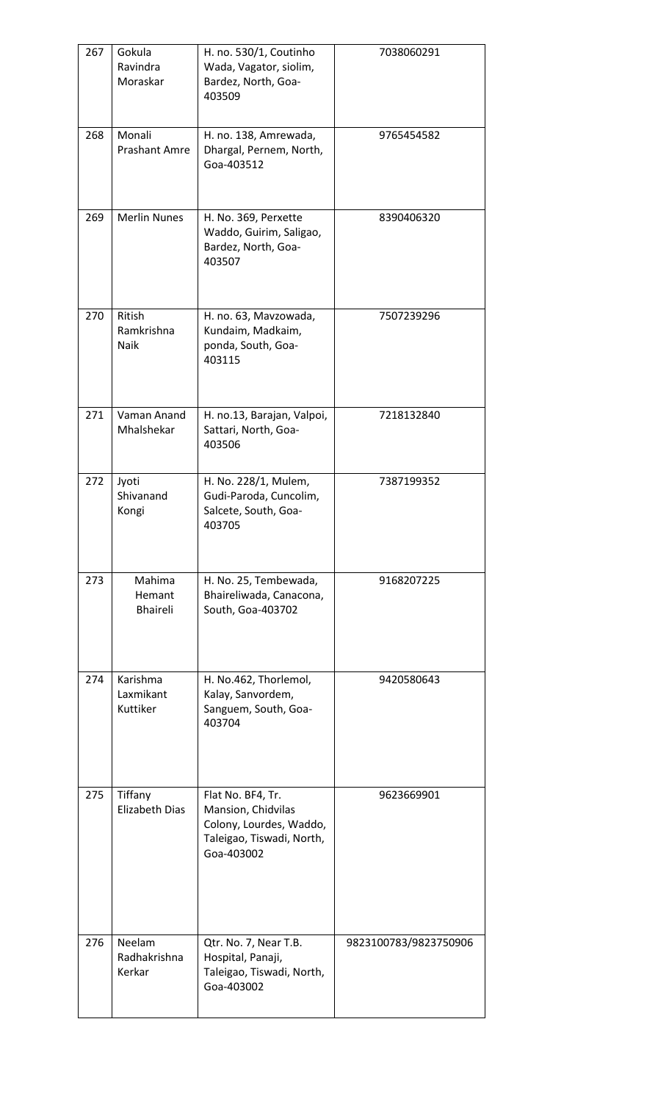| 267 | Gokula<br>Ravindra<br>Moraskar    | H. no. 530/1, Coutinho<br>Wada, Vagator, siolim,<br>Bardez, North, Goa-<br>403509                             | 7038060291            |  |
|-----|-----------------------------------|---------------------------------------------------------------------------------------------------------------|-----------------------|--|
| 268 | Monali<br><b>Prashant Amre</b>    | H. no. 138, Amrewada,<br>Dhargal, Pernem, North,<br>Goa-403512                                                | 9765454582            |  |
| 269 | <b>Merlin Nunes</b>               | H. No. 369, Perxette<br>Waddo, Guirim, Saligao,<br>Bardez, North, Goa-<br>403507                              | 8390406320            |  |
| 270 | Ritish<br>Ramkrishna<br>Naik      | H. no. 63, Mavzowada,<br>Kundaim, Madkaim,<br>ponda, South, Goa-<br>403115                                    | 7507239296            |  |
| 271 | Vaman Anand<br>Mhalshekar         | H. no.13, Barajan, Valpoi,<br>Sattari, North, Goa-<br>403506                                                  | 7218132840            |  |
| 272 | Jyoti<br>Shivanand<br>Kongi       | H. No. 228/1, Mulem,<br>Gudi-Paroda, Cuncolim,<br>Salcete, South, Goa-<br>403705                              | 7387199352            |  |
| 273 | Mahima<br>Hemant<br>Bhaireli      | H. No. 25, Tembewada,<br>Bhaireliwada, Canacona,<br>South, Goa-403702                                         | 9168207225            |  |
| 274 | Karishma<br>Laxmikant<br>Kuttiker | H. No.462, Thorlemol,<br>Kalay, Sanvordem,<br>Sanguem, South, Goa-<br>403704                                  | 9420580643            |  |
| 275 | Tiffany<br><b>Elizabeth Dias</b>  | Flat No. BF4, Tr.<br>Mansion, Chidvilas<br>Colony, Lourdes, Waddo,<br>Taleigao, Tiswadi, North,<br>Goa-403002 | 9623669901            |  |
| 276 | Neelam<br>Radhakrishna<br>Kerkar  | Qtr. No. 7, Near T.B.<br>Hospital, Panaji,<br>Taleigao, Tiswadi, North,<br>Goa-403002                         | 9823100783/9823750906 |  |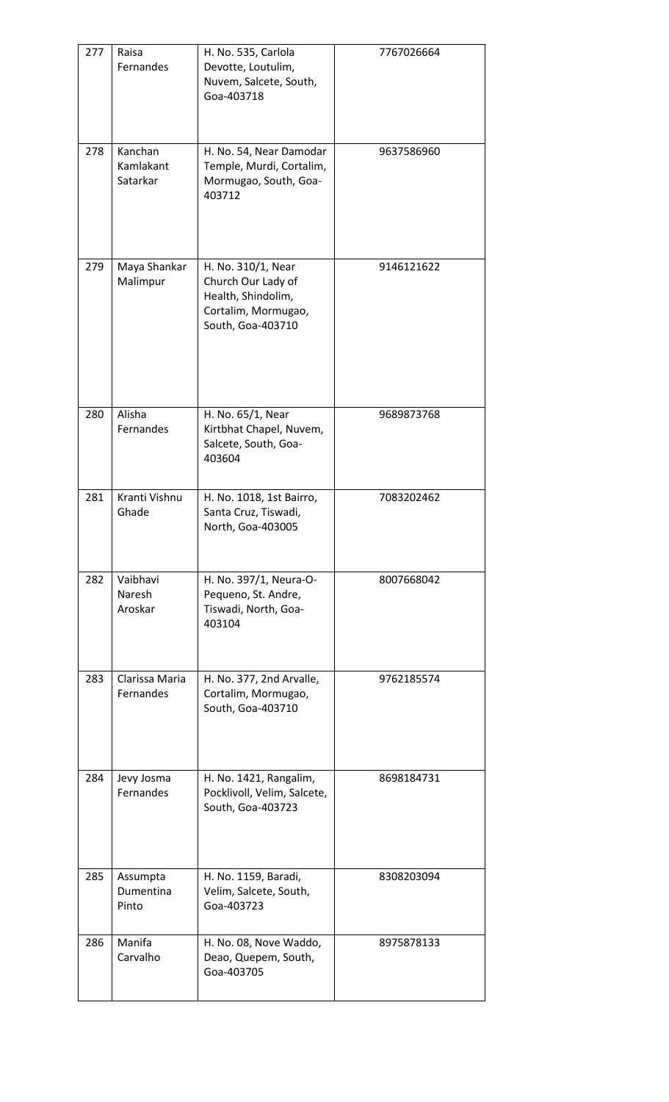| 277 | Raisa<br>Fernandes               | H. No. 535, Carlola<br>Devotte, Loutulim,<br>Nuvem, Salcete, South,<br>Goa-403718                          | 7767026664 |  |
|-----|----------------------------------|------------------------------------------------------------------------------------------------------------|------------|--|
| 278 | Kanchan<br>Kamlakant<br>Satarkar | H. No. 54, Near Damodar<br>Temple, Murdi, Cortalim,<br>Mormugao, South, Goa-<br>403712                     | 9637586960 |  |
| 279 | Maya Shankar<br>Malimpur         | H. No. 310/1, Near<br>Church Our Lady of<br>Health, Shindolim,<br>Cortalim, Mormugao,<br>South, Goa-403710 | 9146121622 |  |
| 280 | Alisha<br>Fernandes              | H. No. 65/1, Near<br>Kirtbhat Chapel, Nuvem,<br>Salcete, South, Goa-<br>403604                             | 9689873768 |  |
| 281 | Kranti Vishnu<br>Ghade           | H. No. 1018, 1st Bairro,<br>Santa Cruz, Tiswadi,<br>North, Goa-403005                                      | 7083202462 |  |
| 282 | Vaibhavi<br>Naresh<br>Aroskar    | H. No. 397/1, Neura-O-<br>Pequeno, St. Andre,<br>Tiswadi, North, Goa-<br>403104                            | 8007668042 |  |
| 283 | Clarissa Maria<br>Fernandes      | H. No. 377, 2nd Arvalle,<br>Cortalim, Mormugao,<br>South, Goa-403710                                       | 9762185574 |  |
| 284 | Jevy Josma<br>Fernandes          | H. No. 1421, Rangalim,<br>Pocklivoll, Velim, Salcete,<br>South, Goa-403723                                 | 8698184731 |  |
| 285 | Assumpta<br>Dumentina<br>Pinto   | H. No. 1159, Baradi,<br>Velim, Salcete, South,<br>Goa-403723                                               | 8308203094 |  |
| 286 | Manifa<br>Carvalho               | H. No. 08, Nove Waddo,<br>Deao, Quepem, South,<br>Goa-403705                                               | 8975878133 |  |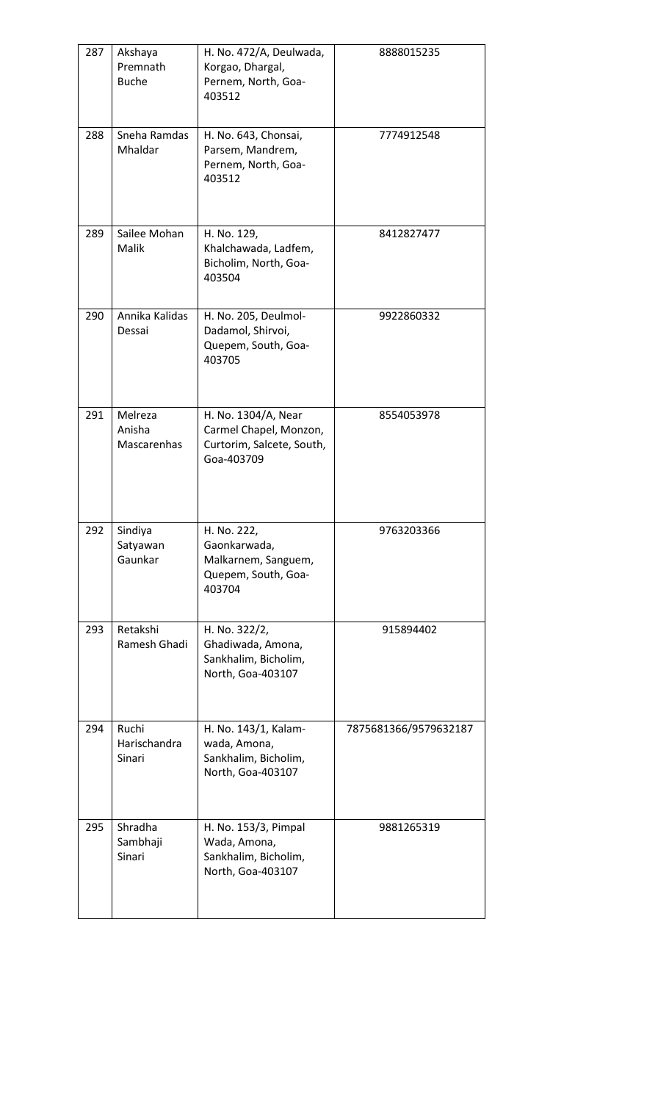| 287 | Akshaya<br>Premnath<br><b>Buche</b> | H. No. 472/A, Deulwada,<br>Korgao, Dhargal,<br>Pernem, North, Goa-<br>403512             | 8888015235            |  |
|-----|-------------------------------------|------------------------------------------------------------------------------------------|-----------------------|--|
| 288 | Sneha Ramdas<br>Mhaldar             | H. No. 643, Chonsai,<br>Parsem, Mandrem,<br>Pernem, North, Goa-<br>403512                | 7774912548            |  |
| 289 | Sailee Mohan<br>Malik               | H. No. 129,<br>Khalchawada, Ladfem,<br>Bicholim, North, Goa-<br>403504                   | 8412827477            |  |
| 290 | Annika Kalidas<br>Dessai            | H. No. 205, Deulmol-<br>Dadamol, Shirvoi,<br>Quepem, South, Goa-<br>403705               | 9922860332            |  |
| 291 | Melreza<br>Anisha<br>Mascarenhas    | H. No. 1304/A, Near<br>Carmel Chapel, Monzon,<br>Curtorim, Salcete, South,<br>Goa-403709 | 8554053978            |  |
| 292 | Sindiya<br>Satyawan<br>Gaunkar      | H. No. 222,<br>Gaonkarwada,<br>Malkarnem, Sanguem,<br>Quepem, South, Goa-<br>403704      | 9763203366            |  |
| 293 | Retakshi<br>Ramesh Ghadi            | H. No. 322/2,<br>Ghadiwada, Amona,<br>Sankhalim, Bicholim,<br>North, Goa-403107          | 915894402             |  |
| 294 | Ruchi<br>Harischandra<br>Sinari     | H. No. 143/1, Kalam-<br>wada, Amona,<br>Sankhalim, Bicholim,<br>North, Goa-403107        | 7875681366/9579632187 |  |
| 295 | Shradha<br>Sambhaji<br>Sinari       | H. No. 153/3, Pimpal<br>Wada, Amona,<br>Sankhalim, Bicholim,<br>North, Goa-403107        | 9881265319            |  |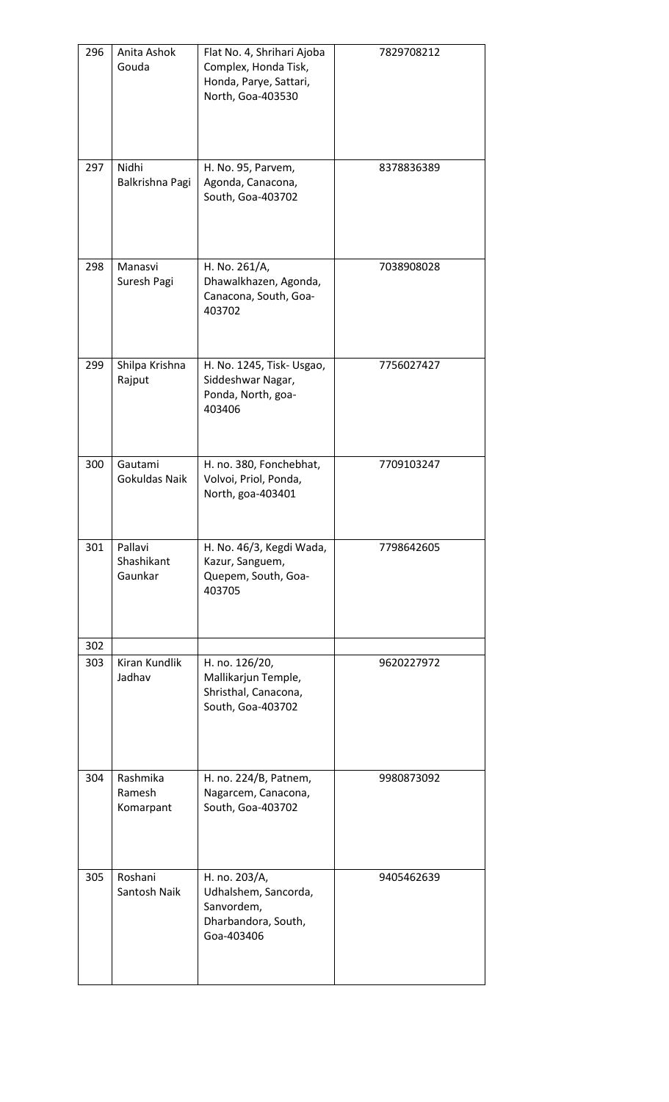| 296 | Anita Ashok<br>Gouda             | Flat No. 4, Shrihari Ajoba<br>Complex, Honda Tisk,<br>Honda, Parye, Sattari,<br>North, Goa-403530 | 7829708212 |  |
|-----|----------------------------------|---------------------------------------------------------------------------------------------------|------------|--|
| 297 | Nidhi<br>Balkrishna Pagi         | H. No. 95, Parvem,<br>Agonda, Canacona,<br>South, Goa-403702                                      | 8378836389 |  |
| 298 | Manasvi<br>Suresh Pagi           | H. No. 261/A,<br>Dhawalkhazen, Agonda,<br>Canacona, South, Goa-<br>403702                         | 7038908028 |  |
| 299 | Shilpa Krishna<br>Rajput         | H. No. 1245, Tisk- Usgao,<br>Siddeshwar Nagar,<br>Ponda, North, goa-<br>403406                    | 7756027427 |  |
| 300 | Gautami<br>Gokuldas Naik         | H. no. 380, Fonchebhat,<br>Volvoi, Priol, Ponda,<br>North, goa-403401                             | 7709103247 |  |
| 301 | Pallavi<br>Shashikant<br>Gaunkar | H. No. 46/3, Kegdi Wada,<br>Kazur, Sanguem,<br>Quepem, South, Goa-<br>403705                      | 7798642605 |  |
| 302 |                                  |                                                                                                   |            |  |
| 303 | Kiran Kundlik<br>Jadhav          | H. no. 126/20,<br>Mallikarjun Temple,<br>Shristhal, Canacona,<br>South, Goa-403702                | 9620227972 |  |
| 304 | Rashmika<br>Ramesh<br>Komarpant  | H. no. 224/B, Patnem,<br>Nagarcem, Canacona,<br>South, Goa-403702                                 | 9980873092 |  |
| 305 | Roshani<br>Santosh Naik          | H. no. 203/A,<br>Udhalshem, Sancorda,<br>Sanvordem,<br>Dharbandora, South,<br>Goa-403406          | 9405462639 |  |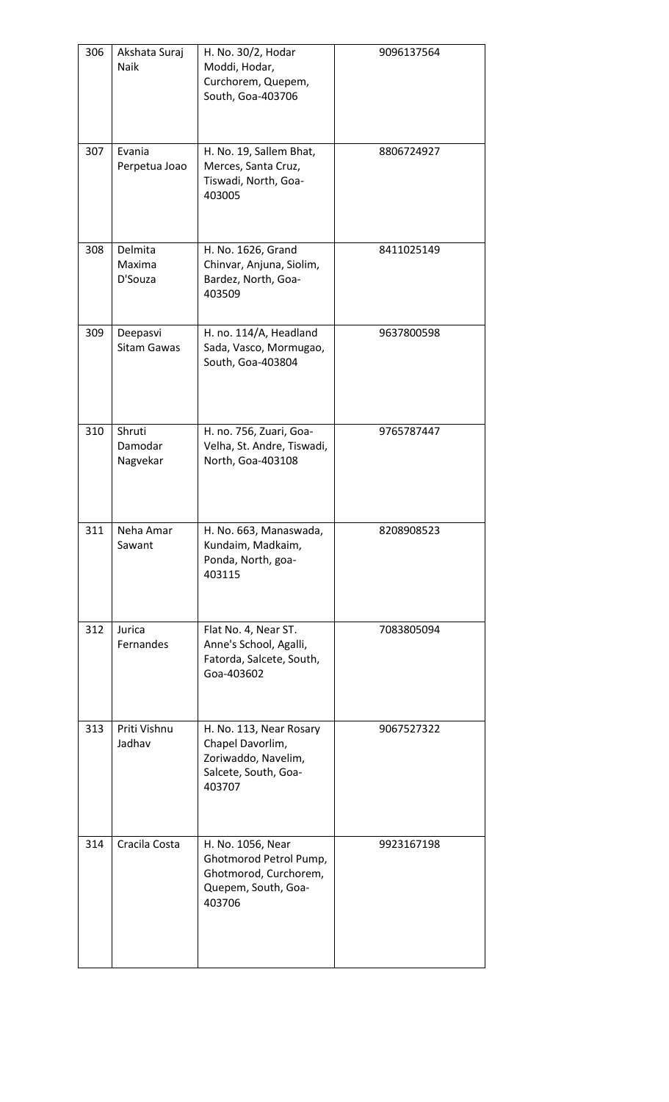| 306 | Akshata Suraj<br>Naik          | H. No. 30/2, Hodar<br>Moddi, Hodar,<br>Curchorem, Quepem,<br>South, Goa-403706                        | 9096137564 |  |
|-----|--------------------------------|-------------------------------------------------------------------------------------------------------|------------|--|
| 307 | Evania<br>Perpetua Joao        | H. No. 19, Sallem Bhat,<br>Merces, Santa Cruz,<br>Tiswadi, North, Goa-<br>403005                      | 8806724927 |  |
| 308 | Delmita<br>Maxima<br>D'Souza   | H. No. 1626, Grand<br>Chinvar, Anjuna, Siolim,<br>Bardez, North, Goa-<br>403509                       | 8411025149 |  |
| 309 | Deepasvi<br><b>Sitam Gawas</b> | H. no. 114/A, Headland<br>Sada, Vasco, Mormugao,<br>South, Goa-403804                                 | 9637800598 |  |
| 310 | Shruti<br>Damodar<br>Nagvekar  | H. no. 756, Zuari, Goa-<br>Velha, St. Andre, Tiswadi,<br>North, Goa-403108                            | 9765787447 |  |
| 311 | Neha Amar<br>Sawant            | H. No. 663, Manaswada,<br>Kundaim, Madkaim,<br>Ponda, North, goa-<br>403115                           | 8208908523 |  |
| 312 | Jurica<br>Fernandes            | Flat No. 4, Near ST.<br>Anne's School, Agalli,<br>Fatorda, Salcete, South,<br>Goa-403602              | 7083805094 |  |
| 313 | Priti Vishnu<br>Jadhav         | H. No. 113, Near Rosary<br>Chapel Davorlim,<br>Zoriwaddo, Navelim,<br>Salcete, South, Goa-<br>403707  | 9067527322 |  |
| 314 | Cracila Costa                  | H. No. 1056, Near<br>Ghotmorod Petrol Pump,<br>Ghotmorod, Curchorem,<br>Quepem, South, Goa-<br>403706 | 9923167198 |  |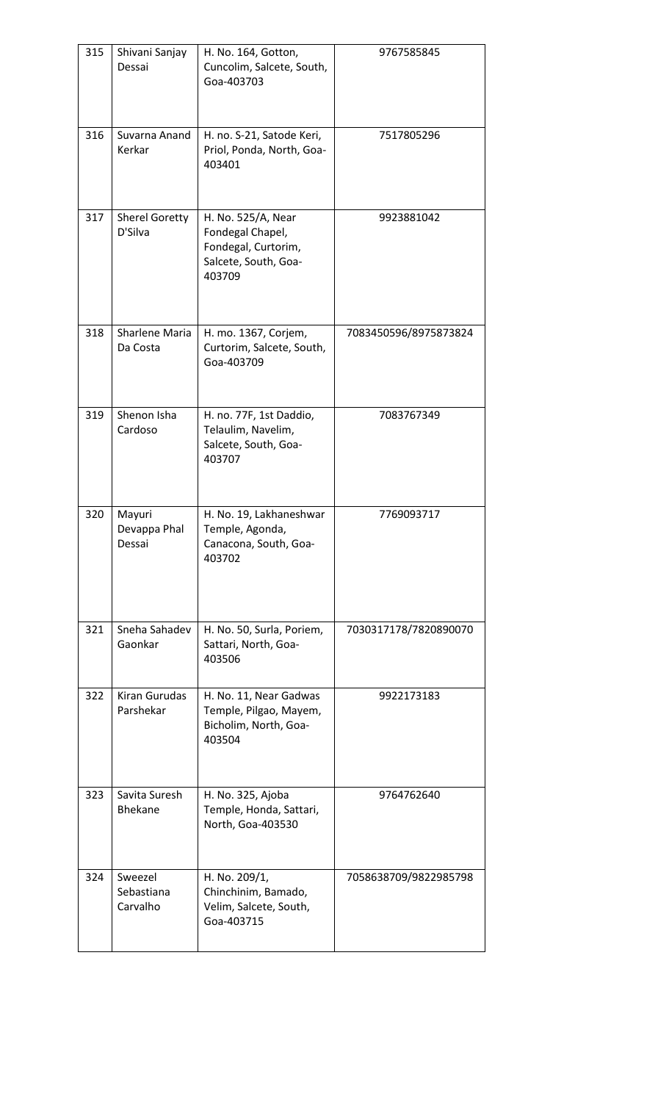| 315 | Shivani Sanjay<br>Dessai          | H. No. 164, Gotton,<br>Cuncolim, Salcete, South,<br>Goa-403703                                  | 9767585845            |
|-----|-----------------------------------|-------------------------------------------------------------------------------------------------|-----------------------|
| 316 | Suvarna Anand<br>Kerkar           | H. no. S-21, Satode Keri,<br>Priol, Ponda, North, Goa-<br>403401                                | 7517805296            |
| 317 | <b>Sherel Goretty</b><br>D'Silva  | H. No. 525/A, Near<br>Fondegal Chapel,<br>Fondegal, Curtorim,<br>Salcete, South, Goa-<br>403709 | 9923881042            |
| 318 | Sharlene Maria<br>Da Costa        | H. mo. 1367, Corjem,<br>Curtorim, Salcete, South,<br>Goa-403709                                 | 7083450596/8975873824 |
| 319 | Shenon Isha<br>Cardoso            | H. no. 77F, 1st Daddio,<br>Telaulim, Navelim,<br>Salcete, South, Goa-<br>403707                 | 7083767349            |
| 320 | Mayuri<br>Devappa Phal<br>Dessai  | H. No. 19, Lakhaneshwar<br>Temple, Agonda,<br>Canacona, South, Goa-<br>403702                   | 7769093717            |
| 321 | Sneha Sahadev<br>Gaonkar          | H. No. 50, Surla, Poriem,<br>Sattari, North, Goa-<br>403506                                     | 7030317178/7820890070 |
| 322 | Kiran Gurudas<br>Parshekar        | H. No. 11, Near Gadwas<br>Temple, Pilgao, Mayem,<br>Bicholim, North, Goa-<br>403504             | 9922173183            |
| 323 | Savita Suresh<br><b>Bhekane</b>   | H. No. 325, Ajoba<br>Temple, Honda, Sattari,<br>North, Goa-403530                               | 9764762640            |
| 324 | Sweezel<br>Sebastiana<br>Carvalho | H. No. 209/1,<br>Chinchinim, Bamado,<br>Velim, Salcete, South,<br>Goa-403715                    | 7058638709/9822985798 |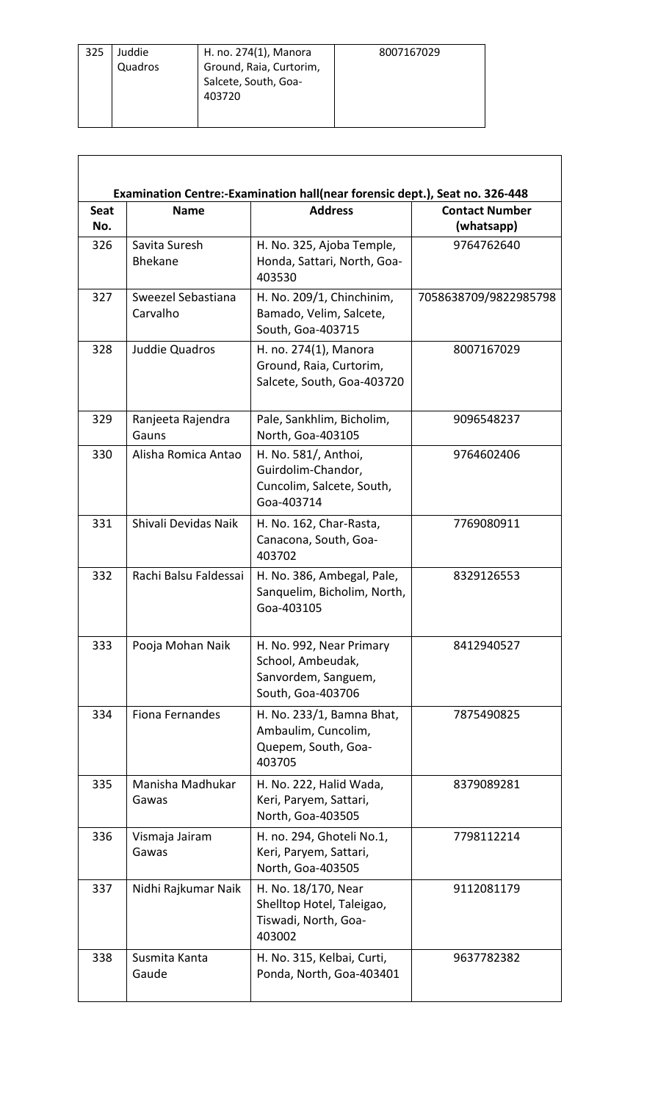| 325 | Juddie  | H. no. 274(1), Manora   | 8007167029 |
|-----|---------|-------------------------|------------|
|     | Quadros | Ground, Raia, Curtorim, |            |
|     |         | Salcete, South, Goa-    |            |
|     |         | 403720                  |            |
|     |         |                         |            |

 $\sqrt{2}$ 

٦

| <b>Seat</b><br>No. | <b>Name</b>                    | <b>Address</b>                                                                            | <b>Contact Number</b><br>(whatsapp) |
|--------------------|--------------------------------|-------------------------------------------------------------------------------------------|-------------------------------------|
| 326                | Savita Suresh<br>Bhekane       | H. No. 325, Ajoba Temple,<br>Honda, Sattari, North, Goa-<br>403530                        | 9764762640                          |
| 327                | Sweezel Sebastiana<br>Carvalho | H. No. 209/1, Chinchinim,<br>Bamado, Velim, Salcete,<br>South, Goa-403715                 | 7058638709/9822985798               |
| 328                | Juddie Quadros                 | H. no. 274(1), Manora<br>Ground, Raia, Curtorim,<br>Salcete, South, Goa-403720            | 8007167029                          |
| 329                | Ranjeeta Rajendra<br>Gauns     | Pale, Sankhlim, Bicholim,<br>North, Goa-403105                                            | 9096548237                          |
| 330                | Alisha Romica Antao            | H. No. 581/, Anthoi,<br>Guirdolim-Chandor,<br>Cuncolim, Salcete, South,<br>Goa-403714     | 9764602406                          |
| 331                | Shivali Devidas Naik           | H. No. 162, Char-Rasta,<br>Canacona, South, Goa-<br>403702                                | 7769080911                          |
| 332                | Rachi Balsu Faldessai          | H. No. 386, Ambegal, Pale,<br>Sanquelim, Bicholim, North,<br>Goa-403105                   | 8329126553                          |
| 333                | Pooja Mohan Naik               | H. No. 992, Near Primary<br>School, Ambeudak,<br>Sanvordem, Sanguem,<br>South, Goa-403706 | 8412940527                          |
| 334                | Fiona Fernandes                | H. No. 233/1, Bamna Bhat,<br>Ambaulim, Cuncolim,<br>Quepem, South, Goa-<br>403705         | 7875490825                          |
| 335                | Manisha Madhukar<br>Gawas      | H. No. 222, Halid Wada,<br>Keri, Paryem, Sattari,<br>North, Goa-403505                    | 8379089281                          |
| 336                | Vismaja Jairam<br>Gawas        | H. no. 294, Ghoteli No.1,<br>Keri, Paryem, Sattari,<br>North, Goa-403505                  | 7798112214                          |
| 337                | Nidhi Rajkumar Naik            | H. No. 18/170, Near<br>Shelltop Hotel, Taleigao,<br>Tiswadi, North, Goa-<br>403002        | 9112081179                          |
| 338                | Susmita Kanta<br>Gaude         | H. No. 315, Kelbai, Curti,<br>Ponda, North, Goa-403401                                    | 9637782382                          |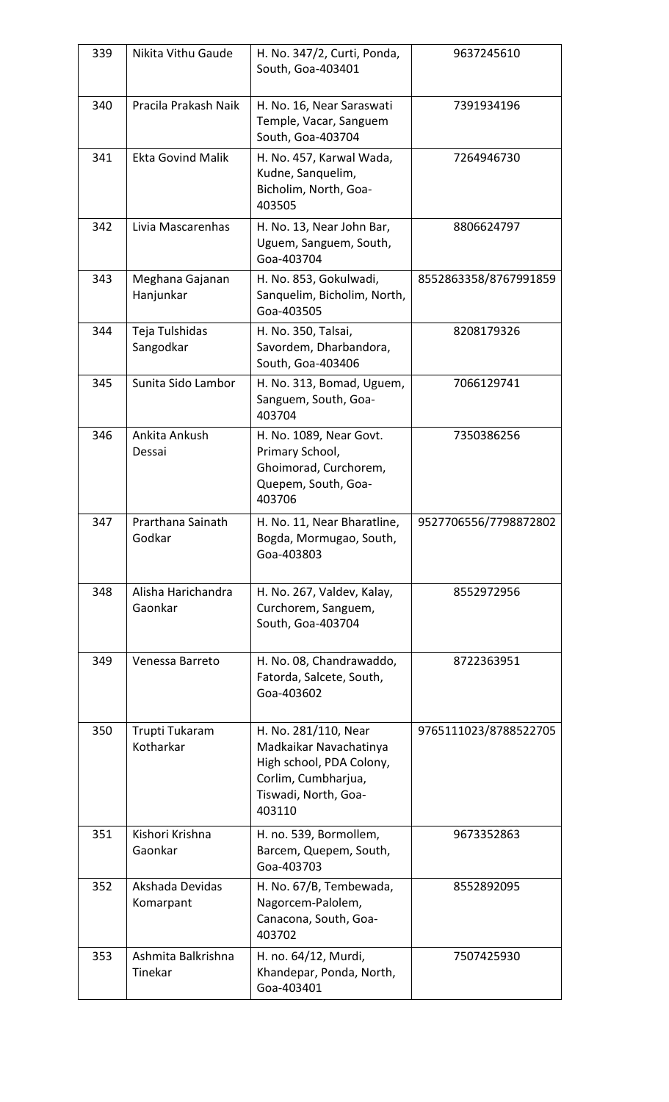| 339 | Nikita Vithu Gaude            | H. No. 347/2, Curti, Ponda,<br>South, Goa-403401                                                                                    | 9637245610            |
|-----|-------------------------------|-------------------------------------------------------------------------------------------------------------------------------------|-----------------------|
| 340 | Pracila Prakash Naik          | H. No. 16, Near Saraswati<br>Temple, Vacar, Sanguem<br>South, Goa-403704                                                            | 7391934196            |
| 341 | <b>Ekta Govind Malik</b>      | H. No. 457, Karwal Wada,<br>Kudne, Sanquelim,<br>Bicholim, North, Goa-<br>403505                                                    | 7264946730            |
| 342 | Livia Mascarenhas             | H. No. 13, Near John Bar,<br>Uguem, Sanguem, South,<br>Goa-403704                                                                   | 8806624797            |
| 343 | Meghana Gajanan<br>Hanjunkar  | H. No. 853, Gokulwadi,<br>Sanquelim, Bicholim, North,<br>Goa-403505                                                                 | 8552863358/8767991859 |
| 344 | Teja Tulshidas<br>Sangodkar   | H. No. 350, Talsai,<br>Savordem, Dharbandora,<br>South, Goa-403406                                                                  | 8208179326            |
| 345 | Sunita Sido Lambor            | H. No. 313, Bomad, Uguem,<br>Sanguem, South, Goa-<br>403704                                                                         | 7066129741            |
| 346 | Ankita Ankush<br>Dessai       | H. No. 1089, Near Govt.<br>Primary School,<br>Ghoimorad, Curchorem,<br>Quepem, South, Goa-<br>403706                                | 7350386256            |
| 347 | Prarthana Sainath<br>Godkar   | H. No. 11, Near Bharatline,<br>Bogda, Mormugao, South,<br>Goa-403803                                                                | 9527706556/7798872802 |
| 348 | Alisha Harichandra<br>Gaonkar | H. No. 267, Valdev, Kalay,<br>Curchorem, Sanguem,<br>South, Goa-403704                                                              | 8552972956            |
| 349 | Venessa Barreto               | H. No. 08, Chandrawaddo,<br>Fatorda, Salcete, South,<br>Goa-403602                                                                  | 8722363951            |
| 350 | Trupti Tukaram<br>Kotharkar   | H. No. 281/110, Near<br>Madkaikar Navachatinya<br>High school, PDA Colony,<br>Corlim, Cumbharjua,<br>Tiswadi, North, Goa-<br>403110 | 9765111023/8788522705 |
| 351 | Kishori Krishna<br>Gaonkar    | H. no. 539, Bormollem,<br>Barcem, Quepem, South,<br>Goa-403703                                                                      | 9673352863            |
| 352 | Akshada Devidas<br>Komarpant  | H. No. 67/B, Tembewada,<br>Nagorcem-Palolem,<br>Canacona, South, Goa-<br>403702                                                     | 8552892095            |
| 353 | Ashmita Balkrishna<br>Tinekar | H. no. 64/12, Murdi,<br>Khandepar, Ponda, North,<br>Goa-403401                                                                      | 7507425930            |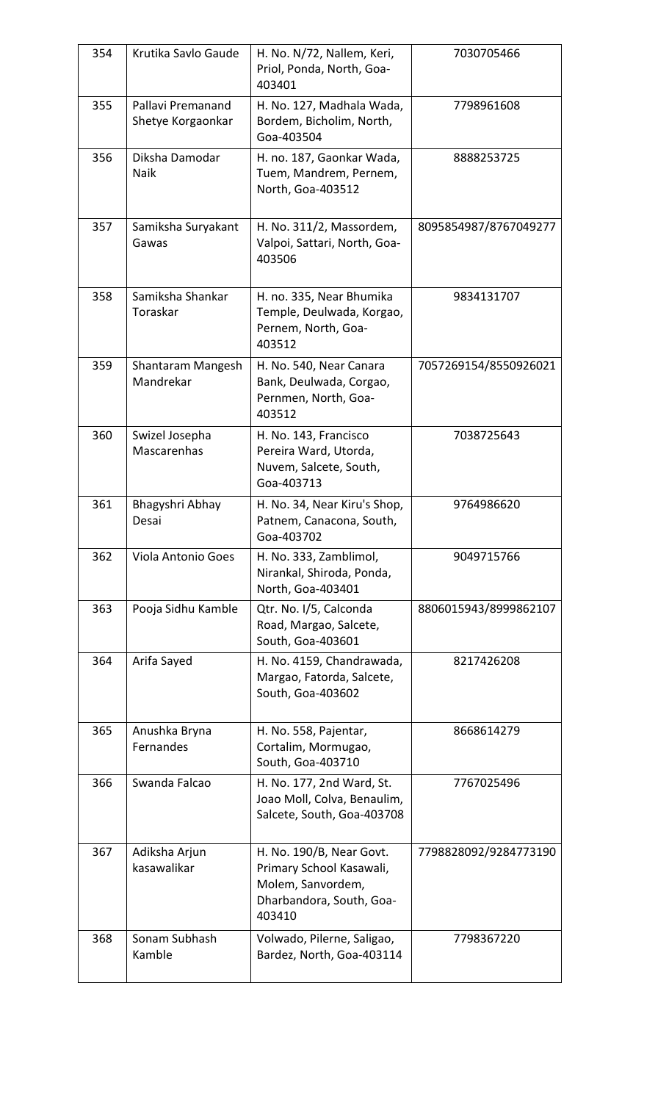| 354 | Krutika Savlo Gaude                    | H. No. N/72, Nallem, Keri,<br>Priol, Ponda, North, Goa-<br>403401                                               | 7030705466            |
|-----|----------------------------------------|-----------------------------------------------------------------------------------------------------------------|-----------------------|
| 355 | Pallavi Premanand<br>Shetye Korgaonkar | H. No. 127, Madhala Wada,<br>Bordem, Bicholim, North,<br>Goa-403504                                             | 7798961608            |
| 356 | Diksha Damodar<br>Naik                 | H. no. 187, Gaonkar Wada,<br>Tuem, Mandrem, Pernem,<br>North, Goa-403512                                        | 8888253725            |
| 357 | Samiksha Suryakant<br>Gawas            | H. No. 311/2, Massordem,<br>Valpoi, Sattari, North, Goa-<br>403506                                              | 8095854987/8767049277 |
| 358 | Samiksha Shankar<br>Toraskar           | H. no. 335, Near Bhumika<br>Temple, Deulwada, Korgao,<br>Pernem, North, Goa-<br>403512                          | 9834131707            |
| 359 | Shantaram Mangesh<br>Mandrekar         | H. No. 540, Near Canara<br>Bank, Deulwada, Corgao,<br>Pernmen, North, Goa-<br>403512                            | 7057269154/8550926021 |
| 360 | Swizel Josepha<br>Mascarenhas          | H. No. 143, Francisco<br>Pereira Ward, Utorda,<br>Nuvem, Salcete, South,<br>Goa-403713                          | 7038725643            |
| 361 | Bhagyshri Abhay<br>Desai               | H. No. 34, Near Kiru's Shop,<br>Patnem, Canacona, South,<br>Goa-403702                                          | 9764986620            |
| 362 | Viola Antonio Goes                     | H. No. 333, Zamblimol,<br>Nirankal, Shiroda, Ponda,<br>North, Goa-403401                                        | 9049715766            |
| 363 | Pooja Sidhu Kamble                     | Qtr. No. I/5, Calconda<br>Road, Margao, Salcete,<br>South, Goa-403601                                           | 8806015943/8999862107 |
| 364 | Arifa Sayed                            | H. No. 4159, Chandrawada,<br>Margao, Fatorda, Salcete,<br>South, Goa-403602                                     | 8217426208            |
| 365 | Anushka Bryna<br>Fernandes             | H. No. 558, Pajentar,<br>Cortalim, Mormugao,<br>South, Goa-403710                                               | 8668614279            |
| 366 | Swanda Falcao                          | H. No. 177, 2nd Ward, St.<br>Joao Moll, Colva, Benaulim,<br>Salcete, South, Goa-403708                          | 7767025496            |
| 367 | Adiksha Arjun<br>kasawalikar           | H. No. 190/B, Near Govt.<br>Primary School Kasawali,<br>Molem, Sanvordem,<br>Dharbandora, South, Goa-<br>403410 | 7798828092/9284773190 |
| 368 | Sonam Subhash<br>Kamble                | Volwado, Pilerne, Saligao,<br>Bardez, North, Goa-403114                                                         | 7798367220            |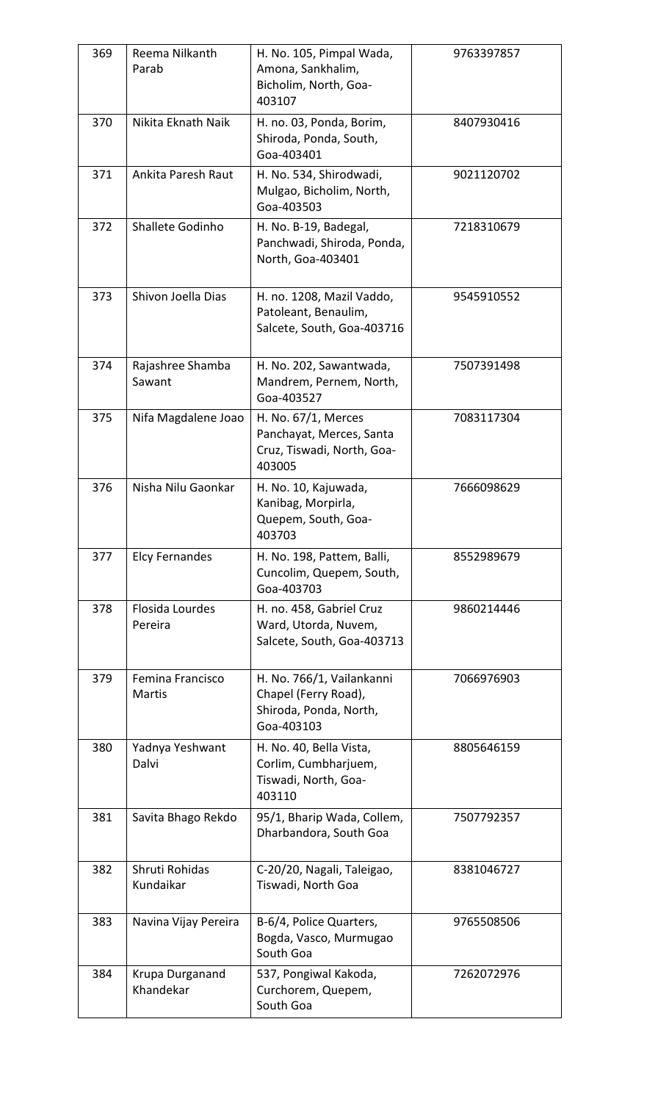| 369 | Reema Nilkanth<br>Parab           | H. No. 105, Pimpal Wada,<br>Amona, Sankhalim,<br>Bicholim, North, Goa-<br>403107          | 9763397857 |
|-----|-----------------------------------|-------------------------------------------------------------------------------------------|------------|
| 370 | Nikita Eknath Naik                | H. no. 03, Ponda, Borim,<br>Shiroda, Ponda, South,<br>Goa-403401                          | 8407930416 |
| 371 | Ankita Paresh Raut                | H. No. 534, Shirodwadi,<br>Mulgao, Bicholim, North,<br>Goa-403503                         | 9021120702 |
| 372 | Shallete Godinho                  | H. No. B-19, Badegal,<br>Panchwadi, Shiroda, Ponda,<br>North, Goa-403401                  | 7218310679 |
| 373 | Shivon Joella Dias                | H. no. 1208, Mazil Vaddo,<br>Patoleant, Benaulim,<br>Salcete, South, Goa-403716           | 9545910552 |
| 374 | Rajashree Shamba<br>Sawant        | H. No. 202, Sawantwada,<br>Mandrem, Pernem, North,<br>Goa-403527                          | 7507391498 |
| 375 | Nifa Magdalene Joao               | H. No. 67/1, Merces<br>Panchayat, Merces, Santa<br>Cruz, Tiswadi, North, Goa-<br>403005   | 7083117304 |
| 376 | Nisha Nilu Gaonkar                | H. No. 10, Kajuwada,<br>Kanibag, Morpirla,<br>Quepem, South, Goa-<br>403703               | 7666098629 |
| 377 | <b>Elcy Fernandes</b>             | H. No. 198, Pattem, Balli,<br>Cuncolim, Quepem, South,<br>Goa-403703                      | 8552989679 |
| 378 | Flosida Lourdes<br>Pereira        | H. no. 458, Gabriel Cruz<br>Ward, Utorda, Nuvem,<br>Salcete, South, Goa-403713            | 9860214446 |
| 379 | Femina Francisco<br><b>Martis</b> | H. No. 766/1, Vailankanni<br>Chapel (Ferry Road),<br>Shiroda, Ponda, North,<br>Goa-403103 | 7066976903 |
| 380 | Yadnya Yeshwant<br>Dalvi          | H. No. 40, Bella Vista,<br>Corlim, Cumbharjuem,<br>Tiswadi, North, Goa-<br>403110         | 8805646159 |
| 381 | Savita Bhago Rekdo                | 95/1, Bharip Wada, Collem,<br>Dharbandora, South Goa                                      | 7507792357 |
| 382 | Shruti Rohidas<br>Kundaikar       | C-20/20, Nagali, Taleigao,<br>Tiswadi, North Goa                                          | 8381046727 |
| 383 | Navina Vijay Pereira              | B-6/4, Police Quarters,<br>Bogda, Vasco, Murmugao<br>South Goa                            | 9765508506 |
| 384 | Krupa Durganand<br>Khandekar      | 537, Pongiwal Kakoda,<br>Curchorem, Quepem,<br>South Goa                                  | 7262072976 |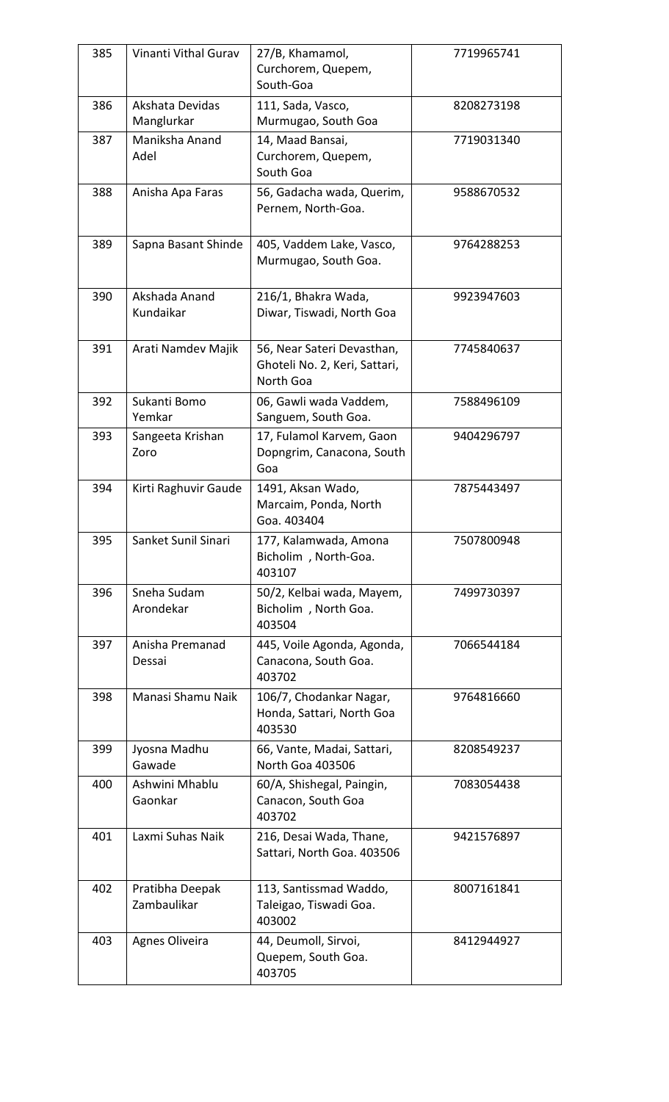| 385 | Vinanti Vithal Gurav           | 27/B, Khamamol,<br>Curchorem, Quepem,<br>South-Goa                       | 7719965741 |
|-----|--------------------------------|--------------------------------------------------------------------------|------------|
| 386 | Akshata Devidas<br>Manglurkar  | 111, Sada, Vasco,<br>Murmugao, South Goa                                 | 8208273198 |
| 387 | Maniksha Anand<br>Adel         | 14, Maad Bansai,<br>Curchorem, Quepem,<br>South Goa                      | 7719031340 |
| 388 | Anisha Apa Faras               | 56, Gadacha wada, Querim,<br>Pernem, North-Goa.                          | 9588670532 |
| 389 | Sapna Basant Shinde            | 405, Vaddem Lake, Vasco,<br>Murmugao, South Goa.                         | 9764288253 |
| 390 | Akshada Anand<br>Kundaikar     | 216/1, Bhakra Wada,<br>Diwar, Tiswadi, North Goa                         | 9923947603 |
| 391 | Arati Namdev Majik             | 56, Near Sateri Devasthan,<br>Ghoteli No. 2, Keri, Sattari,<br>North Goa | 7745840637 |
| 392 | Sukanti Bomo<br>Yemkar         | 06, Gawli wada Vaddem,<br>Sanguem, South Goa.                            | 7588496109 |
| 393 | Sangeeta Krishan<br>Zoro       | 17, Fulamol Karvem, Gaon<br>Dopngrim, Canacona, South<br>Goa             | 9404296797 |
| 394 | Kirti Raghuvir Gaude           | 1491, Aksan Wado,<br>Marcaim, Ponda, North<br>Goa. 403404                | 7875443497 |
| 395 | Sanket Sunil Sinari            | 177, Kalamwada, Amona<br>Bicholim, North-Goa.<br>403107                  | 7507800948 |
| 396 | Sneha Sudam<br>Arondekar       | 50/2, Kelbai wada, Mayem,<br>Bicholim, North Goa.<br>403504              | 7499730397 |
| 397 | Anisha Premanad<br>Dessai      | 445, Voile Agonda, Agonda,<br>Canacona, South Goa.<br>403702             | 7066544184 |
| 398 | Manasi Shamu Naik              | 106/7, Chodankar Nagar,<br>Honda, Sattari, North Goa<br>403530           | 9764816660 |
| 399 | Jyosna Madhu<br>Gawade         | 66, Vante, Madai, Sattari,<br>North Goa 403506                           | 8208549237 |
| 400 | Ashwini Mhablu<br>Gaonkar      | 60/A, Shishegal, Paingin,<br>Canacon, South Goa<br>403702                | 7083054438 |
| 401 | Laxmi Suhas Naik               | 216, Desai Wada, Thane,<br>Sattari, North Goa. 403506                    | 9421576897 |
| 402 | Pratibha Deepak<br>Zambaulikar | 113, Santissmad Waddo,<br>Taleigao, Tiswadi Goa.<br>403002               | 8007161841 |
| 403 | Agnes Oliveira                 | 44, Deumoll, Sirvoi,<br>Quepem, South Goa.<br>403705                     | 8412944927 |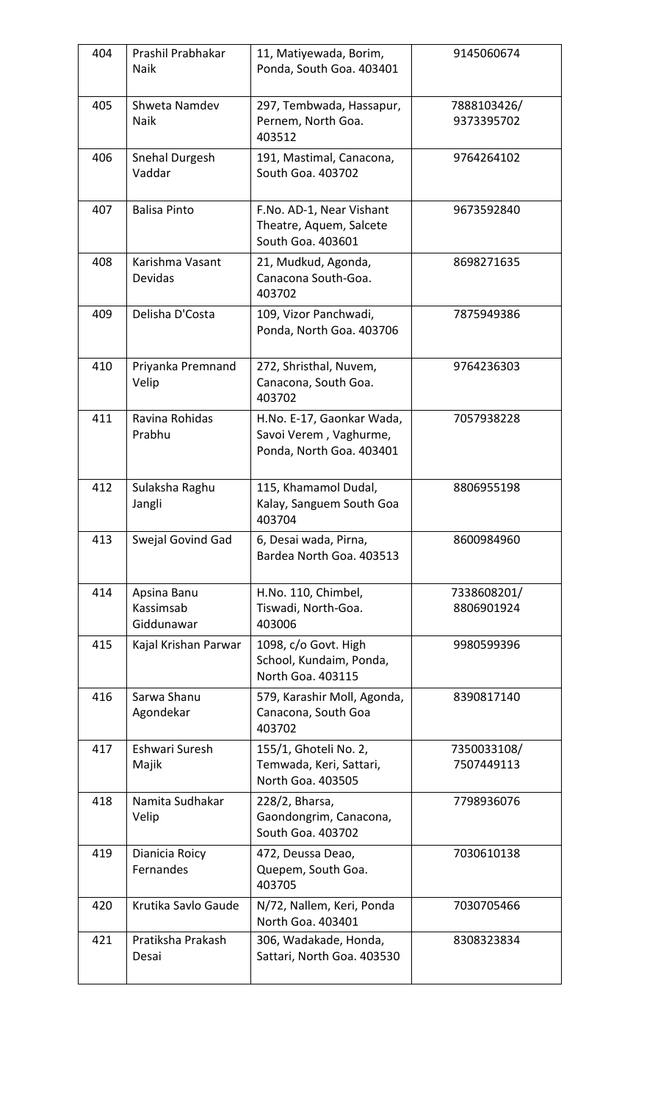| 404 | Prashil Prabhakar<br>Naik              | 11, Matiyewada, Borim,<br>Ponda, South Goa. 403401                              | 9145060674                |
|-----|----------------------------------------|---------------------------------------------------------------------------------|---------------------------|
| 405 | Shweta Namdev<br>Naik                  | 297, Tembwada, Hassapur,<br>Pernem, North Goa.<br>403512                        | 7888103426/<br>9373395702 |
| 406 | Snehal Durgesh<br>Vaddar               | 191, Mastimal, Canacona,<br>South Goa. 403702                                   | 9764264102                |
| 407 | <b>Balisa Pinto</b>                    | F.No. AD-1, Near Vishant<br>Theatre, Aquem, Salcete<br>South Goa. 403601        | 9673592840                |
| 408 | Karishma Vasant<br>Devidas             | 21, Mudkud, Agonda,<br>Canacona South-Goa.<br>403702                            | 8698271635                |
| 409 | Delisha D'Costa                        | 109, Vizor Panchwadi,<br>Ponda, North Goa. 403706                               | 7875949386                |
| 410 | Priyanka Premnand<br>Velip             | 272, Shristhal, Nuvem,<br>Canacona, South Goa.<br>403702                        | 9764236303                |
| 411 | Ravina Rohidas<br>Prabhu               | H.No. E-17, Gaonkar Wada,<br>Savoi Verem, Vaghurme,<br>Ponda, North Goa. 403401 | 7057938228                |
| 412 | Sulaksha Raghu<br>Jangli               | 115, Khamamol Dudal,<br>Kalay, Sanguem South Goa<br>403704                      | 8806955198                |
| 413 | Swejal Govind Gad                      | 6, Desai wada, Pirna,<br>Bardea North Goa. 403513                               | 8600984960                |
| 414 | Apsina Banu<br>Kassimsab<br>Giddunawar | H.No. 110, Chimbel,<br>Tiswadi, North-Goa.<br>403006                            | 7338608201/<br>8806901924 |
| 415 | Kajal Krishan Parwar                   | 1098, c/o Govt. High<br>School, Kundaim, Ponda,<br>North Goa. 403115            | 9980599396                |
| 416 | Sarwa Shanu<br>Agondekar               | 579, Karashir Moll, Agonda,<br>Canacona, South Goa<br>403702                    | 8390817140                |
| 417 | Eshwari Suresh<br>Majik                | 155/1, Ghoteli No. 2,<br>Temwada, Keri, Sattari,<br>North Goa. 403505           | 7350033108/<br>7507449113 |
| 418 | Namita Sudhakar<br>Velip               | 228/2, Bharsa,<br>Gaondongrim, Canacona,<br>South Goa. 403702                   | 7798936076                |
| 419 | Dianicia Roicy<br>Fernandes            | 472, Deussa Deao,<br>Quepem, South Goa.<br>403705                               | 7030610138                |
| 420 | Krutika Savlo Gaude                    | N/72, Nallem, Keri, Ponda<br>North Goa. 403401                                  | 7030705466                |
| 421 | Pratiksha Prakash<br>Desai             | 306, Wadakade, Honda,<br>Sattari, North Goa. 403530                             | 8308323834                |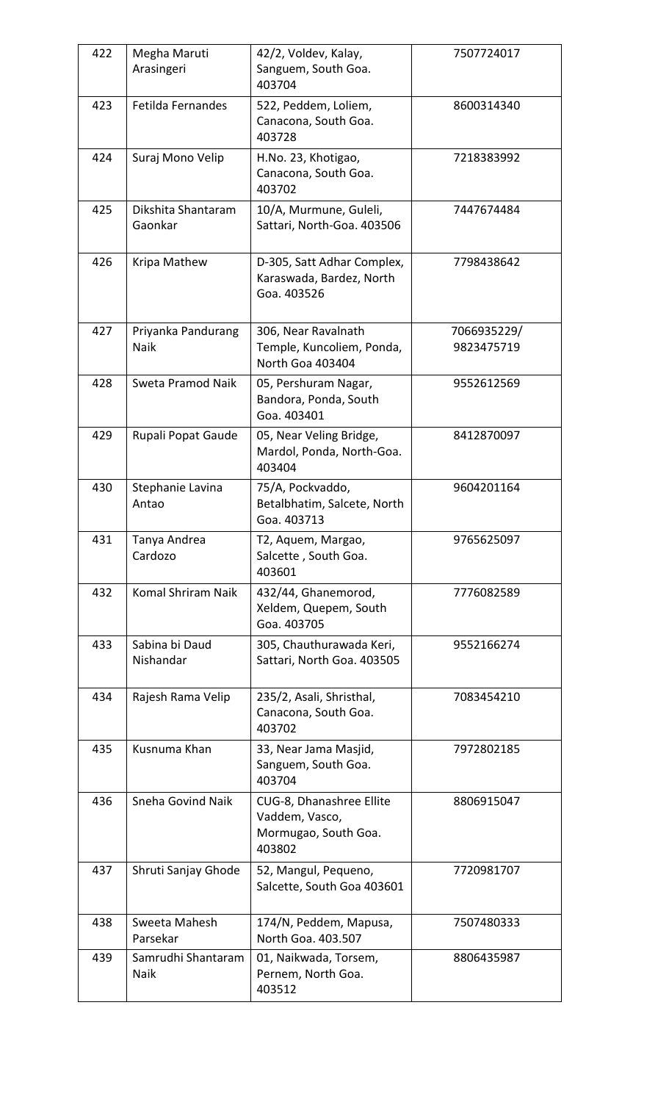| 422 | Megha Maruti<br>Arasingeri    | 42/2, Voldev, Kalay,<br>Sanguem, South Goa.<br>403704                        | 7507724017                |
|-----|-------------------------------|------------------------------------------------------------------------------|---------------------------|
| 423 | Fetilda Fernandes             | 522, Peddem, Loliem,<br>Canacona, South Goa.<br>403728                       | 8600314340                |
| 424 | Suraj Mono Velip              | H.No. 23, Khotigao,<br>Canacona, South Goa.<br>403702                        | 7218383992                |
| 425 | Dikshita Shantaram<br>Gaonkar | 10/A, Murmune, Guleli,<br>Sattari, North-Goa. 403506                         | 7447674484                |
| 426 | Kripa Mathew                  | D-305, Satt Adhar Complex,<br>Karaswada, Bardez, North<br>Goa. 403526        | 7798438642                |
| 427 | Priyanka Pandurang<br>Naik    | 306, Near Ravalnath<br>Temple, Kuncoliem, Ponda,<br>North Goa 403404         | 7066935229/<br>9823475719 |
| 428 | Sweta Pramod Naik             | 05, Pershuram Nagar,<br>Bandora, Ponda, South<br>Goa. 403401                 | 9552612569                |
| 429 | Rupali Popat Gaude            | 05, Near Veling Bridge,<br>Mardol, Ponda, North-Goa.<br>403404               | 8412870097                |
| 430 | Stephanie Lavina<br>Antao     | 75/A, Pockvaddo,<br>Betalbhatim, Salcete, North<br>Goa. 403713               | 9604201164                |
| 431 | Tanya Andrea<br>Cardozo       | T2, Aquem, Margao,<br>Salcette, South Goa.<br>403601                         | 9765625097                |
| 432 | Komal Shriram Naik            | 432/44, Ghanemorod,<br>Xeldem, Quepem, South<br>Goa. 403705                  | 7776082589                |
| 433 | Sabina bi Daud<br>Nishandar   | 305, Chauthurawada Keri,<br>Sattari, North Goa. 403505                       | 9552166274                |
| 434 | Rajesh Rama Velip             | 235/2, Asali, Shristhal,<br>Canacona, South Goa.<br>403702                   | 7083454210                |
| 435 | Kusnuma Khan                  | 33, Near Jama Masjid,<br>Sanguem, South Goa.<br>403704                       | 7972802185                |
| 436 | Sneha Govind Naik             | CUG-8, Dhanashree Ellite<br>Vaddem, Vasco,<br>Mormugao, South Goa.<br>403802 | 8806915047                |
| 437 | Shruti Sanjay Ghode           | 52, Mangul, Pequeno,<br>Salcette, South Goa 403601                           | 7720981707                |
| 438 | Sweeta Mahesh<br>Parsekar     | 174/N, Peddem, Mapusa,<br>North Goa. 403.507                                 | 7507480333                |
| 439 | Samrudhi Shantaram<br>Naik    | 01, Naikwada, Torsem,<br>Pernem, North Goa.<br>403512                        | 8806435987                |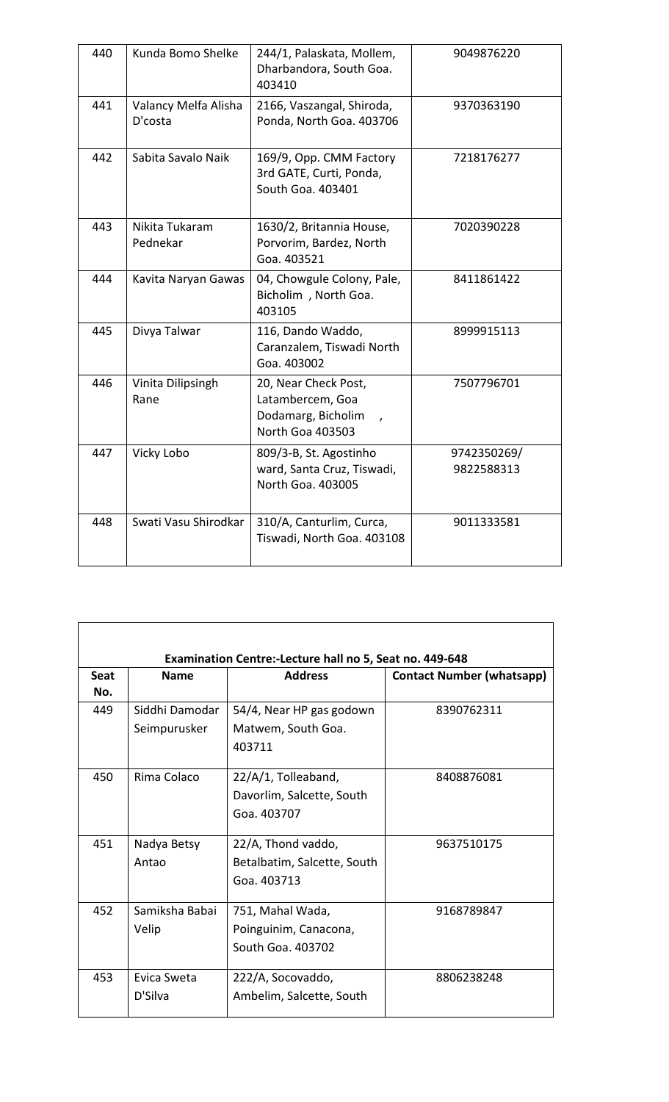| 440 | Kunda Bomo Shelke               | 244/1, Palaskata, Mollem,<br>Dharbandora, South Goa.<br>403410                     | 9049876220                |
|-----|---------------------------------|------------------------------------------------------------------------------------|---------------------------|
| 441 | Valancy Melfa Alisha<br>D'costa | 2166, Vaszangal, Shiroda,<br>Ponda, North Goa. 403706                              | 9370363190                |
| 442 | Sabita Savalo Naik              | 169/9, Opp. CMM Factory<br>3rd GATE, Curti, Ponda,<br>South Goa. 403401            | 7218176277                |
| 443 | Nikita Tukaram<br>Pednekar      | 1630/2, Britannia House,<br>Porvorim, Bardez, North<br>Goa. 403521                 | 7020390228                |
| 444 | Kavita Naryan Gawas             | 04, Chowgule Colony, Pale,<br>Bicholim, North Goa.<br>403105                       | 8411861422                |
| 445 | Divya Talwar                    | 116, Dando Waddo,<br>Caranzalem, Tiswadi North<br>Goa. 403002                      | 8999915113                |
| 446 | Vinita Dilipsingh<br>Rane       | 20, Near Check Post,<br>Latambercem, Goa<br>Dodamarg, Bicholim<br>North Goa 403503 | 7507796701                |
| 447 | Vicky Lobo                      | 809/3-B, St. Agostinho<br>ward, Santa Cruz, Tiswadi,<br>North Goa. 403005          | 9742350269/<br>9822588313 |
| 448 | Swati Vasu Shirodkar            | 310/A, Canturlim, Curca,<br>Tiswadi, North Goa. 403108                             | 9011333581                |

| <b>Seat</b><br>No. | <b>Name</b>    | <b>Address</b>              | <b>Contact Number (whatsapp)</b> |
|--------------------|----------------|-----------------------------|----------------------------------|
| 449                | Siddhi Damodar | 54/4, Near HP gas godown    | 8390762311                       |
|                    | Seimpurusker   | Matwem, South Goa.          |                                  |
|                    |                | 403711                      |                                  |
| 450                | Rima Colaco    | 22/A/1, Tolleaband,         | 8408876081                       |
|                    |                | Davorlim, Salcette, South   |                                  |
|                    |                | Goa. 403707                 |                                  |
| 451                | Nadya Betsy    | 22/A, Thond vaddo,          | 9637510175                       |
|                    | Antao          | Betalbatim, Salcette, South |                                  |
|                    |                | Goa. 403713                 |                                  |
| 452                | Samiksha Babai | 751, Mahal Wada,            | 9168789847                       |
|                    | Velip          | Poinguinim, Canacona,       |                                  |
|                    |                | South Goa. 403702           |                                  |
| 453                | Evica Sweta    | 222/A, Socovaddo,           | 8806238248                       |
|                    | D'Silva        | Ambelim, Salcette, South    |                                  |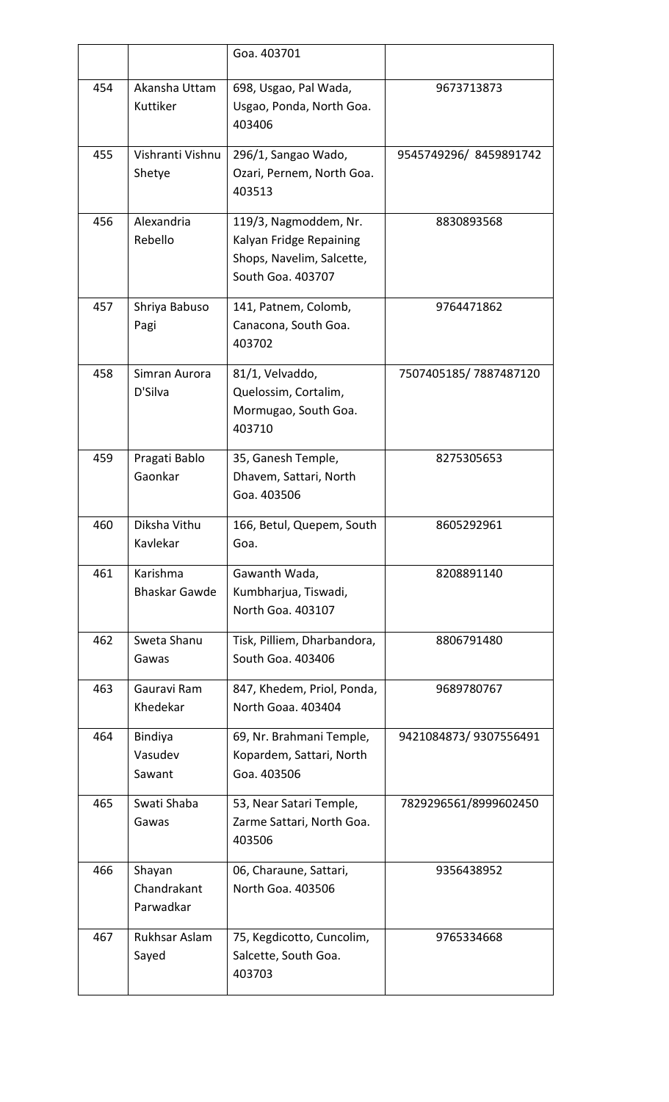|     |                                    | Goa. 403701                                                                                        |                       |
|-----|------------------------------------|----------------------------------------------------------------------------------------------------|-----------------------|
| 454 | Akansha Uttam<br>Kuttiker          | 698, Usgao, Pal Wada,<br>Usgao, Ponda, North Goa.<br>403406                                        | 9673713873            |
| 455 | Vishranti Vishnu<br>Shetye         | 296/1, Sangao Wado,<br>Ozari, Pernem, North Goa.<br>403513                                         | 9545749296/8459891742 |
| 456 | Alexandria<br>Rebello              | 119/3, Nagmoddem, Nr.<br>Kalyan Fridge Repaining<br>Shops, Navelim, Salcette,<br>South Goa. 403707 | 8830893568            |
| 457 | Shriya Babuso<br>Pagi              | 141, Patnem, Colomb,<br>Canacona, South Goa.<br>403702                                             | 9764471862            |
| 458 | Simran Aurora<br>D'Silva           | 81/1, Velvaddo,<br>Quelossim, Cortalim,<br>Mormugao, South Goa.<br>403710                          | 7507405185/7887487120 |
| 459 | Pragati Bablo<br>Gaonkar           | 35, Ganesh Temple,<br>Dhavem, Sattari, North<br>Goa. 403506                                        | 8275305653            |
| 460 | Diksha Vithu<br>Kavlekar           | 166, Betul, Quepem, South<br>Goa.                                                                  | 8605292961            |
| 461 | Karishma<br><b>Bhaskar Gawde</b>   | Gawanth Wada,<br>Kumbharjua, Tiswadi,<br>North Goa. 403107                                         | 8208891140            |
| 462 | Sweta Shanu<br>Gawas               | Tisk, Pilliem, Dharbandora,<br>South Goa. 403406                                                   | 8806791480            |
| 463 | Gauravi Ram<br>Khedekar            | 847, Khedem, Priol, Ponda,<br>North Goaa. 403404                                                   | 9689780767            |
| 464 | Bindiya<br>Vasudev<br>Sawant       | 69, Nr. Brahmani Temple,<br>Kopardem, Sattari, North<br>Goa. 403506                                | 9421084873/9307556491 |
| 465 | Swati Shaba<br>Gawas               | 53, Near Satari Temple,<br>Zarme Sattari, North Goa.<br>403506                                     | 7829296561/8999602450 |
| 466 | Shayan<br>Chandrakant<br>Parwadkar | 06, Charaune, Sattari,<br>North Goa. 403506                                                        | 9356438952            |
| 467 | Rukhsar Aslam<br>Sayed             | 75, Kegdicotto, Cuncolim,<br>Salcette, South Goa.<br>403703                                        | 9765334668            |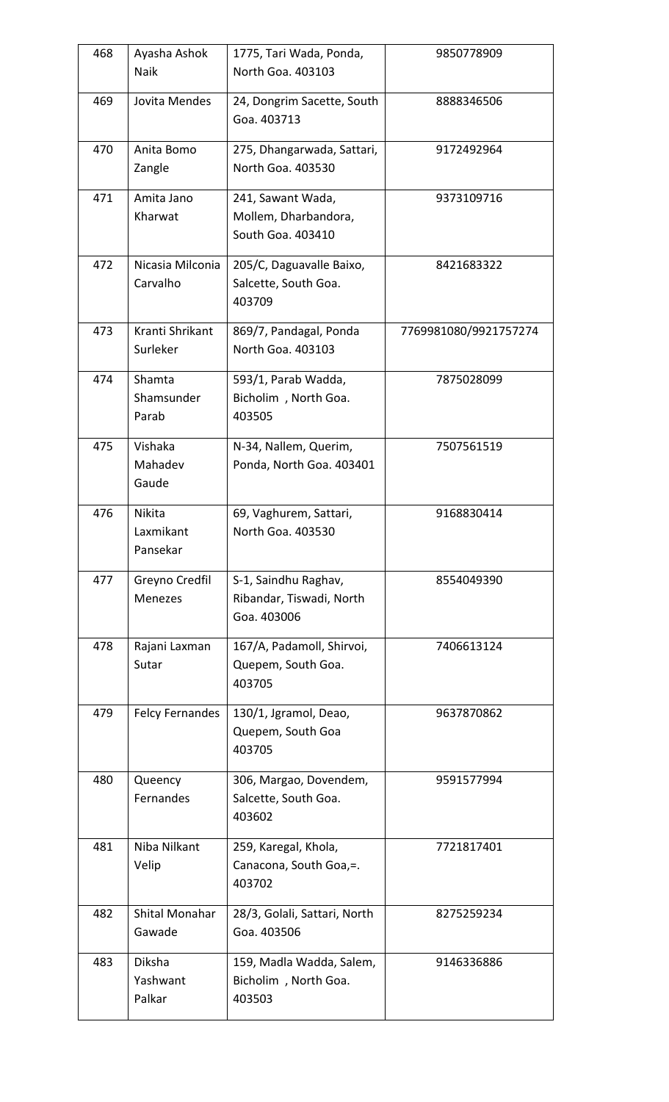| 468 | Ayasha Ashok<br>Naik            | 1775, Tari Wada, Ponda,<br>North Goa. 403103                    | 9850778909            |
|-----|---------------------------------|-----------------------------------------------------------------|-----------------------|
| 469 | Jovita Mendes                   | 24, Dongrim Sacette, South<br>Goa. 403713                       | 8888346506            |
| 470 | Anita Bomo<br>Zangle            | 275, Dhangarwada, Sattari,<br>North Goa. 403530                 | 9172492964            |
| 471 | Amita Jano<br>Kharwat           | 241, Sawant Wada,<br>Mollem, Dharbandora,<br>South Goa. 403410  | 9373109716            |
| 472 | Nicasia Milconia<br>Carvalho    | 205/C, Daguavalle Baixo,<br>Salcette, South Goa.<br>403709      | 8421683322            |
| 473 | Kranti Shrikant<br>Surleker     | 869/7, Pandagal, Ponda<br>North Goa. 403103                     | 7769981080/9921757274 |
| 474 | Shamta<br>Shamsunder<br>Parab   | 593/1, Parab Wadda,<br>Bicholim, North Goa.<br>403505           | 7875028099            |
| 475 | Vishaka<br>Mahadev<br>Gaude     | N-34, Nallem, Querim,<br>Ponda, North Goa. 403401               | 7507561519            |
| 476 | Nikita<br>Laxmikant<br>Pansekar | 69, Vaghurem, Sattari,<br>North Goa. 403530                     | 9168830414            |
| 477 | Greyno Credfil<br>Menezes       | S-1, Saindhu Raghav,<br>Ribandar, Tiswadi, North<br>Goa. 403006 | 8554049390            |
| 478 | Rajani Laxman<br>Sutar          | 167/A, Padamoll, Shirvoi,<br>Quepem, South Goa.<br>403705       | 7406613124            |
| 479 | <b>Felcy Fernandes</b>          | 130/1, Jgramol, Deao,<br>Quepem, South Goa<br>403705            | 9637870862            |
| 480 | Queency<br>Fernandes            | 306, Margao, Dovendem,<br>Salcette, South Goa.<br>403602        | 9591577994            |
| 481 | Niba Nilkant<br>Velip           | 259, Karegal, Khola,<br>Canacona, South Goa,=.<br>403702        | 7721817401            |
| 482 | Shital Monahar<br>Gawade        | 28/3, Golali, Sattari, North<br>Goa. 403506                     | 8275259234            |
| 483 | Diksha<br>Yashwant<br>Palkar    | 159, Madla Wadda, Salem,<br>Bicholim, North Goa.<br>403503      | 9146336886            |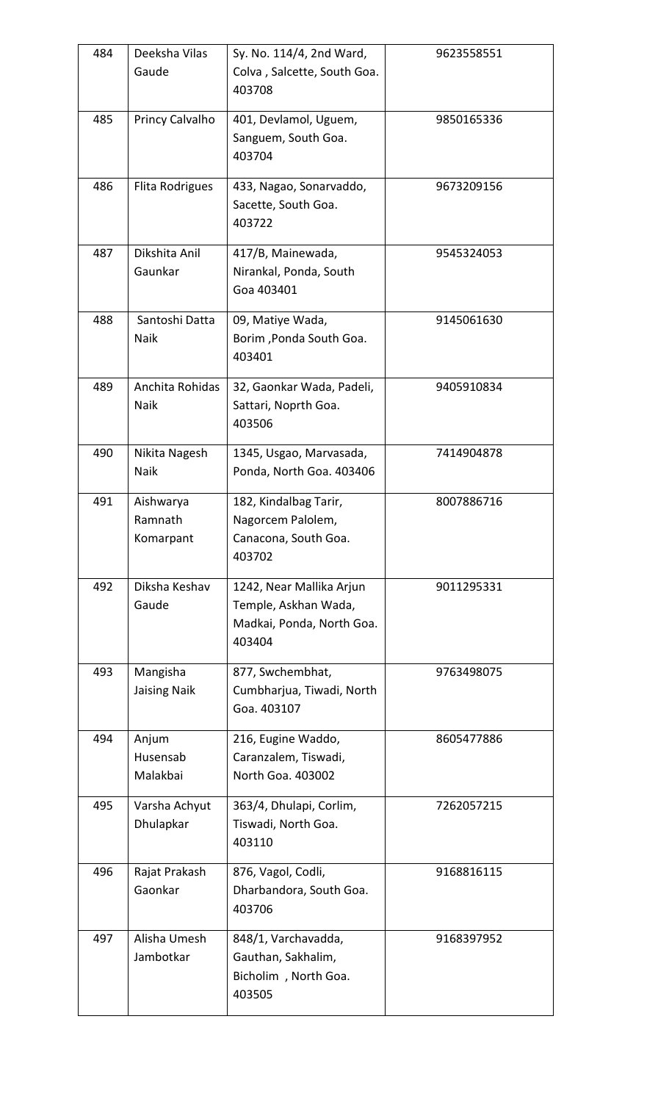| 484 | Deeksha Vilas<br>Gaude            | Sy. No. 114/4, 2nd Ward,<br>Colva, Salcette, South Goa.<br>403708                       | 9623558551 |
|-----|-----------------------------------|-----------------------------------------------------------------------------------------|------------|
| 485 | Princy Calvalho                   | 401, Devlamol, Uguem,<br>Sanguem, South Goa.<br>403704                                  | 9850165336 |
| 486 | Flita Rodrigues                   | 433, Nagao, Sonarvaddo,<br>Sacette, South Goa.<br>403722                                | 9673209156 |
| 487 | Dikshita Anil<br>Gaunkar          | 417/B, Mainewada,<br>Nirankal, Ponda, South<br>Goa 403401                               | 9545324053 |
| 488 | Santoshi Datta<br>Naik            | 09, Matiye Wada,<br>Borim, Ponda South Goa.<br>403401                                   | 9145061630 |
| 489 | Anchita Rohidas<br>Naik           | 32, Gaonkar Wada, Padeli,<br>Sattari, Noprth Goa.<br>403506                             | 9405910834 |
| 490 | Nikita Nagesh<br>Naik             | 1345, Usgao, Marvasada,<br>Ponda, North Goa. 403406                                     | 7414904878 |
| 491 | Aishwarya<br>Ramnath<br>Komarpant | 182, Kindalbag Tarir,<br>Nagorcem Palolem,<br>Canacona, South Goa.<br>403702            | 8007886716 |
| 492 | Diksha Keshav<br>Gaude            | 1242, Near Mallika Arjun<br>Temple, Askhan Wada,<br>Madkai, Ponda, North Goa.<br>403404 | 9011295331 |
| 493 | Mangisha<br><b>Jaising Naik</b>   | 877, Swchembhat,<br>Cumbharjua, Tiwadi, North<br>Goa. 403107                            | 9763498075 |
| 494 | Anjum<br>Husensab<br>Malakbai     | 216, Eugine Waddo,<br>Caranzalem, Tiswadi,<br>North Goa. 403002                         | 8605477886 |
| 495 | Varsha Achyut<br>Dhulapkar        | 363/4, Dhulapi, Corlim,<br>Tiswadi, North Goa.<br>403110                                | 7262057215 |
| 496 | Rajat Prakash<br>Gaonkar          | 876, Vagol, Codli,<br>Dharbandora, South Goa.<br>403706                                 | 9168816115 |
| 497 | Alisha Umesh<br>Jambotkar         | 848/1, Varchavadda,<br>Gauthan, Sakhalim,<br>Bicholim, North Goa.<br>403505             | 9168397952 |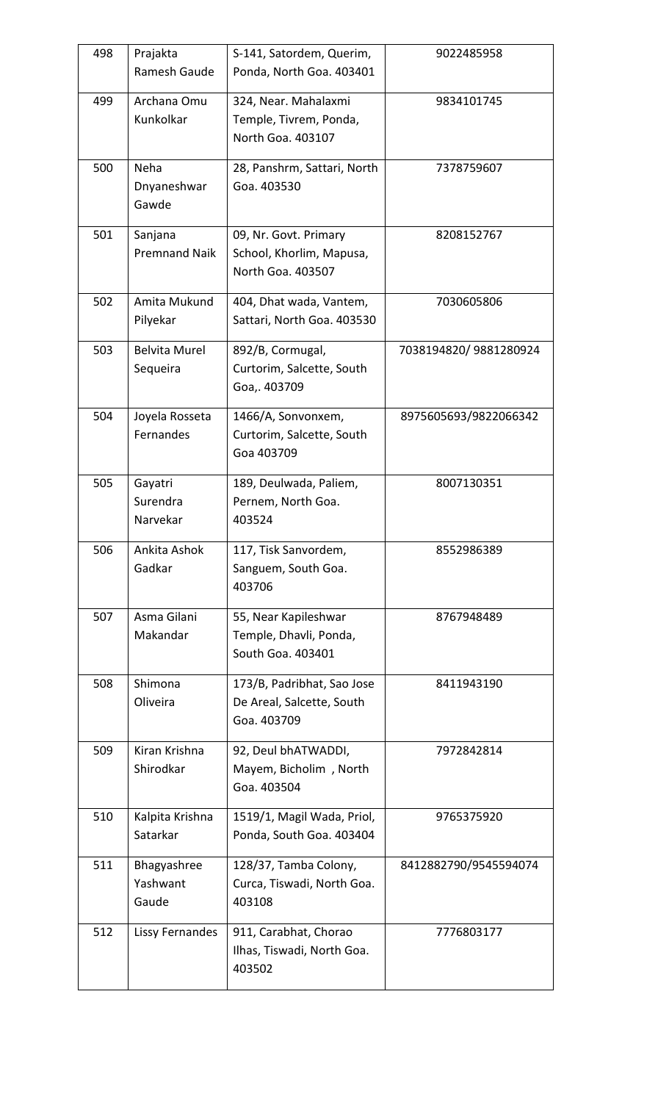| 498 | Prajakta<br>Ramesh Gaude         | S-141, Satordem, Querim,<br>Ponda, North Goa. 403401                   | 9022485958            |
|-----|----------------------------------|------------------------------------------------------------------------|-----------------------|
| 499 | Archana Omu<br>Kunkolkar         | 324, Near. Mahalaxmi<br>Temple, Tivrem, Ponda,<br>North Goa. 403107    | 9834101745            |
| 500 | Neha<br>Dnyaneshwar<br>Gawde     | 28, Panshrm, Sattari, North<br>Goa. 403530                             | 7378759607            |
| 501 | Sanjana<br><b>Premnand Naik</b>  | 09, Nr. Govt. Primary<br>School, Khorlim, Mapusa,<br>North Goa. 403507 | 8208152767            |
| 502 | Amita Mukund<br>Pilyekar         | 404, Dhat wada, Vantem,<br>Sattari, North Goa. 403530                  | 7030605806            |
| 503 | <b>Belvita Murel</b><br>Sequeira | 892/B, Cormugal,<br>Curtorim, Salcette, South<br>Goa,. 403709          | 7038194820/9881280924 |
| 504 | Joyela Rosseta<br>Fernandes      | 1466/A, Sonvonxem,<br>Curtorim, Salcette, South<br>Goa 403709          | 8975605693/9822066342 |
| 505 | Gayatri<br>Surendra<br>Narvekar  | 189, Deulwada, Paliem,<br>Pernem, North Goa.<br>403524                 | 8007130351            |
| 506 | Ankita Ashok<br>Gadkar           | 117, Tisk Sanvordem,<br>Sanguem, South Goa.<br>403706                  | 8552986389            |
| 507 | Asma Gilani<br>Makandar          | 55, Near Kapileshwar<br>Temple, Dhavli, Ponda,<br>South Goa. 403401    | 8767948489            |
| 508 | Shimona<br>Oliveira              | 173/B, Padribhat, Sao Jose<br>De Areal, Salcette, South<br>Goa. 403709 | 8411943190            |
| 509 | Kiran Krishna<br>Shirodkar       | 92, Deul bhATWADDI,<br>Mayem, Bicholim, North<br>Goa. 403504           | 7972842814            |
| 510 | Kalpita Krishna<br>Satarkar      | 1519/1, Magil Wada, Priol,<br>Ponda, South Goa. 403404                 | 9765375920            |
| 511 | Bhagyashree<br>Yashwant<br>Gaude | 128/37, Tamba Colony,<br>Curca, Tiswadi, North Goa.<br>403108          | 8412882790/9545594074 |
| 512 | <b>Lissy Fernandes</b>           | 911, Carabhat, Chorao<br>Ilhas, Tiswadi, North Goa.<br>403502          | 7776803177            |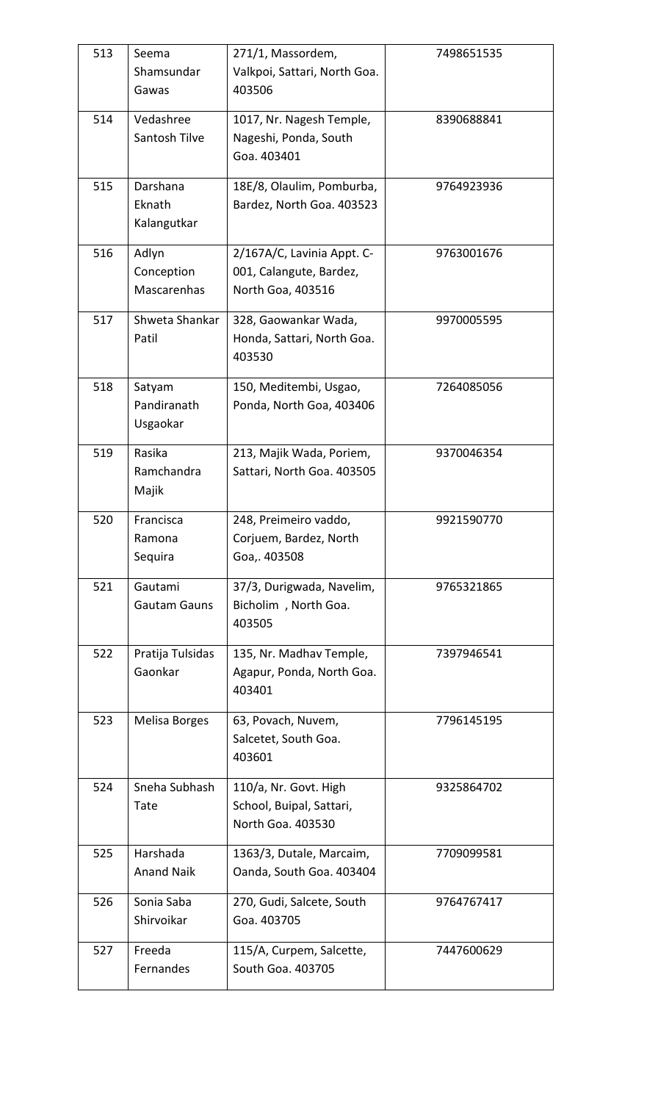| 513 | Seema<br>Shamsundar<br>Gawas       | 271/1, Massordem,<br>Valkpoi, Sattari, North Goa.<br>403506                | 7498651535 |
|-----|------------------------------------|----------------------------------------------------------------------------|------------|
| 514 | Vedashree<br>Santosh Tilve         | 1017, Nr. Nagesh Temple,<br>Nageshi, Ponda, South<br>Goa. 403401           | 8390688841 |
| 515 | Darshana<br>Eknath<br>Kalangutkar  | 18E/8, Olaulim, Pomburba,<br>Bardez, North Goa. 403523                     | 9764923936 |
| 516 | Adlyn<br>Conception<br>Mascarenhas | 2/167A/C, Lavinia Appt. C-<br>001, Calangute, Bardez,<br>North Goa, 403516 | 9763001676 |
| 517 | Shweta Shankar<br>Patil            | 328, Gaowankar Wada,<br>Honda, Sattari, North Goa.<br>403530               | 9970005595 |
| 518 | Satyam<br>Pandiranath<br>Usgaokar  | 150, Meditembi, Usgao,<br>Ponda, North Goa, 403406                         | 7264085056 |
| 519 | Rasika<br>Ramchandra<br>Majik      | 213, Majik Wada, Poriem,<br>Sattari, North Goa. 403505                     | 9370046354 |
| 520 | Francisca<br>Ramona<br>Sequira     | 248, Preimeiro vaddo,<br>Corjuem, Bardez, North<br>Goa,. 403508            | 9921590770 |
| 521 | Gautami<br><b>Gautam Gauns</b>     | 37/3, Durigwada, Navelim,<br>Bicholim, North Goa.<br>403505                | 9765321865 |
| 522 | Pratija Tulsidas<br>Gaonkar        | 135, Nr. Madhav Temple,<br>Agapur, Ponda, North Goa.<br>403401             | 7397946541 |
| 523 | Melisa Borges                      | 63, Povach, Nuvem,<br>Salcetet, South Goa.<br>403601                       | 7796145195 |
| 524 | Sneha Subhash<br>Tate              | 110/a, Nr. Govt. High<br>School, Buipal, Sattari,<br>North Goa. 403530     | 9325864702 |
| 525 | Harshada<br><b>Anand Naik</b>      | 1363/3, Dutale, Marcaim,<br>Oanda, South Goa. 403404                       | 7709099581 |
| 526 | Sonia Saba<br>Shirvoikar           | 270, Gudi, Salcete, South<br>Goa. 403705                                   | 9764767417 |
| 527 | Freeda<br>Fernandes                | 115/A, Curpem, Salcette,<br>South Goa. 403705                              | 7447600629 |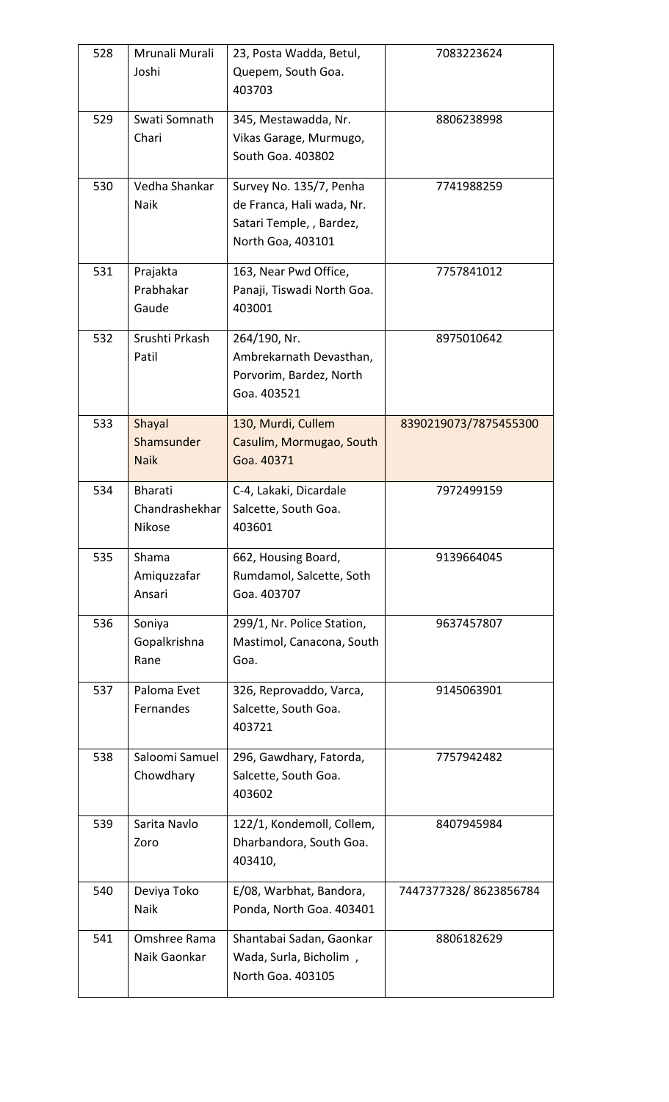| 528 | Mrunali Murali                      | 23, Posta Wadda, Betul,                                                                               | 7083223624            |
|-----|-------------------------------------|-------------------------------------------------------------------------------------------------------|-----------------------|
|     | Joshi                               | Quepem, South Goa.<br>403703                                                                          |                       |
| 529 | Swati Somnath<br>Chari              | 345, Mestawadda, Nr.<br>Vikas Garage, Murmugo,<br>South Goa. 403802                                   | 8806238998            |
| 530 | Vedha Shankar<br>Naik               | Survey No. 135/7, Penha<br>de Franca, Hali wada, Nr.<br>Satari Temple, , Bardez,<br>North Goa, 403101 | 7741988259            |
| 531 | Prajakta<br>Prabhakar<br>Gaude      | 163, Near Pwd Office,<br>Panaji, Tiswadi North Goa.<br>403001                                         | 7757841012            |
| 532 | Srushti Prkash<br>Patil             | 264/190, Nr.<br>Ambrekarnath Devasthan,<br>Porvorim, Bardez, North<br>Goa. 403521                     | 8975010642            |
| 533 | Shayal<br>Shamsunder<br><b>Naik</b> | 130, Murdi, Cullem<br>Casulim, Mormugao, South<br>Goa. 40371                                          | 8390219073/7875455300 |
| 534 | Bharati<br>Chandrashekhar<br>Nikose | C-4, Lakaki, Dicardale<br>Salcette, South Goa.<br>403601                                              | 7972499159            |
| 535 | Shama<br>Amiquzzafar<br>Ansari      | 662, Housing Board,<br>Rumdamol, Salcette, Soth<br>Goa. 403707                                        | 9139664045            |
| 536 | Soniya<br>Gopalkrishna<br>Rane      | 299/1, Nr. Police Station,<br>Mastimol, Canacona, South<br>Goa.                                       | 9637457807            |
| 537 | Paloma Evet<br>Fernandes            | 326, Reprovaddo, Varca,<br>Salcette, South Goa.<br>403721                                             | 9145063901            |
| 538 | Saloomi Samuel<br>Chowdhary         | 296, Gawdhary, Fatorda,<br>Salcette, South Goa.<br>403602                                             | 7757942482            |
| 539 | Sarita Navlo<br>Zoro                | 122/1, Kondemoll, Collem,<br>Dharbandora, South Goa.<br>403410,                                       | 8407945984            |
| 540 | Deviya Toko<br>Naik                 | E/08, Warbhat, Bandora,<br>Ponda, North Goa. 403401                                                   | 7447377328/8623856784 |
| 541 | Omshree Rama<br>Naik Gaonkar        | Shantabai Sadan, Gaonkar<br>Wada, Surla, Bicholim,<br>North Goa. 403105                               | 8806182629            |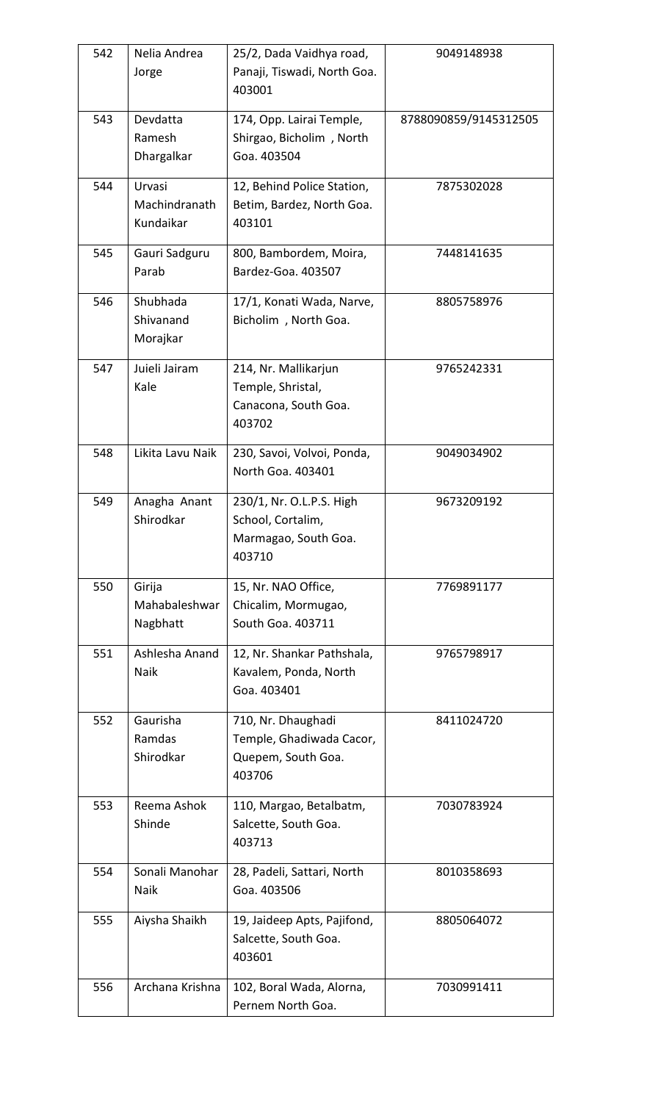| 542 | Nelia Andrea     | 25/2, Dada Vaidhya road,              | 9049148938            |
|-----|------------------|---------------------------------------|-----------------------|
|     | Jorge            | Panaji, Tiswadi, North Goa.<br>403001 |                       |
| 543 | Devdatta         | 174, Opp. Lairai Temple,              | 8788090859/9145312505 |
|     | Ramesh           | Shirgao, Bicholim, North              |                       |
|     | Dhargalkar       | Goa. 403504                           |                       |
| 544 | Urvasi           | 12, Behind Police Station,            | 7875302028            |
|     | Machindranath    | Betim, Bardez, North Goa.             |                       |
|     | Kundaikar        | 403101                                |                       |
| 545 | Gauri Sadguru    | 800, Bambordem, Moira,                | 7448141635            |
|     | Parab            | Bardez-Goa. 403507                    |                       |
| 546 | Shubhada         | 17/1, Konati Wada, Narve,             | 8805758976            |
|     | Shivanand        | Bicholim, North Goa.                  |                       |
|     | Morajkar         |                                       |                       |
| 547 | Juieli Jairam    | 214, Nr. Mallikarjun                  | 9765242331            |
|     | Kale             | Temple, Shristal,                     |                       |
|     |                  | Canacona, South Goa.                  |                       |
|     |                  | 403702                                |                       |
| 548 | Likita Lavu Naik | 230, Savoi, Volvoi, Ponda,            | 9049034902            |
|     |                  | North Goa. 403401                     |                       |
| 549 | Anagha Anant     | 230/1, Nr. O.L.P.S. High              | 9673209192            |
|     | Shirodkar        | School, Cortalim,                     |                       |
|     |                  | Marmagao, South Goa.                  |                       |
|     |                  | 403710                                |                       |
| 550 | Girija           | 15, Nr. NAO Office,                   | 7769891177            |
|     | Mahabaleshwar    | Chicalim, Mormugao,                   |                       |
|     | Nagbhatt         | South Goa. 403711                     |                       |
| 551 | Ashlesha Anand   | 12, Nr. Shankar Pathshala,            | 9765798917            |
|     | <b>Naik</b>      | Kavalem, Ponda, North                 |                       |
|     |                  | Goa. 403401                           |                       |
| 552 | Gaurisha         | 710, Nr. Dhaughadi                    | 8411024720            |
|     | Ramdas           | Temple, Ghadiwada Cacor,              |                       |
|     | Shirodkar        | Quepem, South Goa.<br>403706          |                       |
|     |                  |                                       |                       |
| 553 | Reema Ashok      | 110, Margao, Betalbatm,               | 7030783924            |
|     | Shinde           | Salcette, South Goa.<br>403713        |                       |
|     |                  |                                       |                       |
| 554 | Sonali Manohar   | 28, Padeli, Sattari, North            | 8010358693            |
|     | Naik             | Goa. 403506                           |                       |
| 555 | Aiysha Shaikh    | 19, Jaideep Apts, Pajifond,           | 8805064072            |
|     |                  | Salcette, South Goa.                  |                       |
|     |                  | 403601                                |                       |
| 556 | Archana Krishna  | 102, Boral Wada, Alorna,              | 7030991411            |
|     |                  | Pernem North Goa.                     |                       |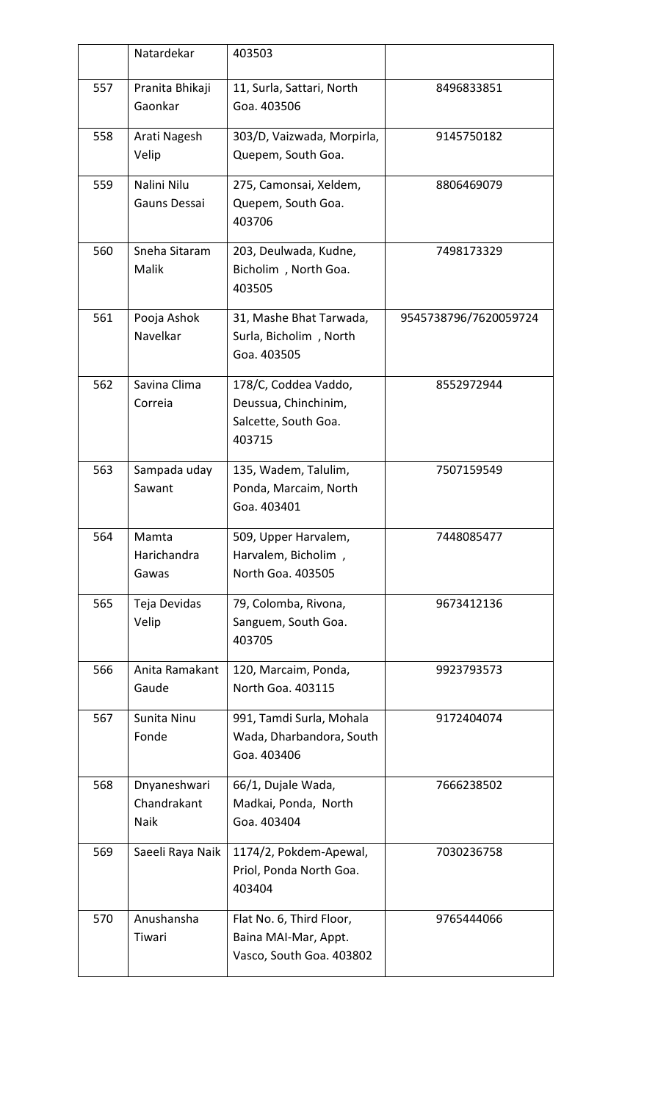|     | Natardekar                          | 403503                                                                         |                       |
|-----|-------------------------------------|--------------------------------------------------------------------------------|-----------------------|
| 557 | Pranita Bhikaji<br>Gaonkar          | 11, Surla, Sattari, North<br>Goa. 403506                                       | 8496833851            |
| 558 | Arati Nagesh<br>Velip               | 303/D, Vaizwada, Morpirla,<br>Quepem, South Goa.                               | 9145750182            |
| 559 | Nalini Nilu<br>Gauns Dessai         | 275, Camonsai, Xeldem,<br>Quepem, South Goa.<br>403706                         | 8806469079            |
| 560 | Sneha Sitaram<br>Malik              | 203, Deulwada, Kudne,<br>Bicholim, North Goa.<br>403505                        | 7498173329            |
| 561 | Pooja Ashok<br>Navelkar             | 31, Mashe Bhat Tarwada,<br>Surla, Bicholim, North<br>Goa. 403505               | 9545738796/7620059724 |
| 562 | Savina Clima<br>Correia             | 178/C, Coddea Vaddo,<br>Deussua, Chinchinim,<br>Salcette, South Goa.<br>403715 | 8552972944            |
| 563 | Sampada uday<br>Sawant              | 135, Wadem, Talulim,<br>Ponda, Marcaim, North<br>Goa. 403401                   | 7507159549            |
| 564 | Mamta<br>Harichandra<br>Gawas       | 509, Upper Harvalem,<br>Harvalem, Bicholim,<br>North Goa. 403505               | 7448085477            |
| 565 | Teja Devidas<br>Velip               | 79, Colomba, Rivona,<br>Sanguem, South Goa.<br>403705                          | 9673412136            |
| 566 | Anita Ramakant<br>Gaude             | 120, Marcaim, Ponda,<br>North Goa. 403115                                      | 9923793573            |
| 567 | Sunita Ninu<br>Fonde                | 991, Tamdi Surla, Mohala<br>Wada, Dharbandora, South<br>Goa. 403406            | 9172404074            |
| 568 | Dnyaneshwari<br>Chandrakant<br>Naik | 66/1, Dujale Wada,<br>Madkai, Ponda, North<br>Goa. 403404                      | 7666238502            |
| 569 | Saeeli Raya Naik                    | 1174/2, Pokdem-Apewal,<br>Priol, Ponda North Goa.<br>403404                    | 7030236758            |
| 570 | Anushansha<br>Tiwari                | Flat No. 6, Third Floor,<br>Baina MAI-Mar, Appt.<br>Vasco, South Goa. 403802   | 9765444066            |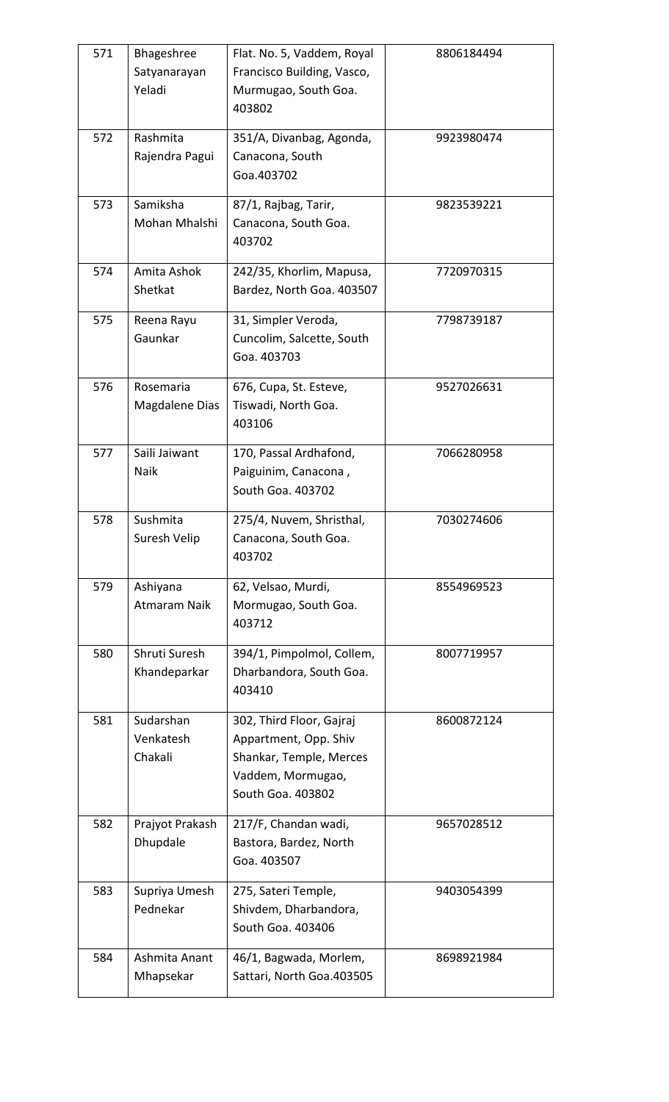| 571 | Bhageshree<br>Satyanarayan<br>Yeladi | Flat. No. 5, Vaddem, Royal<br>Francisco Building, Vasco,<br>Murmugao, South Goa.<br>403802                             | 8806184494 |
|-----|--------------------------------------|------------------------------------------------------------------------------------------------------------------------|------------|
| 572 | Rashmita<br>Rajendra Pagui           | 351/A, Divanbag, Agonda,<br>Canacona, South<br>Goa.403702                                                              | 9923980474 |
| 573 | Samiksha<br>Mohan Mhalshi            | 87/1, Rajbag, Tarir,<br>Canacona, South Goa.<br>403702                                                                 | 9823539221 |
| 574 | Amita Ashok<br>Shetkat               | 242/35, Khorlim, Mapusa,<br>Bardez, North Goa. 403507                                                                  | 7720970315 |
| 575 | Reena Rayu<br>Gaunkar                | 31, Simpler Veroda,<br>Cuncolim, Salcette, South<br>Goa. 403703                                                        | 7798739187 |
| 576 | Rosemaria<br>Magdalene Dias          | 676, Cupa, St. Esteve,<br>Tiswadi, North Goa.<br>403106                                                                | 9527026631 |
| 577 | Saili Jaiwant<br>Naik                | 170, Passal Ardhafond,<br>Paiguinim, Canacona,<br>South Goa. 403702                                                    | 7066280958 |
| 578 | Sushmita<br>Suresh Velip             | 275/4, Nuvem, Shristhal,<br>Canacona, South Goa.<br>403702                                                             | 7030274606 |
| 579 | Ashiyana<br>Atmaram Naik             | 62, Velsao, Murdi,<br>Mormugao, South Goa.<br>403712                                                                   | 8554969523 |
| 580 | Shruti Suresh<br>Khandeparkar        | 394/1, Pimpolmol, Collem,<br>Dharbandora, South Goa.<br>403410                                                         | 8007719957 |
| 581 | Sudarshan<br>Venkatesh<br>Chakali    | 302, Third Floor, Gajraj<br>Appartment, Opp. Shiv<br>Shankar, Temple, Merces<br>Vaddem, Mormugao,<br>South Goa. 403802 | 8600872124 |
| 582 | Prajyot Prakash<br>Dhupdale          | 217/F, Chandan wadi,<br>Bastora, Bardez, North<br>Goa. 403507                                                          | 9657028512 |
| 583 | Supriya Umesh<br>Pednekar            | 275, Sateri Temple,<br>Shivdem, Dharbandora,<br>South Goa. 403406                                                      | 9403054399 |
| 584 | Ashmita Anant<br>Mhapsekar           | 46/1, Bagwada, Morlem,<br>Sattari, North Goa.403505                                                                    | 8698921984 |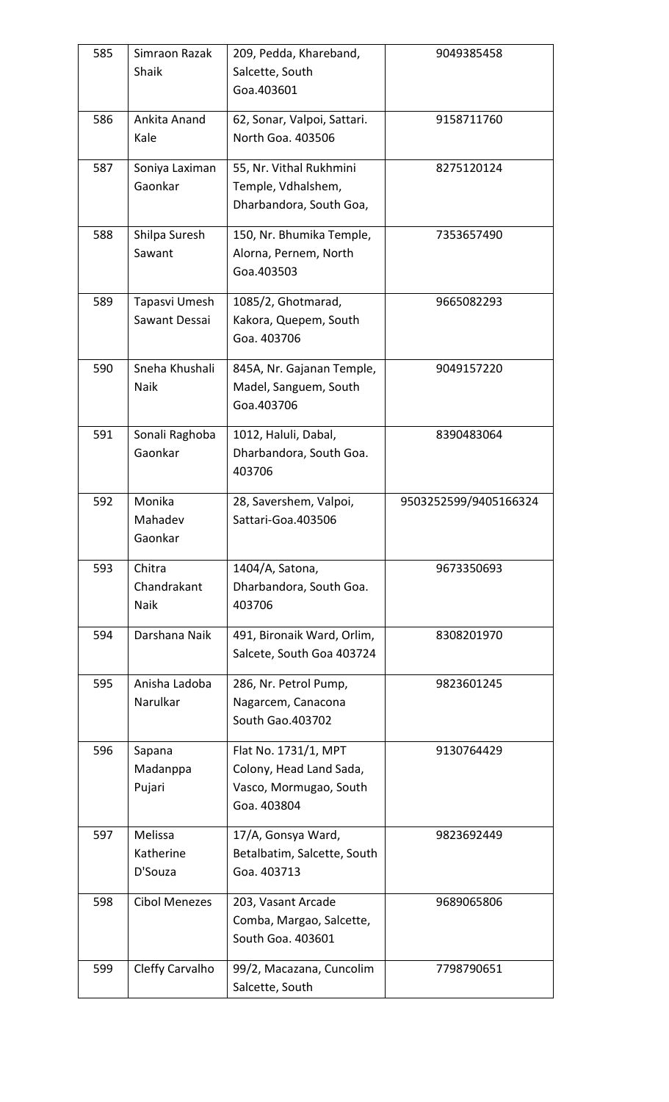| 585 | Simraon Razak<br>Shaik          | 209, Pedda, Khareband,<br>Salcette, South<br>Goa.403601                                  | 9049385458            |
|-----|---------------------------------|------------------------------------------------------------------------------------------|-----------------------|
| 586 | Ankita Anand<br>Kale            | 62, Sonar, Valpoi, Sattari.<br>North Goa. 403506                                         | 9158711760            |
| 587 | Soniya Laximan<br>Gaonkar       | 55, Nr. Vithal Rukhmini<br>Temple, Vdhalshem,<br>Dharbandora, South Goa,                 | 8275120124            |
| 588 | Shilpa Suresh<br>Sawant         | 150, Nr. Bhumika Temple,<br>Alorna, Pernem, North<br>Goa.403503                          | 7353657490            |
| 589 | Tapasvi Umesh<br>Sawant Dessai  | 1085/2, Ghotmarad,<br>Kakora, Quepem, South<br>Goa. 403706                               | 9665082293            |
| 590 | Sneha Khushali<br>Naik          | 845A, Nr. Gajanan Temple,<br>Madel, Sanguem, South<br>Goa.403706                         | 9049157220            |
| 591 | Sonali Raghoba<br>Gaonkar       | 1012, Haluli, Dabal,<br>Dharbandora, South Goa.<br>403706                                | 8390483064            |
| 592 | Monika<br>Mahadev<br>Gaonkar    | 28, Savershem, Valpoi,<br>Sattari-Goa.403506                                             | 9503252599/9405166324 |
| 593 | Chitra<br>Chandrakant<br>Naik   | 1404/A, Satona,<br>Dharbandora, South Goa.<br>403706                                     | 9673350693            |
| 594 | Darshana Naik                   | 491, Bironaik Ward, Orlim,<br>Salcete, South Goa 403724                                  | 8308201970            |
| 595 | Anisha Ladoba<br>Narulkar       | 286, Nr. Petrol Pump,<br>Nagarcem, Canacona<br><b>South Gao.403702</b>                   | 9823601245            |
| 596 | Sapana<br>Madanppa<br>Pujari    | Flat No. 1731/1, MPT<br>Colony, Head Land Sada,<br>Vasco, Mormugao, South<br>Goa. 403804 | 9130764429            |
| 597 | Melissa<br>Katherine<br>D'Souza | 17/A, Gonsya Ward,<br>Betalbatim, Salcette, South<br>Goa. 403713                         | 9823692449            |
| 598 | <b>Cibol Menezes</b>            | 203, Vasant Arcade<br>Comba, Margao, Salcette,<br>South Goa. 403601                      | 9689065806            |
| 599 | Cleffy Carvalho                 | 99/2, Macazana, Cuncolim<br>Salcette, South                                              | 7798790651            |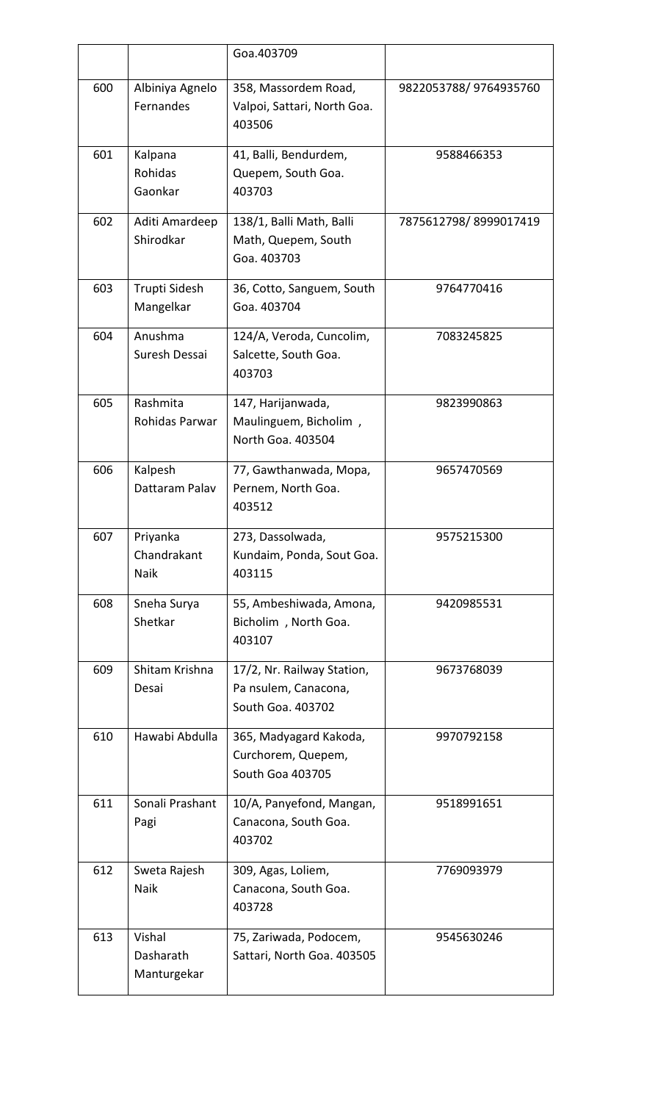|     |                                    | Goa.403709                                                              |                       |
|-----|------------------------------------|-------------------------------------------------------------------------|-----------------------|
| 600 | Albiniya Agnelo<br>Fernandes       | 358, Massordem Road,<br>Valpoi, Sattari, North Goa.<br>403506           | 9822053788/9764935760 |
| 601 | Kalpana<br>Rohidas<br>Gaonkar      | 41, Balli, Bendurdem,<br>Quepem, South Goa.<br>403703                   | 9588466353            |
| 602 | Aditi Amardeep<br>Shirodkar        | 138/1, Balli Math, Balli<br>Math, Quepem, South<br>Goa. 403703          | 7875612798/8999017419 |
| 603 | Trupti Sidesh<br>Mangelkar         | 36, Cotto, Sanguem, South<br>Goa. 403704                                | 9764770416            |
| 604 | Anushma<br>Suresh Dessai           | 124/A, Veroda, Cuncolim,<br>Salcette, South Goa.<br>403703              | 7083245825            |
| 605 | Rashmita<br>Rohidas Parwar         | 147, Harijanwada,<br>Maulinguem, Bicholim,<br>North Goa. 403504         | 9823990863            |
| 606 | Kalpesh<br>Dattaram Palav          | 77, Gawthanwada, Mopa,<br>Pernem, North Goa.<br>403512                  | 9657470569            |
| 607 | Priyanka<br>Chandrakant<br>Naik    | 273, Dassolwada,<br>Kundaim, Ponda, Sout Goa.<br>403115                 | 9575215300            |
| 608 | Sneha Surya<br>Shetkar             | 55, Ambeshiwada, Amona,<br>Bicholim, North Goa.<br>403107               | 9420985531            |
| 609 | Shitam Krishna<br>Desai            | 17/2, Nr. Railway Station,<br>Pa nsulem, Canacona,<br>South Goa. 403702 | 9673768039            |
| 610 | Hawabi Abdulla                     | 365, Madyagard Kakoda,<br>Curchorem, Quepem,<br>South Goa 403705        | 9970792158            |
| 611 | Sonali Prashant<br>Pagi            | 10/A, Panyefond, Mangan,<br>Canacona, South Goa.<br>403702              | 9518991651            |
| 612 | Sweta Rajesh<br>Naik               | 309, Agas, Loliem,<br>Canacona, South Goa.<br>403728                    | 7769093979            |
| 613 | Vishal<br>Dasharath<br>Manturgekar | 75, Zariwada, Podocem,<br>Sattari, North Goa. 403505                    | 9545630246            |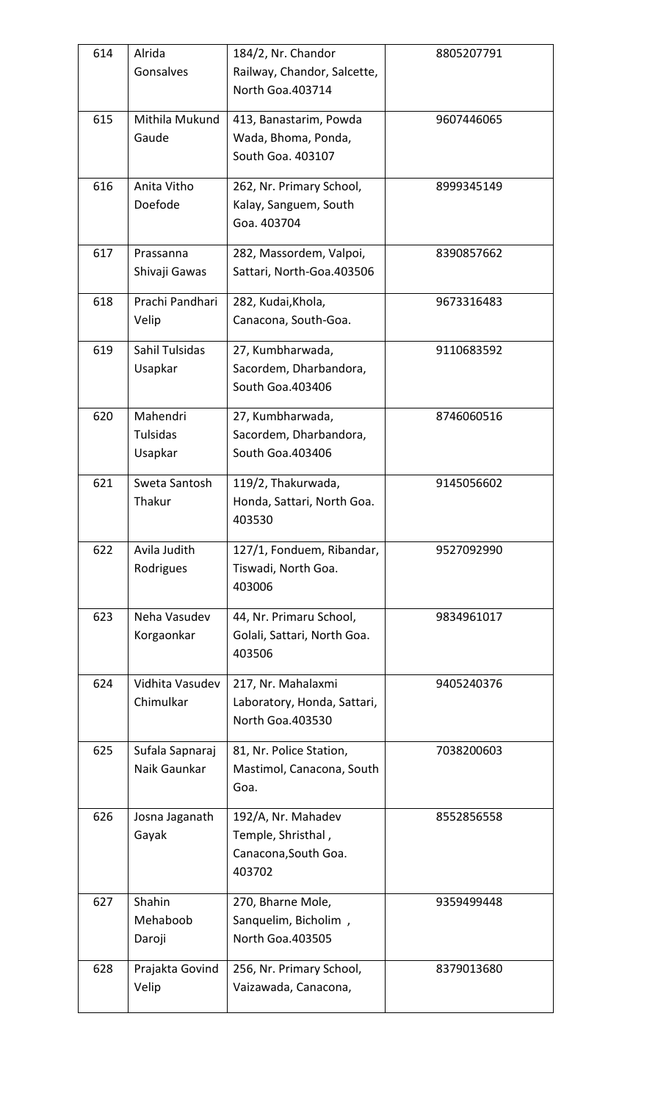| 614 | Alrida<br>Gonsalves             | 184/2, Nr. Chandor<br>Railway, Chandor, Salcette,<br>North Goa.403714      | 8805207791 |
|-----|---------------------------------|----------------------------------------------------------------------------|------------|
| 615 | Mithila Mukund<br>Gaude         | 413, Banastarim, Powda<br>Wada, Bhoma, Ponda,<br>South Goa. 403107         | 9607446065 |
| 616 | Anita Vitho<br>Doefode          | 262, Nr. Primary School,<br>Kalay, Sanguem, South<br>Goa. 403704           | 8999345149 |
| 617 | Prassanna<br>Shivaji Gawas      | 282, Massordem, Valpoi,<br>Sattari, North-Goa.403506                       | 8390857662 |
| 618 | Prachi Pandhari<br>Velip        | 282, Kudai, Khola,<br>Canacona, South-Goa.                                 | 9673316483 |
| 619 | Sahil Tulsidas<br>Usapkar       | 27, Kumbharwada,<br>Sacordem, Dharbandora,<br>South Goa.403406             | 9110683592 |
| 620 | Mahendri<br>Tulsidas<br>Usapkar | 27, Kumbharwada,<br>Sacordem, Dharbandora,<br>South Goa. 403406            | 8746060516 |
| 621 | Sweta Santosh<br>Thakur         | 119/2, Thakurwada,<br>Honda, Sattari, North Goa.<br>403530                 | 9145056602 |
| 622 | Avila Judith<br>Rodrigues       | 127/1, Fonduem, Ribandar,<br>Tiswadi, North Goa.<br>403006                 | 9527092990 |
| 623 | Neha Vasudev<br>Korgaonkar      | 44, Nr. Primaru School,<br>Golali, Sattari, North Goa.<br>403506           | 9834961017 |
| 624 | Vidhita Vasudev<br>Chimulkar    | 217, Nr. Mahalaxmi<br>Laboratory, Honda, Sattari,<br>North Goa.403530      | 9405240376 |
| 625 | Sufala Sapnaraj<br>Naik Gaunkar | 81, Nr. Police Station,<br>Mastimol, Canacona, South<br>Goa.               | 7038200603 |
| 626 | Josna Jaganath<br>Gayak         | 192/A, Nr. Mahadev<br>Temple, Shristhal,<br>Canacona, South Goa.<br>403702 | 8552856558 |
| 627 | Shahin<br>Mehaboob<br>Daroji    | 270, Bharne Mole,<br>Sanquelim, Bicholim,<br><b>North Goa.403505</b>       | 9359499448 |
| 628 | Prajakta Govind<br>Velip        | 256, Nr. Primary School,<br>Vaizawada, Canacona,                           | 8379013680 |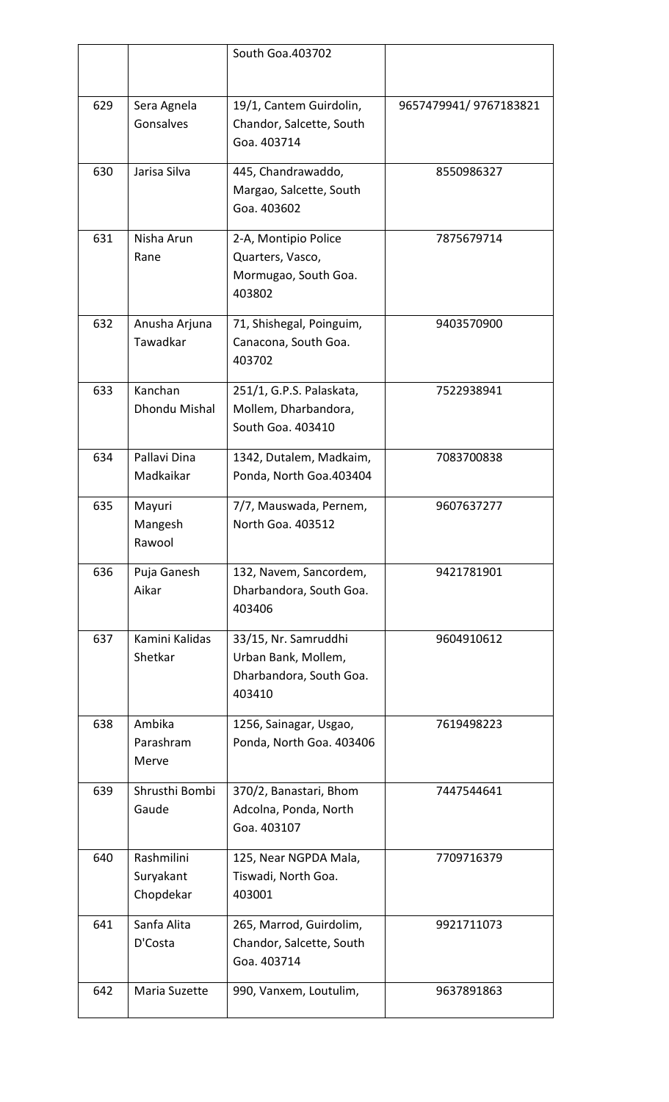|     |                                      | South Goa.403702                                                                 |                       |
|-----|--------------------------------------|----------------------------------------------------------------------------------|-----------------------|
|     |                                      |                                                                                  |                       |
| 629 | Sera Agnela<br>Gonsalves             | 19/1, Cantem Guirdolin,<br>Chandor, Salcette, South<br>Goa. 403714               | 9657479941/9767183821 |
| 630 | Jarisa Silva                         | 445, Chandrawaddo,<br>Margao, Salcette, South<br>Goa. 403602                     | 8550986327            |
| 631 | Nisha Arun<br>Rane                   | 2-A, Montipio Police<br>Quarters, Vasco,<br>Mormugao, South Goa.<br>403802       | 7875679714            |
| 632 | Anusha Arjuna<br>Tawadkar            | 71, Shishegal, Poinguim,<br>Canacona, South Goa.<br>403702                       | 9403570900            |
| 633 | Kanchan<br>Dhondu Mishal             | 251/1, G.P.S. Palaskata,<br>Mollem, Dharbandora,<br>South Goa. 403410            | 7522938941            |
| 634 | Pallavi Dina<br>Madkaikar            | 1342, Dutalem, Madkaim,<br>Ponda, North Goa.403404                               | 7083700838            |
| 635 | Mayuri<br>Mangesh<br>Rawool          | 7/7, Mauswada, Pernem,<br>North Goa. 403512                                      | 9607637277            |
| 636 | Puja Ganesh<br>Aikar                 | 132, Navem, Sancordem,<br>Dharbandora, South Goa.<br>403406                      | 9421781901            |
| 637 | Kamini Kalidas<br>Shetkar            | 33/15, Nr. Samruddhi<br>Urban Bank, Mollem,<br>Dharbandora, South Goa.<br>403410 | 9604910612            |
| 638 | Ambika<br>Parashram<br>Merve         | 1256, Sainagar, Usgao,<br>Ponda, North Goa. 403406                               | 7619498223            |
| 639 | Shrusthi Bombi<br>Gaude              | 370/2, Banastari, Bhom<br>Adcolna, Ponda, North<br>Goa. 403107                   | 7447544641            |
| 640 | Rashmilini<br>Suryakant<br>Chopdekar | 125, Near NGPDA Mala,<br>Tiswadi, North Goa.<br>403001                           | 7709716379            |
| 641 | Sanfa Alita<br>D'Costa               | 265, Marrod, Guirdolim,<br>Chandor, Salcette, South<br>Goa. 403714               | 9921711073            |
| 642 | Maria Suzette                        | 990, Vanxem, Loutulim,                                                           | 9637891863            |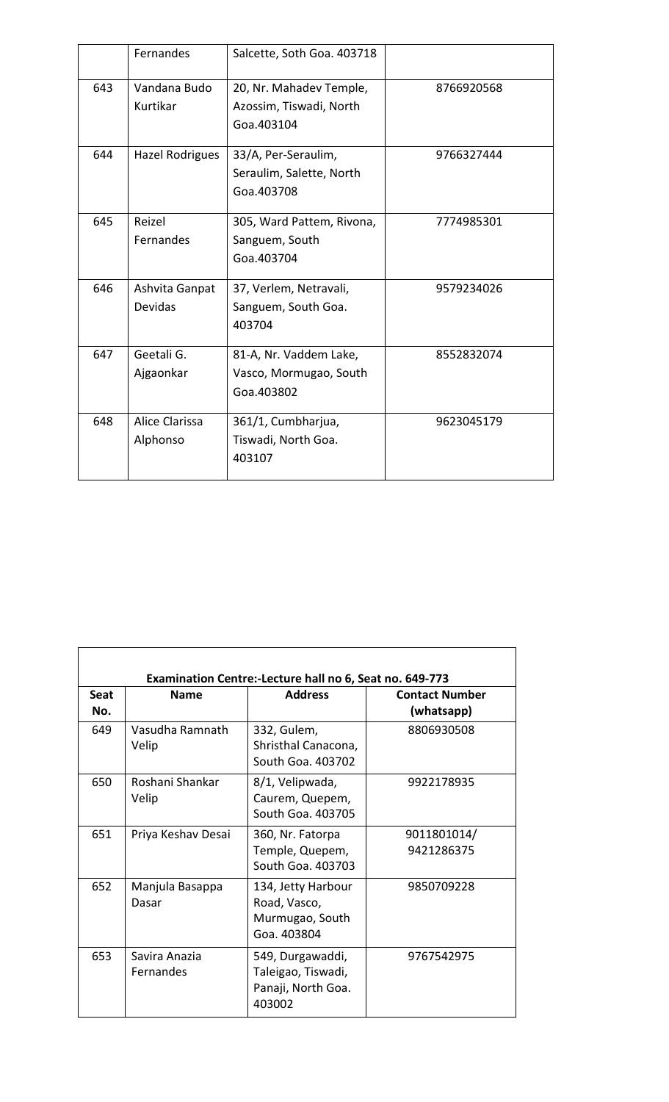|     | Fernandes              | Salcette, Soth Goa. 403718 |            |
|-----|------------------------|----------------------------|------------|
| 643 | Vandana Budo           | 20, Nr. Mahadev Temple,    | 8766920568 |
|     | Kurtikar               | Azossim, Tiswadi, North    |            |
|     |                        | Goa.403104                 |            |
|     |                        |                            |            |
| 644 | <b>Hazel Rodrigues</b> | 33/A, Per-Seraulim,        | 9766327444 |
|     |                        | Seraulim, Salette, North   |            |
|     |                        | Goa.403708                 |            |
| 645 | Reizel                 | 305, Ward Pattem, Rivona,  | 7774985301 |
|     | Fernandes              | Sanguem, South             |            |
|     |                        | Goa.403704                 |            |
|     |                        |                            |            |
| 646 | Ashvita Ganpat         | 37, Verlem, Netravali,     | 9579234026 |
|     | Devidas                | Sanguem, South Goa.        |            |
|     |                        | 403704                     |            |
|     |                        |                            |            |
| 647 | Geetali G.             | 81-A, Nr. Vaddem Lake,     | 8552832074 |
|     | Ajgaonkar              | Vasco, Mormugao, South     |            |
|     |                        | Goa.403802                 |            |
| 648 | Alice Clarissa         | 361/1, Cumbharjua,         | 9623045179 |
|     | Alphonso               | Tiswadi, North Goa.        |            |
|     |                        | 403107                     |            |
|     |                        |                            |            |

|                    |                            | Examination Centre:-Lecture hall no 6, Seat no. 649-773                |                                     |
|--------------------|----------------------------|------------------------------------------------------------------------|-------------------------------------|
| <b>Seat</b><br>No. | <b>Name</b>                | <b>Address</b>                                                         | <b>Contact Number</b><br>(whatsapp) |
| 649                | Vasudha Ramnath<br>Velip   | 332, Gulem,<br>Shristhal Canacona,<br>South Goa. 403702                | 8806930508                          |
| 650                | Roshani Shankar<br>Velip   | 8/1, Velipwada,<br>Caurem, Quepem,<br>South Goa. 403705                | 9922178935                          |
| 651                | Priya Keshav Desai         | 360, Nr. Fatorpa<br>Temple, Quepem,<br>South Goa. 403703               | 9011801014/<br>9421286375           |
| 652                | Manjula Basappa<br>Dasar   | 134, Jetty Harbour<br>Road, Vasco,<br>Murmugao, South<br>Goa. 403804   | 9850709228                          |
| 653                | Savira Anazia<br>Fernandes | 549, Durgawaddi,<br>Taleigao, Tiswadi,<br>Panaji, North Goa.<br>403002 | 9767542975                          |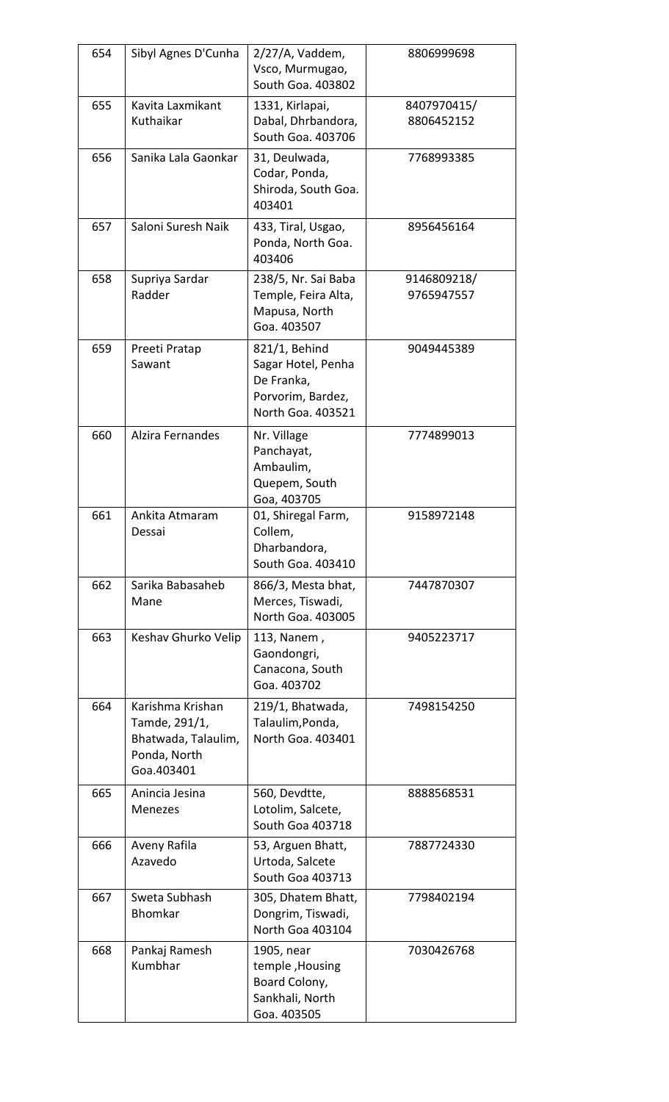| 654 | Sibyl Agnes D'Cunha                                                                    | $2/27/A$ , Vaddem,<br>Vsco, Murmugao,<br>South Goa. 403802                                  | 8806999698                |
|-----|----------------------------------------------------------------------------------------|---------------------------------------------------------------------------------------------|---------------------------|
| 655 | Kavita Laxmikant<br>Kuthaikar                                                          | 1331, Kirlapai,<br>Dabal, Dhrbandora,<br>South Goa. 403706                                  | 8407970415/<br>8806452152 |
| 656 | Sanika Lala Gaonkar                                                                    | 31, Deulwada,<br>Codar, Ponda,<br>Shiroda, South Goa.<br>403401                             | 7768993385                |
| 657 | Saloni Suresh Naik                                                                     | 433, Tiral, Usgao,<br>Ponda, North Goa.<br>403406                                           | 8956456164                |
| 658 | Supriya Sardar<br>Radder                                                               | 238/5, Nr. Sai Baba<br>Temple, Feira Alta,<br>Mapusa, North<br>Goa. 403507                  | 9146809218/<br>9765947557 |
| 659 | Preeti Pratap<br>Sawant                                                                | 821/1, Behind<br>Sagar Hotel, Penha<br>De Franka,<br>Porvorim, Bardez,<br>North Goa. 403521 | 9049445389                |
| 660 | Alzira Fernandes                                                                       | Nr. Village<br>Panchayat,<br>Ambaulim,<br>Quepem, South<br>Goa, 403705                      | 7774899013                |
| 661 | Ankita Atmaram<br>Dessai                                                               | 01, Shiregal Farm,<br>Collem,<br>Dharbandora,<br>South Goa. 403410                          | 9158972148                |
| 662 | Sarika Babasaheb<br>Mane                                                               | 866/3, Mesta bhat,<br>Merces, Tiswadi,<br>North Goa. 403005                                 | 7447870307                |
| 663 | Keshav Ghurko Velip                                                                    | 113, Nanem,<br>Gaondongri,<br>Canacona, South<br>Goa. 403702                                | 9405223717                |
| 664 | Karishma Krishan<br>Tamde, 291/1,<br>Bhatwada, Talaulim,<br>Ponda, North<br>Goa.403401 | 219/1, Bhatwada,<br>Talaulim, Ponda,<br>North Goa. 403401                                   | 7498154250                |
| 665 | Anincia Jesina<br>Menezes                                                              | 560, Devdtte,<br>Lotolim, Salcete,<br>South Goa 403718                                      | 8888568531                |
| 666 | Aveny Rafila<br>Azavedo                                                                | 53, Arguen Bhatt,<br>Urtoda, Salcete<br>South Goa 403713                                    | 7887724330                |
| 667 | Sweta Subhash<br>Bhomkar                                                               | 305, Dhatem Bhatt,<br>Dongrim, Tiswadi,<br>North Goa 403104                                 | 7798402194                |
| 668 | Pankaj Ramesh<br>Kumbhar                                                               | 1905, near<br>temple, Housing<br>Board Colony,<br>Sankhali, North<br>Goa. 403505            | 7030426768                |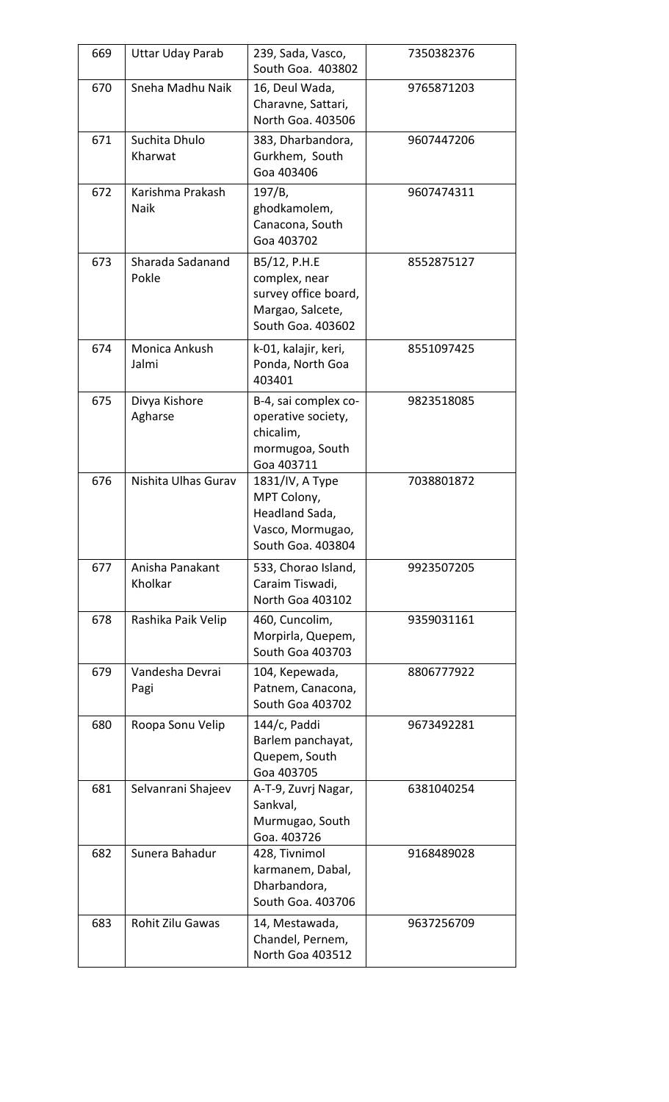| 669 | <b>Uttar Uday Parab</b>    | 239, Sada, Vasco,<br>South Goa. 403802                                                         | 7350382376 |
|-----|----------------------------|------------------------------------------------------------------------------------------------|------------|
| 670 | Sneha Madhu Naik           | 16, Deul Wada,<br>Charavne, Sattari,<br>North Goa. 403506                                      | 9765871203 |
| 671 | Suchita Dhulo<br>Kharwat   | 383, Dharbandora,<br>Gurkhem, South<br>Goa 403406                                              | 9607447206 |
| 672 | Karishma Prakash<br>Naik   | 197/B,<br>ghodkamolem,<br>Canacona, South<br>Goa 403702                                        | 9607474311 |
| 673 | Sharada Sadanand<br>Pokle  | B5/12, P.H.E<br>complex, near<br>survey office board,<br>Margao, Salcete,<br>South Goa. 403602 | 8552875127 |
| 674 | Monica Ankush<br>Jalmi     | k-01, kalajir, keri,<br>Ponda, North Goa<br>403401                                             | 8551097425 |
| 675 | Divya Kishore<br>Agharse   | B-4, sai complex co-<br>operative society,<br>chicalim,<br>mormugoa, South<br>Goa 403711       | 9823518085 |
| 676 | Nishita Ulhas Gurav        | 1831/IV, A Type<br>MPT Colony,<br>Headland Sada,<br>Vasco, Mormugao,<br>South Goa. 403804      | 7038801872 |
| 677 | Anisha Panakant<br>Kholkar | 533, Chorao Island,<br>Caraim Tiswadi,<br>North Goa 403102                                     | 9923507205 |
| 678 | Rashika Paik Velip         | 460, Cuncolim,<br>Morpirla, Quepem,<br>South Goa 403703                                        | 9359031161 |
| 679 | Vandesha Devrai<br>Pagi    | 104, Kepewada,<br>Patnem, Canacona,<br>South Goa 403702                                        | 8806777922 |
| 680 | Roopa Sonu Velip           | 144/c, Paddi<br>Barlem panchayat,<br>Quepem, South<br>Goa 403705                               | 9673492281 |
| 681 | Selvanrani Shajeev         | A-T-9, Zuvrj Nagar,<br>Sankval,<br>Murmugao, South<br>Goa. 403726                              | 6381040254 |
| 682 | Sunera Bahadur             | 428, Tivnimol<br>karmanem, Dabal,<br>Dharbandora,<br>South Goa. 403706                         | 9168489028 |
| 683 | Rohit Zilu Gawas           | 14, Mestawada,<br>Chandel, Pernem,<br>North Goa 403512                                         | 9637256709 |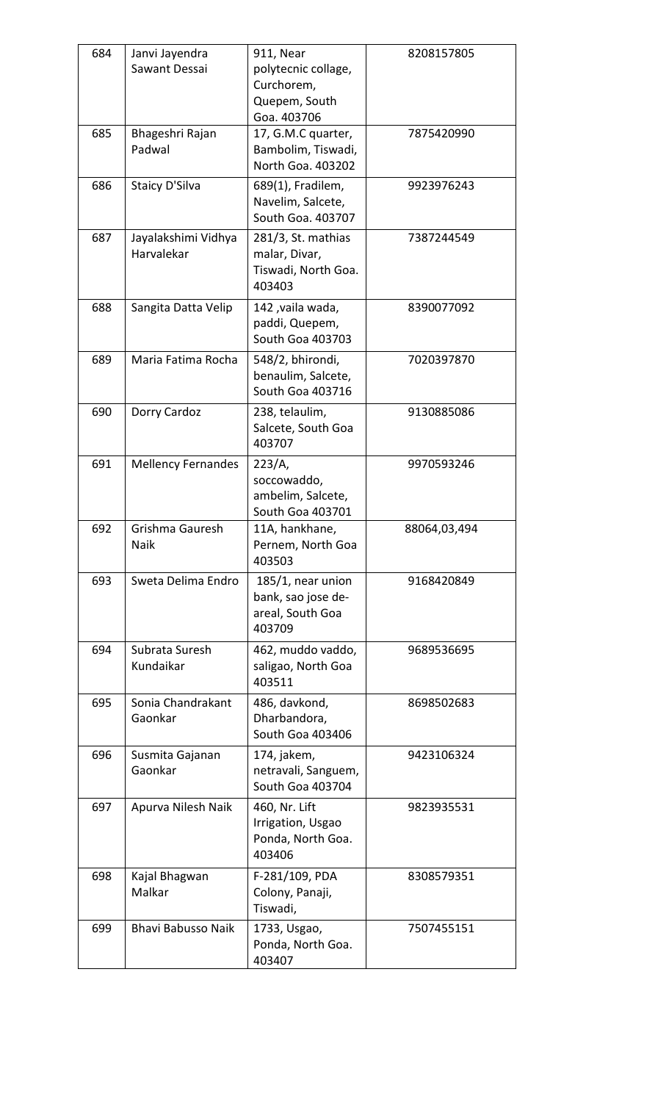| 684<br>685 | Janvi Jayendra<br>Sawant Dessai<br>Bhageshri Rajan | 911, Near<br>polytecnic collage,<br>Curchorem,<br>Quepem, South<br>Goa. 403706<br>17, G.M.C quarter, | 8208157805<br>7875420990 |
|------------|----------------------------------------------------|------------------------------------------------------------------------------------------------------|--------------------------|
|            | Padwal                                             | Bambolim, Tiswadi,<br>North Goa. 403202                                                              |                          |
| 686        | <b>Staicy D'Silva</b>                              | 689(1), Fradilem,<br>Navelim, Salcete,<br>South Goa. 403707                                          | 9923976243               |
| 687        | Jayalakshimi Vidhya<br>Harvalekar                  | 281/3, St. mathias<br>malar, Divar,<br>Tiswadi, North Goa.<br>403403                                 | 7387244549               |
| 688        | Sangita Datta Velip                                | 142, vaila wada,<br>paddi, Quepem,<br><b>South Goa 403703</b>                                        | 8390077092               |
| 689        | Maria Fatima Rocha                                 | 548/2, bhirondi,<br>benaulim, Salcete,<br>South Goa 403716                                           | 7020397870               |
| 690        | Dorry Cardoz                                       | 238, telaulim,<br>Salcete, South Goa<br>403707                                                       | 9130885086               |
| 691        | <b>Mellency Fernandes</b>                          | 223/A,<br>soccowaddo,<br>ambelim, Salcete,<br>South Goa 403701                                       | 9970593246               |
| 692        | Grishma Gauresh<br>Naik                            | 11A, hankhane,<br>Pernem, North Goa<br>403503                                                        | 88064,03,494             |
| 693        | Sweta Delima Endro                                 | 185/1, near union<br>bank, sao jose de-<br>areal, South Goa<br>403709                                | 9168420849               |
| 694        | Subrata Suresh<br>Kundaikar                        | 462, muddo vaddo,<br>saligao, North Goa<br>403511                                                    | 9689536695               |
| 695        | Sonia Chandrakant<br>Gaonkar                       | 486, davkond,<br>Dharbandora,<br>South Goa 403406                                                    | 8698502683               |
| 696        | Susmita Gajanan<br>Gaonkar                         | 174, jakem,<br>netravali, Sanguem,<br>South Goa 403704                                               | 9423106324               |
| 697        | Apurva Nilesh Naik                                 | 460, Nr. Lift<br>Irrigation, Usgao<br>Ponda, North Goa.<br>403406                                    | 9823935531               |
| 698        | Kajal Bhagwan<br>Malkar                            | F-281/109, PDA<br>Colony, Panaji,<br>Tiswadi,                                                        | 8308579351               |
| 699        | Bhavi Babusso Naik                                 | 1733, Usgao,<br>Ponda, North Goa.<br>403407                                                          | 7507455151               |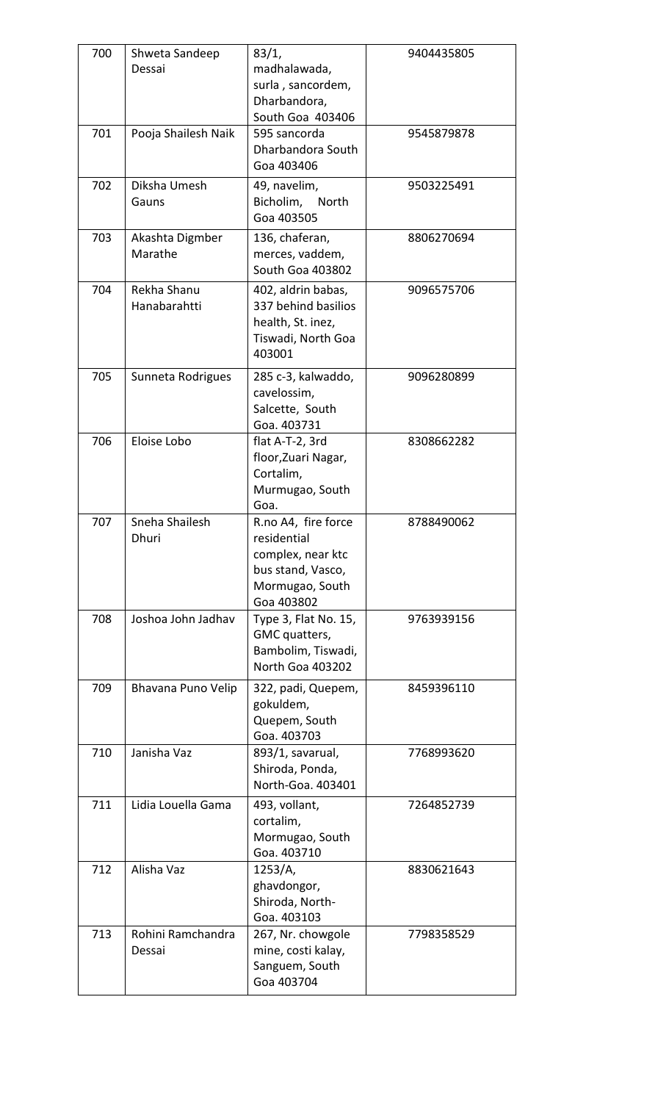| 700 | Shweta Sandeep<br>Dessai    | 83/1,<br>madhalawada,<br>surla, sancordem,<br>Dharbandora,<br>South Goa 403406                                | 9404435805 |  |
|-----|-----------------------------|---------------------------------------------------------------------------------------------------------------|------------|--|
| 701 | Pooja Shailesh Naik         | 595 sancorda<br>Dharbandora South<br>Goa 403406                                                               | 9545879878 |  |
| 702 | Diksha Umesh<br>Gauns       | 49, navelim,<br>Bicholim,<br>North<br>Goa 403505                                                              | 9503225491 |  |
| 703 | Akashta Digmber<br>Marathe  | 136, chaferan,<br>merces, vaddem,<br>South Goa 403802                                                         | 8806270694 |  |
| 704 | Rekha Shanu<br>Hanabarahtti | 402, aldrin babas,<br>337 behind basilios<br>health, St. inez,<br>Tiswadi, North Goa<br>403001                | 9096575706 |  |
| 705 | Sunneta Rodrigues           | 285 c-3, kalwaddo,<br>cavelossim,<br>Salcette, South<br>Goa. 403731                                           | 9096280899 |  |
| 706 | Eloise Lobo                 | flat A-T-2, 3rd<br>floor, Zuari Nagar,<br>Cortalim,<br>Murmugao, South<br>Goa.                                | 8308662282 |  |
| 707 | Sneha Shailesh<br>Dhuri     | R.no A4, fire force<br>residential<br>complex, near ktc<br>bus stand, Vasco,<br>Mormugao, South<br>Goa 403802 | 8788490062 |  |
| 708 | Joshoa John Jadhav          | Type 3, Flat No. 15,<br>GMC quatters,<br>Bambolim, Tiswadi,<br>North Goa 403202                               | 9763939156 |  |
| 709 | Bhavana Puno Velip          | 322, padi, Quepem,<br>gokuldem,<br>Quepem, South<br>Goa. 403703                                               | 8459396110 |  |
| 710 | Janisha Vaz                 | 893/1, savarual,<br>Shiroda, Ponda,<br>North-Goa. 403401                                                      | 7768993620 |  |
| 711 | Lidia Louella Gama          | 493, vollant,<br>cortalim,<br>Mormugao, South<br>Goa. 403710                                                  | 7264852739 |  |
| 712 | Alisha Vaz                  | 1253/A,<br>ghavdongor,<br>Shiroda, North-<br>Goa. 403103                                                      | 8830621643 |  |
| 713 | Rohini Ramchandra<br>Dessai | 267, Nr. chowgole<br>mine, costi kalay,<br>Sanguem, South<br>Goa 403704                                       | 7798358529 |  |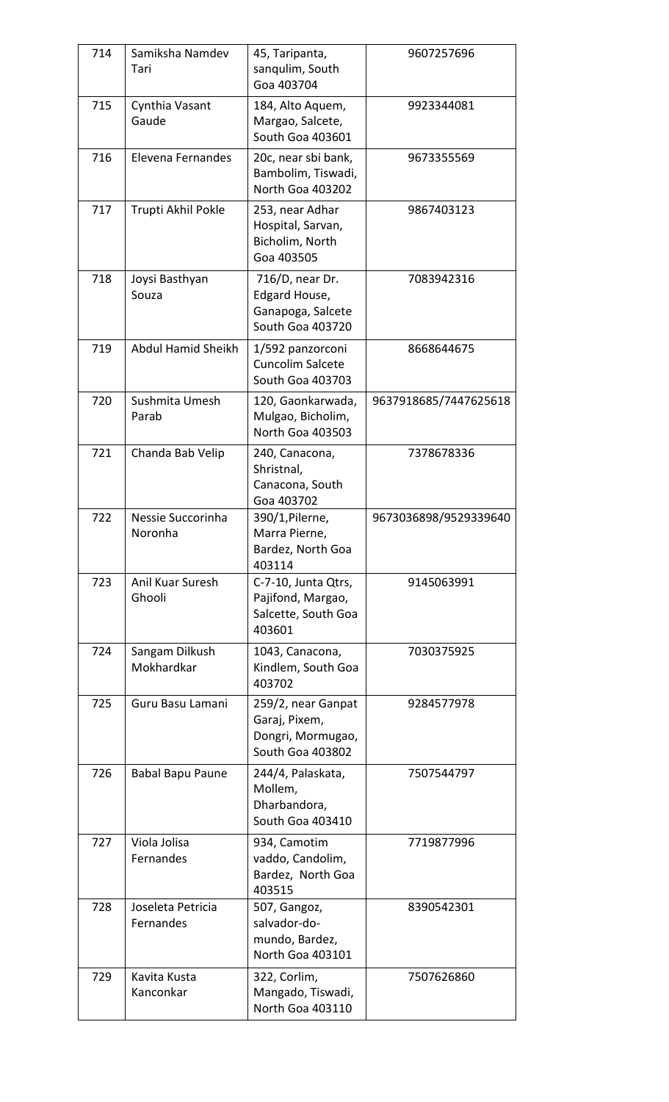| 714 | Samiksha Namdev<br>Tari        | 45, Taripanta,<br>sangulim, South<br>Goa 403704                              | 9607257696            |
|-----|--------------------------------|------------------------------------------------------------------------------|-----------------------|
| 715 | Cynthia Vasant<br>Gaude        | 184, Alto Aquem,<br>Margao, Salcete,<br>South Goa 403601                     | 9923344081            |
| 716 | Elevena Fernandes              | 20c, near sbi bank,<br>Bambolim, Tiswadi,<br>North Goa 403202                | 9673355569            |
| 717 | Trupti Akhil Pokle             | 253, near Adhar<br>Hospital, Sarvan,<br>Bicholim, North<br>Goa 403505        | 9867403123            |
| 718 | Joysi Basthyan<br>Souza        | 716/D, near Dr.<br>Edgard House,<br>Ganapoga, Salcete<br>South Goa 403720    | 7083942316            |
| 719 | Abdul Hamid Sheikh             | 1/592 panzorconi<br><b>Cuncolim Salcete</b><br>South Goa 403703              | 8668644675            |
| 720 | Sushmita Umesh<br>Parab        | 120, Gaonkarwada,<br>Mulgao, Bicholim,<br>North Goa 403503                   | 9637918685/7447625618 |
| 721 | Chanda Bab Velip               | 240, Canacona,<br>Shristnal,<br>Canacona, South<br>Goa 403702                | 7378678336            |
| 722 | Nessie Succorinha<br>Noronha   | 390/1, Pilerne,<br>Marra Pierne,<br>Bardez, North Goa<br>403114              | 9673036898/9529339640 |
| 723 | Anil Kuar Suresh<br>Ghooli     | C-7-10, Junta Qtrs,<br>Pajifond, Margao,<br>Salcette, South Goa<br>403601    | 9145063991            |
| 724 | Sangam Dilkush<br>Mokhardkar   | 1043, Canacona,<br>Kindlem, South Goa<br>403702                              | 7030375925            |
| 725 | Guru Basu Lamani               | 259/2, near Ganpat<br>Garaj, Pixem,<br>Dongri, Mormugao,<br>South Goa 403802 | 9284577978            |
| 726 | Babal Bapu Paune               | 244/4, Palaskata,<br>Mollem,<br>Dharbandora,<br>South Goa 403410             | 7507544797            |
| 727 | Viola Jolisa<br>Fernandes      | 934, Camotim<br>vaddo, Candolim,<br>Bardez, North Goa<br>403515              | 7719877996            |
| 728 | Joseleta Petricia<br>Fernandes | 507, Gangoz,<br>salvador-do-<br>mundo, Bardez,<br>North Goa 403101           | 8390542301            |
| 729 | Kavita Kusta<br>Kanconkar      | 322, Corlim,<br>Mangado, Tiswadi,<br>North Goa 403110                        | 7507626860            |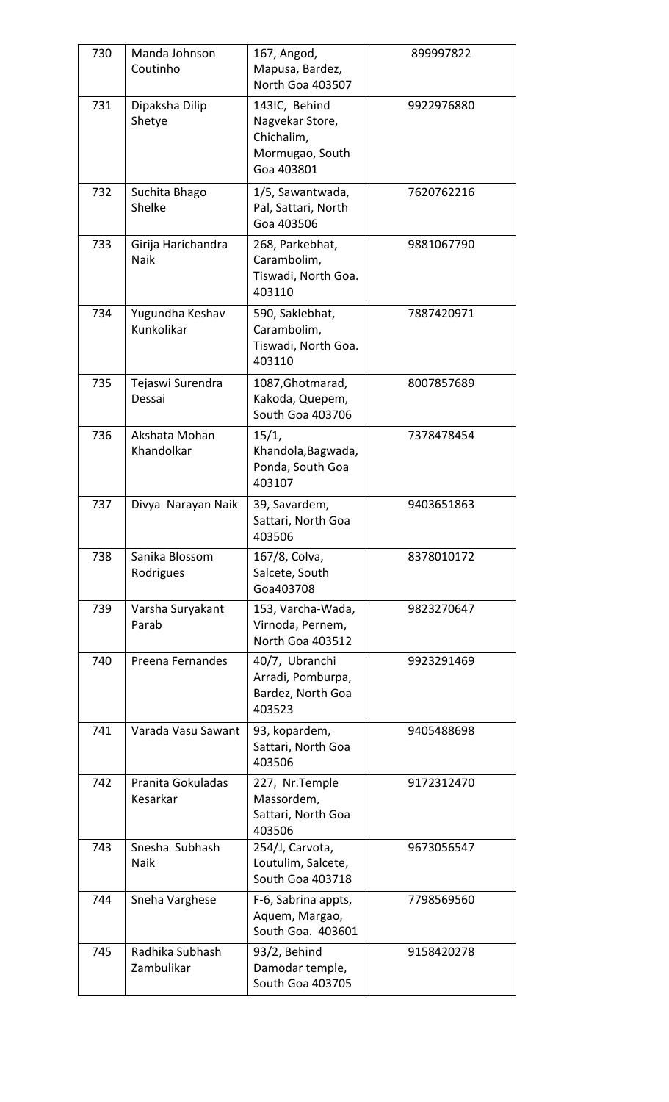| 730 | Manda Johnson<br>Coutinho         | 167, Angod,<br>Mapusa, Bardez,<br>North Goa 403507                              | 899997822  |
|-----|-----------------------------------|---------------------------------------------------------------------------------|------------|
| 731 | Dipaksha Dilip<br>Shetye          | 143IC, Behind<br>Nagvekar Store,<br>Chichalim,<br>Mormugao, South<br>Goa 403801 | 9922976880 |
| 732 | Suchita Bhago<br>Shelke           | 1/5, Sawantwada,<br>Pal, Sattari, North<br>Goa 403506                           | 7620762216 |
| 733 | Girija Harichandra<br><b>Naik</b> | 268, Parkebhat,<br>Carambolim,<br>Tiswadi, North Goa.<br>403110                 | 9881067790 |
| 734 | Yugundha Keshav<br>Kunkolikar     | 590, Saklebhat,<br>Carambolim,<br>Tiswadi, North Goa.<br>403110                 | 7887420971 |
| 735 | Tejaswi Surendra<br>Dessai        | 1087, Ghotmarad,<br>Kakoda, Quepem,<br>South Goa 403706                         | 8007857689 |
| 736 | Akshata Mohan<br>Khandolkar       | 15/1,<br>Khandola, Bagwada,<br>Ponda, South Goa<br>403107                       | 7378478454 |
| 737 | Divya Narayan Naik                | 39, Savardem,<br>Sattari, North Goa<br>403506                                   | 9403651863 |
| 738 | Sanika Blossom<br>Rodrigues       | 167/8, Colva,<br>Salcete, South<br>Goa403708                                    | 8378010172 |
| 739 | Varsha Suryakant<br>Parab         | 153, Varcha-Wada,<br>Virnoda, Pernem,<br>North Goa 403512                       | 9823270647 |
| 740 | Preena Fernandes                  | 40/7, Ubranchi<br>Arradi, Pomburpa,<br>Bardez, North Goa<br>403523              | 9923291469 |
| 741 | Varada Vasu Sawant                | 93, kopardem,<br>Sattari, North Goa<br>403506                                   | 9405488698 |
| 742 | Pranita Gokuladas<br>Kesarkar     | 227, Nr.Temple<br>Massordem,<br>Sattari, North Goa<br>403506                    | 9172312470 |
| 743 | Snesha Subhash<br>Naik            | 254/J, Carvota,<br>Loutulim, Salcete,<br><b>South Goa 403718</b>                | 9673056547 |
| 744 | Sneha Varghese                    | F-6, Sabrina appts,<br>Aquem, Margao,<br>South Goa. 403601                      | 7798569560 |
| 745 | Radhika Subhash<br>Zambulikar     | 93/2, Behind<br>Damodar temple,<br>South Goa 403705                             | 9158420278 |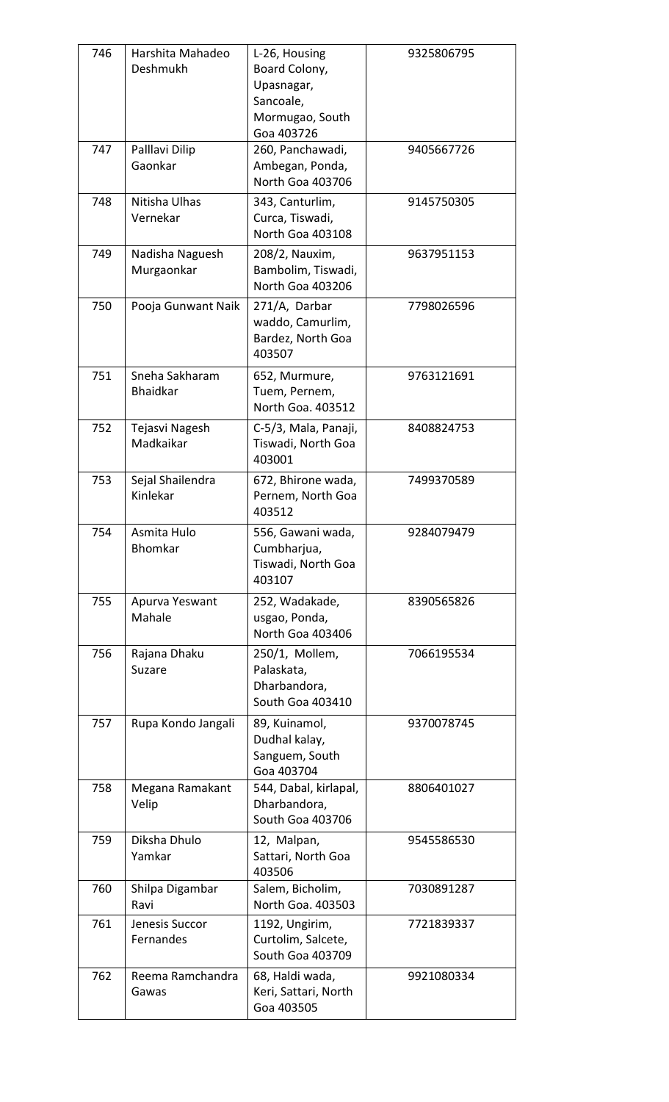| 746 | Harshita Mahadeo<br>Deshmukh      | L-26, Housing<br>Board Colony,<br>Upasnagar,<br>Sancoale,<br>Mormugao, South<br>Goa 403726 | 9325806795 |
|-----|-----------------------------------|--------------------------------------------------------------------------------------------|------------|
| 747 | Palllavi Dilip<br>Gaonkar         | 260, Panchawadi,<br>Ambegan, Ponda,<br>North Goa 403706                                    | 9405667726 |
| 748 | Nitisha Ulhas<br>Vernekar         | 343, Canturlim,<br>Curca, Tiswadi,<br>North Goa 403108                                     | 9145750305 |
| 749 | Nadisha Naguesh<br>Murgaonkar     | 208/2, Nauxim,<br>Bambolim, Tiswadi,<br>North Goa 403206                                   | 9637951153 |
| 750 | Pooja Gunwant Naik                | 271/A, Darbar<br>waddo, Camurlim,<br>Bardez, North Goa<br>403507                           | 7798026596 |
| 751 | Sneha Sakharam<br><b>Bhaidkar</b> | 652, Murmure,<br>Tuem, Pernem,<br>North Goa. 403512                                        | 9763121691 |
| 752 | Tejasvi Nagesh<br>Madkaikar       | C-5/3, Mala, Panaji,<br>Tiswadi, North Goa<br>403001                                       | 8408824753 |
| 753 | Sejal Shailendra<br>Kinlekar      | 672, Bhirone wada,<br>Pernem, North Goa<br>403512                                          | 7499370589 |
| 754 | Asmita Hulo<br>Bhomkar            | 556, Gawani wada,<br>Cumbharjua,<br>Tiswadi, North Goa<br>403107                           | 9284079479 |
| 755 | Apurva Yeswant<br>Mahale          | 252, Wadakade,<br>usgao, Ponda,<br>North Goa 403406                                        | 8390565826 |
| 756 | Rajana Dhaku<br>Suzare            | 250/1, Mollem,<br>Palaskata,<br>Dharbandora,<br>South Goa 403410                           | 7066195534 |
| 757 | Rupa Kondo Jangali                | 89, Kuinamol,<br>Dudhal kalay,<br>Sanguem, South<br>Goa 403704                             | 9370078745 |
| 758 | Megana Ramakant<br>Velip          | 544, Dabal, kirlapal,<br>Dharbandora,<br><b>South Goa 403706</b>                           | 8806401027 |
| 759 | Diksha Dhulo<br>Yamkar            | 12, Malpan,<br>Sattari, North Goa<br>403506                                                | 9545586530 |
| 760 | Shilpa Digambar<br>Ravi           | Salem, Bicholim,<br>North Goa. 403503                                                      | 7030891287 |
| 761 | Jenesis Succor<br>Fernandes       | 1192, Ungirim,<br>Curtolim, Salcete,<br>South Goa 403709                                   | 7721839337 |
| 762 | Reema Ramchandra<br>Gawas         | 68, Haldi wada,<br>Keri, Sattari, North<br>Goa 403505                                      | 9921080334 |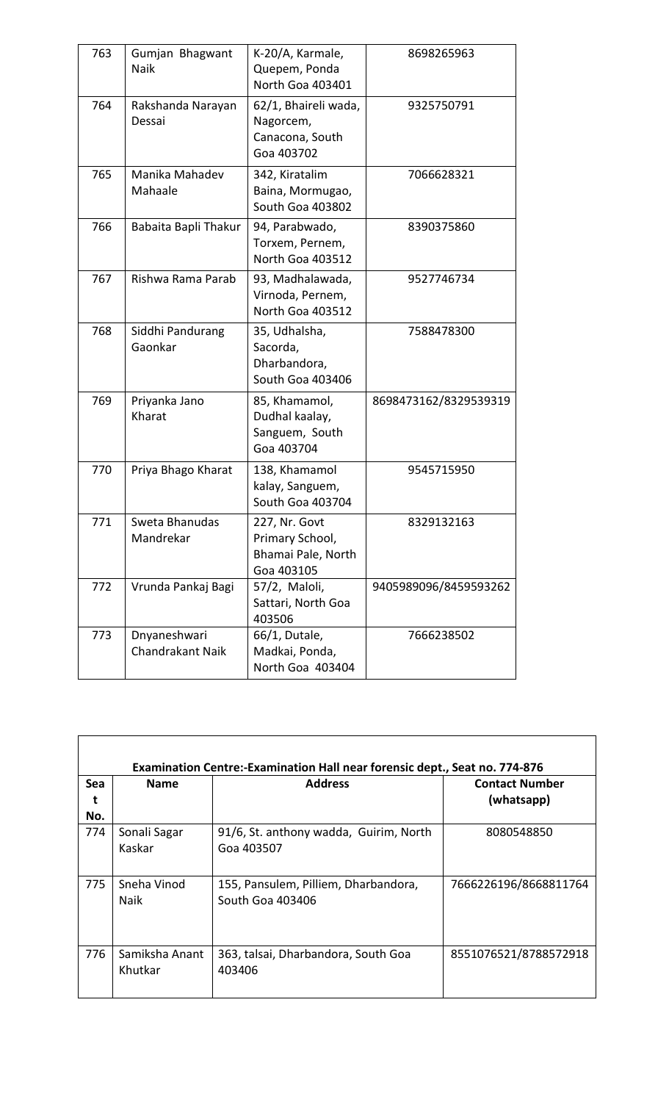| 763 | Gumjan Bhagwant<br>Naik                 | K-20/A, Karmale,<br>Quepem, Ponda<br>North Goa 403401                | 8698265963            |
|-----|-----------------------------------------|----------------------------------------------------------------------|-----------------------|
| 764 | Rakshanda Narayan<br>Dessai             | 62/1, Bhaireli wada,<br>Nagorcem,<br>Canacona, South<br>Goa 403702   | 9325750791            |
| 765 | Manika Mahadev<br>Mahaale               | 342, Kiratalim<br>Baina, Mormugao,<br>South Goa 403802               | 7066628321            |
| 766 | Babaita Bapli Thakur                    | 94, Parabwado,<br>Torxem, Pernem,<br>North Goa 403512                | 8390375860            |
| 767 | Rishwa Rama Parab                       | 93, Madhalawada,<br>Virnoda, Pernem,<br>North Goa 403512             | 9527746734            |
| 768 | Siddhi Pandurang<br>Gaonkar             | 35, Udhalsha,<br>Sacorda,<br>Dharbandora,<br>South Goa 403406        | 7588478300            |
| 769 | Priyanka Jano<br>Kharat                 | 85, Khamamol,<br>Dudhal kaalay,<br>Sanguem, South<br>Goa 403704      | 8698473162/8329539319 |
| 770 | Priya Bhago Kharat                      | 138, Khamamol<br>kalay, Sanguem,<br>South Goa 403704                 | 9545715950            |
| 771 | Sweta Bhanudas<br>Mandrekar             | 227, Nr. Govt<br>Primary School,<br>Bhamai Pale, North<br>Goa 403105 | 8329132163            |
| 772 | Vrunda Pankaj Bagi                      | 57/2, Maloli,<br>Sattari, North Goa<br>403506                        | 9405989096/8459593262 |
| 773 | Dnyaneshwari<br><b>Chandrakant Naik</b> | 66/1, Dutale,<br>Madkai, Ponda,<br>North Goa 403404                  | 7666238502            |

| Sea<br>t   | <b>Name</b>                | <b>Address</b>                                           | <b>Contact Number</b><br>(whatsapp) |
|------------|----------------------------|----------------------------------------------------------|-------------------------------------|
| No.<br>774 | Sonali Sagar<br>Kaskar     | 91/6, St. anthony wadda, Guirim, North<br>Goa 403507     | 8080548850                          |
| 775        | Sneha Vinod<br><b>Naik</b> | 155, Pansulem, Pilliem, Dharbandora,<br>South Goa 403406 | 7666226196/8668811764               |
| 776        | Samiksha Anant<br>Khutkar  | 363, talsai, Dharbandora, South Goa<br>403406            | 8551076521/8788572918               |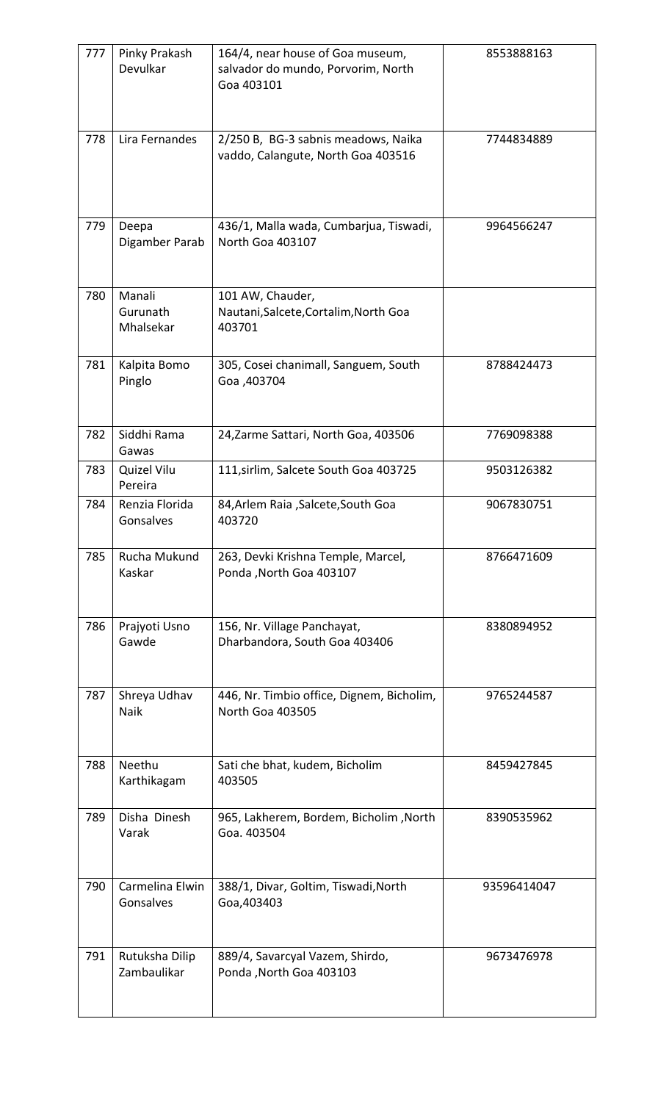| 777 | Pinky Prakash<br>Devulkar       | 164/4, near house of Goa museum,<br>salvador do mundo, Porvorim, North<br>Goa 403101 | 8553888163  |
|-----|---------------------------------|--------------------------------------------------------------------------------------|-------------|
| 778 | Lira Fernandes                  | 2/250 B, BG-3 sabnis meadows, Naika<br>vaddo, Calangute, North Goa 403516            | 7744834889  |
| 779 | Deepa<br>Digamber Parab         | 436/1, Malla wada, Cumbarjua, Tiswadi,<br>North Goa 403107                           | 9964566247  |
| 780 | Manali<br>Gurunath<br>Mhalsekar | 101 AW, Chauder,<br>Nautani, Salcete, Cortalim, North Goa<br>403701                  |             |
| 781 | Kalpita Bomo<br>Pinglo          | 305, Cosei chanimall, Sanguem, South<br>Goa ,403704                                  | 8788424473  |
| 782 | Siddhi Rama<br>Gawas            | 24, Zarme Sattari, North Goa, 403506                                                 | 7769098388  |
| 783 | Quizel Vilu<br>Pereira          | 111, sirlim, Salcete South Goa 403725                                                | 9503126382  |
| 784 | Renzia Florida<br>Gonsalves     | 84, Arlem Raia, Salcete, South Goa<br>403720                                         | 9067830751  |
| 785 | Rucha Mukund<br>Kaskar          | 263, Devki Krishna Temple, Marcel,<br>Ponda, North Goa 403107                        | 8766471609  |
| 786 | Prajyoti Usno<br>Gawde          | 156, Nr. Village Panchayat,<br>Dharbandora, South Goa 403406                         | 8380894952  |
| 787 | Shreya Udhav<br><b>Naik</b>     | 446, Nr. Timbio office, Dignem, Bicholim,<br>North Goa 403505                        | 9765244587  |
| 788 | Neethu<br>Karthikagam           | Sati che bhat, kudem, Bicholim<br>403505                                             | 8459427845  |
| 789 | Disha Dinesh<br>Varak           | 965, Lakherem, Bordem, Bicholim, North<br>Goa. 403504                                | 8390535962  |
| 790 | Carmelina Elwin<br>Gonsalves    | 388/1, Divar, Goltim, Tiswadi, North<br>Goa, 403403                                  | 93596414047 |
| 791 | Rutuksha Dilip<br>Zambaulikar   | 889/4, Savarcyal Vazem, Shirdo,<br>Ponda, North Goa 403103                           | 9673476978  |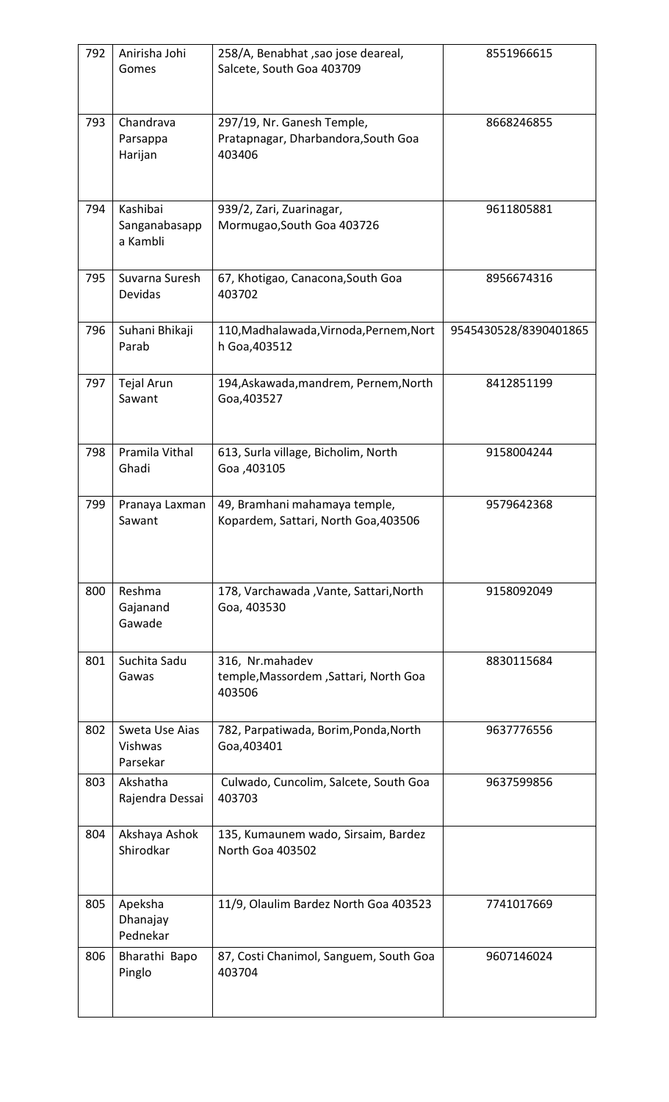| 792 | Anirisha Johi<br>Gomes                | 258/A, Benabhat, sao jose deareal,<br>Salcete, South Goa 403709             | 8551966615            |
|-----|---------------------------------------|-----------------------------------------------------------------------------|-----------------------|
| 793 | Chandrava<br>Parsappa<br>Harijan      | 297/19, Nr. Ganesh Temple,<br>Pratapnagar, Dharbandora, South Goa<br>403406 | 8668246855            |
| 794 | Kashibai<br>Sanganabasapp<br>a Kambli | 939/2, Zari, Zuarinagar,<br>Mormugao, South Goa 403726                      | 9611805881            |
| 795 | Suvarna Suresh<br>Devidas             | 67, Khotigao, Canacona, South Goa<br>403702                                 | 8956674316            |
| 796 | Suhani Bhikaji<br>Parab               | 110, Madhalawada, Virnoda, Pernem, Nort<br>h Goa, 403512                    | 9545430528/8390401865 |
| 797 | <b>Tejal Arun</b><br>Sawant           | 194, Askawada, mandrem, Pernem, North<br>Goa, 403527                        | 8412851199            |
| 798 | Pramila Vithal<br>Ghadi               | 613, Surla village, Bicholim, North<br>Goa, 403105                          | 9158004244            |
| 799 | Pranaya Laxman<br>Sawant              | 49, Bramhani mahamaya temple,<br>Kopardem, Sattari, North Goa, 403506       | 9579642368            |
| 800 | Reshma<br>Gajanand<br>Gawade          | 178, Varchawada , Vante, Sattari, North<br>Goa, 403530                      | 9158092049            |
| 801 | Suchita Sadu<br>Gawas                 | 316, Nr.mahadev<br>temple, Massordem, Sattari, North Goa<br>403506          | 8830115684            |
| 802 | Sweta Use Aias<br>Vishwas<br>Parsekar | 782, Parpatiwada, Borim, Ponda, North<br>Goa, 403401                        | 9637776556            |
| 803 | Akshatha<br>Rajendra Dessai           | Culwado, Cuncolim, Salcete, South Goa<br>403703                             | 9637599856            |
| 804 | Akshaya Ashok<br>Shirodkar            | 135, Kumaunem wado, Sirsaim, Bardez<br>North Goa 403502                     |                       |
| 805 | Apeksha<br>Dhanajay<br>Pednekar       | 11/9, Olaulim Bardez North Goa 403523                                       | 7741017669            |
| 806 | Bharathi Bapo<br>Pinglo               | 87, Costi Chanimol, Sanguem, South Goa<br>403704                            | 9607146024            |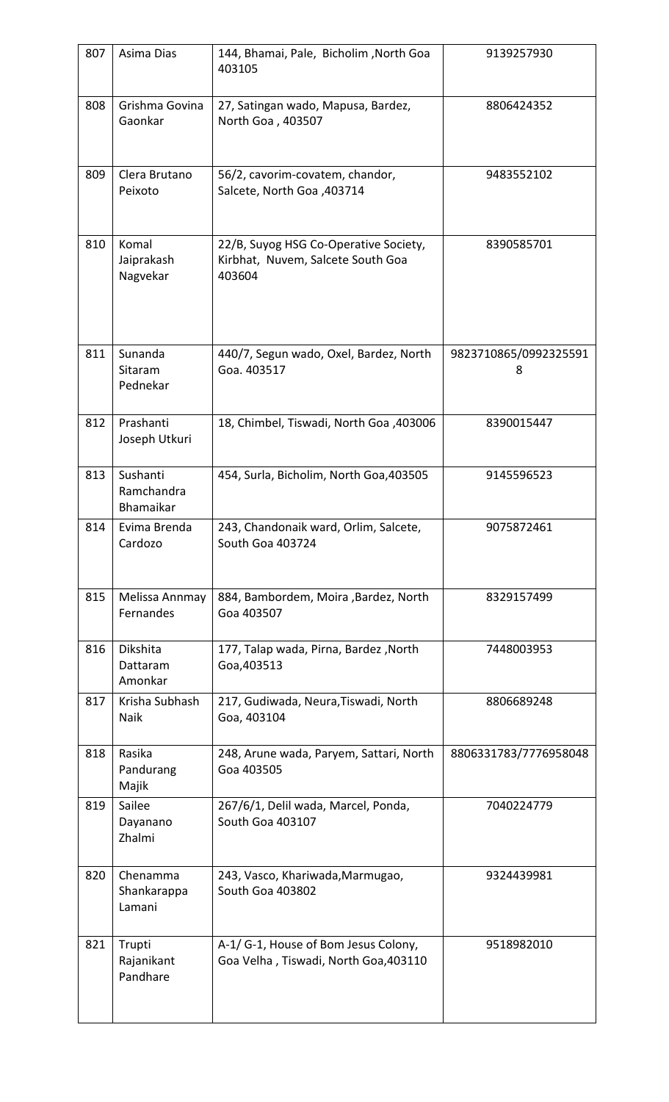| 807 | Asima Dias                          | 144, Bhamai, Pale, Bicholim, North Goa<br>403105                                     | 9139257930                 |
|-----|-------------------------------------|--------------------------------------------------------------------------------------|----------------------------|
| 808 | Grishma Govina<br>Gaonkar           | 27, Satingan wado, Mapusa, Bardez,<br>North Goa, 403507                              | 8806424352                 |
| 809 | Clera Brutano<br>Peixoto            | 56/2, cavorim-covatem, chandor,<br>Salcete, North Goa, 403714                        | 9483552102                 |
| 810 | Komal<br>Jaiprakash<br>Nagvekar     | 22/B, Suyog HSG Co-Operative Society,<br>Kirbhat, Nuvem, Salcete South Goa<br>403604 | 8390585701                 |
| 811 | Sunanda<br>Sitaram<br>Pednekar      | 440/7, Segun wado, Oxel, Bardez, North<br>Goa. 403517                                | 9823710865/0992325591<br>8 |
| 812 | Prashanti<br>Joseph Utkuri          | 18, Chimbel, Tiswadi, North Goa, 403006                                              | 8390015447                 |
| 813 | Sushanti<br>Ramchandra<br>Bhamaikar | 454, Surla, Bicholim, North Goa, 403505                                              | 9145596523                 |
| 814 | Evima Brenda<br>Cardozo             | 243, Chandonaik ward, Orlim, Salcete,<br>South Goa 403724                            | 9075872461                 |
| 815 | Melissa Annmay<br>Fernandes         | 884, Bambordem, Moira , Bardez, North<br>Goa 403507                                  | 8329157499                 |
| 816 | Dikshita<br>Dattaram<br>Amonkar     | 177, Talap wada, Pirna, Bardez, North<br>Goa, 403513                                 | 7448003953                 |
| 817 | Krisha Subhash<br>Naik              | 217, Gudiwada, Neura, Tiswadi, North<br>Goa, 403104                                  | 8806689248                 |
| 818 | Rasika<br>Pandurang<br>Majik        | 248, Arune wada, Paryem, Sattari, North<br>Goa 403505                                | 8806331783/7776958048      |
| 819 | Sailee<br>Dayanano<br>Zhalmi        | 267/6/1, Delil wada, Marcel, Ponda,<br>South Goa 403107                              | 7040224779                 |
| 820 | Chenamma<br>Shankarappa<br>Lamani   | 243, Vasco, Khariwada, Marmugao,<br>South Goa 403802                                 | 9324439981                 |
| 821 | Trupti<br>Rajanikant<br>Pandhare    | A-1/ G-1, House of Bom Jesus Colony,<br>Goa Velha, Tiswadi, North Goa, 403110        | 9518982010                 |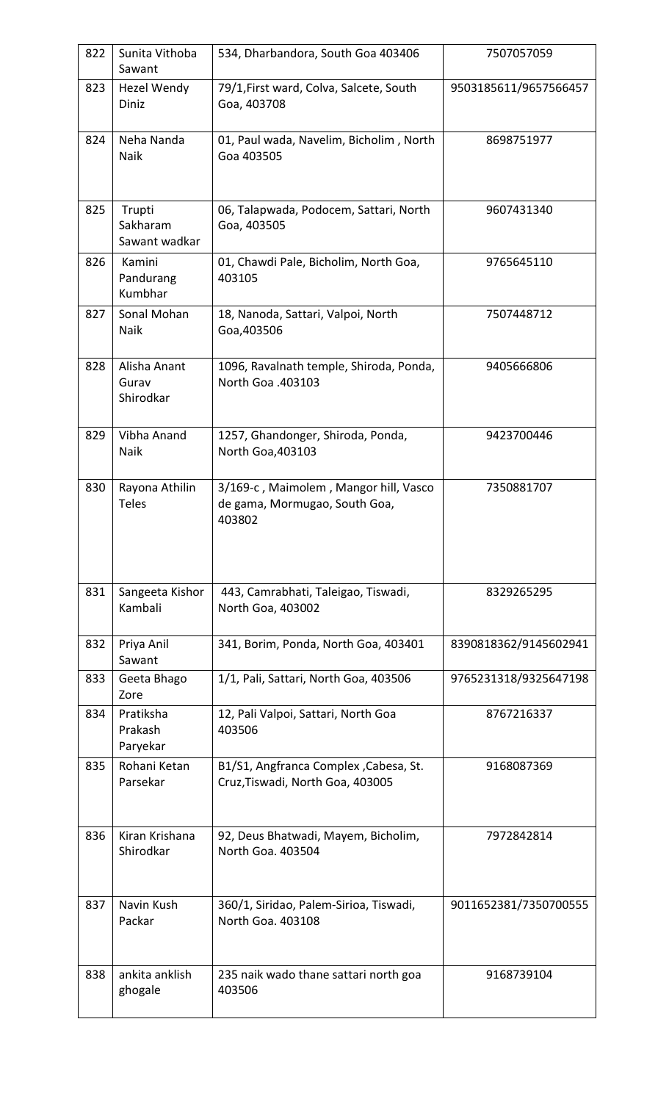| 822 | Sunita Vithoba                      | 534, Dharbandora, South Goa 403406                                               | 7507057059            |
|-----|-------------------------------------|----------------------------------------------------------------------------------|-----------------------|
|     | Sawant                              |                                                                                  |                       |
| 823 | <b>Hezel Wendy</b><br>Diniz         | 79/1, First ward, Colva, Salcete, South<br>Goa, 403708                           | 9503185611/9657566457 |
| 824 | Neha Nanda<br><b>Naik</b>           | 01, Paul wada, Navelim, Bicholim, North<br>Goa 403505                            | 8698751977            |
| 825 | Trupti<br>Sakharam<br>Sawant wadkar | 06, Talapwada, Podocem, Sattari, North<br>Goa, 403505                            | 9607431340            |
| 826 | Kamini<br>Pandurang<br>Kumbhar      | 01, Chawdi Pale, Bicholim, North Goa,<br>403105                                  | 9765645110            |
| 827 | Sonal Mohan<br><b>Naik</b>          | 18, Nanoda, Sattari, Valpoi, North<br>Goa, 403506                                | 7507448712            |
| 828 | Alisha Anant<br>Gurav<br>Shirodkar  | 1096, Ravalnath temple, Shiroda, Ponda,<br>North Goa .403103                     | 9405666806            |
| 829 | Vibha Anand<br><b>Naik</b>          | 1257, Ghandonger, Shiroda, Ponda,<br>North Goa, 403103                           | 9423700446            |
| 830 | Rayona Athilin<br>Teles             | 3/169-c, Maimolem, Mangor hill, Vasco<br>de gama, Mormugao, South Goa,<br>403802 | 7350881707            |
| 831 | Sangeeta Kishor<br>Kambali          | 443, Camrabhati, Taleigao, Tiswadi,<br>North Goa, 403002                         | 8329265295            |
| 832 | Priya Anil<br>Sawant                | 341, Borim, Ponda, North Goa, 403401                                             | 8390818362/9145602941 |
| 833 | Geeta Bhago<br>Zore                 | 1/1, Pali, Sattari, North Goa, 403506                                            | 9765231318/9325647198 |
| 834 | Pratiksha<br>Prakash<br>Paryekar    | 12, Pali Valpoi, Sattari, North Goa<br>403506                                    | 8767216337            |
| 835 | Rohani Ketan<br>Parsekar            | B1/S1, Angfranca Complex, Cabesa, St.<br>Cruz, Tiswadi, North Goa, 403005        | 9168087369            |
| 836 | Kiran Krishana<br>Shirodkar         | 92, Deus Bhatwadi, Mayem, Bicholim,<br>North Goa. 403504                         | 7972842814            |
| 837 | Navin Kush<br>Packar                | 360/1, Siridao, Palem-Sirioa, Tiswadi,<br>North Goa. 403108                      | 9011652381/7350700555 |
| 838 | ankita anklish<br>ghogale           | 235 naik wado thane sattari north goa<br>403506                                  | 9168739104            |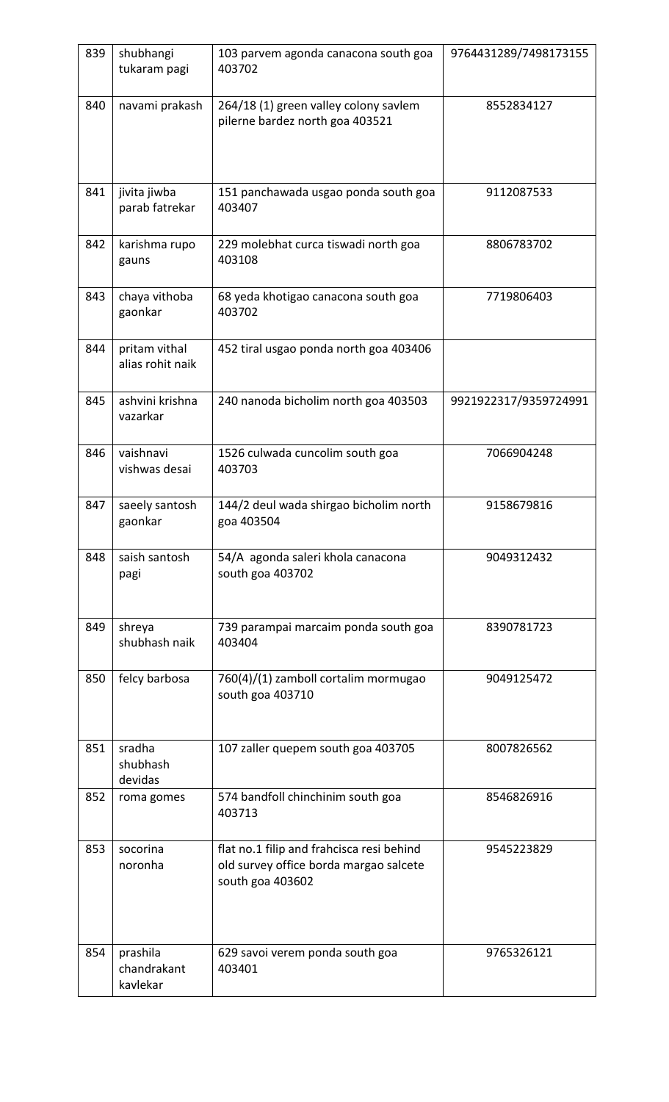| 839 | shubhangi<br>tukaram pagi           | 103 parvem agonda canacona south goa<br>403702                                                          | 9764431289/7498173155 |
|-----|-------------------------------------|---------------------------------------------------------------------------------------------------------|-----------------------|
| 840 | navami prakash                      | 264/18 (1) green valley colony savlem<br>pilerne bardez north goa 403521                                | 8552834127            |
| 841 | jivita jiwba<br>parab fatrekar      | 151 panchawada usgao ponda south goa<br>403407                                                          | 9112087533            |
| 842 | karishma rupo<br>gauns              | 229 molebhat curca tiswadi north goa<br>403108                                                          | 8806783702            |
| 843 | chaya vithoba<br>gaonkar            | 68 yeda khotigao canacona south goa<br>403702                                                           | 7719806403            |
| 844 | pritam vithal<br>alias rohit naik   | 452 tiral usgao ponda north goa 403406                                                                  |                       |
| 845 | ashvini krishna<br>vazarkar         | 240 nanoda bicholim north goa 403503                                                                    | 9921922317/9359724991 |
| 846 | vaishnavi<br>vishwas desai          | 1526 culwada cuncolim south goa<br>403703                                                               | 7066904248            |
| 847 | saeely santosh<br>gaonkar           | 144/2 deul wada shirgao bicholim north<br>goa 403504                                                    | 9158679816            |
| 848 | saish santosh<br>pagi               | 54/A agonda saleri khola canacona<br>south goa 403702                                                   | 9049312432            |
| 849 | shreya<br>shubhash naik             | 739 parampai marcaim ponda south goa<br>403404                                                          | 8390781723            |
| 850 | felcy barbosa                       | 760(4)/(1) zamboll cortalim mormugao<br>south goa 403710                                                | 9049125472            |
| 851 | sradha<br>shubhash<br>devidas       | 107 zaller quepem south goa 403705                                                                      | 8007826562            |
| 852 | roma gomes                          | 574 bandfoll chinchinim south goa<br>403713                                                             | 8546826916            |
| 853 | socorina<br>noronha                 | flat no.1 filip and frahcisca resi behind<br>old survey office borda margao salcete<br>south goa 403602 | 9545223829            |
| 854 | prashila<br>chandrakant<br>kavlekar | 629 savoi verem ponda south goa<br>403401                                                               | 9765326121            |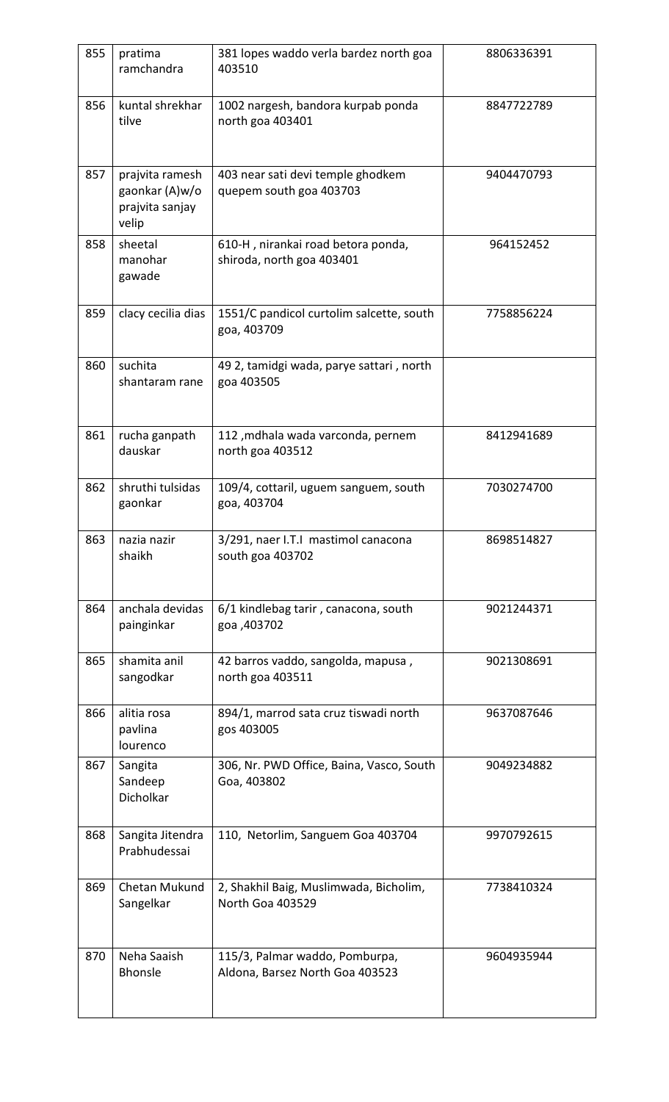| 855 | pratima<br>ramchandra                                         | 381 lopes waddo verla bardez north goa<br>403510                  | 8806336391 |
|-----|---------------------------------------------------------------|-------------------------------------------------------------------|------------|
| 856 | kuntal shrekhar<br>tilve                                      | 1002 nargesh, bandora kurpab ponda<br>north goa 403401            | 8847722789 |
| 857 | prajvita ramesh<br>gaonkar (A)w/o<br>prajvita sanjay<br>velip | 403 near sati devi temple ghodkem<br>quepem south goa 403703      | 9404470793 |
| 858 | sheetal<br>manohar<br>gawade                                  | 610-H, nirankai road betora ponda,<br>shiroda, north goa 403401   | 964152452  |
| 859 | clacy cecilia dias                                            | 1551/C pandicol curtolim salcette, south<br>goa, 403709           | 7758856224 |
| 860 | suchita<br>shantaram rane                                     | 49 2, tamidgi wada, parye sattari, north<br>goa 403505            |            |
| 861 | rucha ganpath<br>dauskar                                      | 112, mdhala wada varconda, pernem<br>north goa 403512             | 8412941689 |
| 862 | shruthi tulsidas<br>gaonkar                                   | 109/4, cottaril, uguem sanguem, south<br>goa, 403704              | 7030274700 |
| 863 | nazia nazir<br>shaikh                                         | 3/291, naer I.T.I mastimol canacona<br>south goa 403702           | 8698514827 |
| 864 | anchala devidas<br>painginkar                                 | 6/1 kindlebag tarir, canacona, south<br>goa, 403702               | 9021244371 |
| 865 | shamita anil<br>sangodkar                                     | 42 barros vaddo, sangolda, mapusa,<br>north goa 403511            | 9021308691 |
| 866 | alitia rosa<br>pavlina<br>lourenco                            | 894/1, marrod sata cruz tiswadi north<br>gos 403005               | 9637087646 |
| 867 | Sangita<br>Sandeep<br>Dicholkar                               | 306, Nr. PWD Office, Baina, Vasco, South<br>Goa, 403802           | 9049234882 |
| 868 | Sangita Jitendra<br>Prabhudessai                              | 110, Netorlim, Sanguem Goa 403704                                 | 9970792615 |
| 869 | Chetan Mukund<br>Sangelkar                                    | 2, Shakhil Baig, Muslimwada, Bicholim,<br>North Goa 403529        | 7738410324 |
| 870 | Neha Saaish<br><b>Bhonsle</b>                                 | 115/3, Palmar waddo, Pomburpa,<br>Aldona, Barsez North Goa 403523 | 9604935944 |